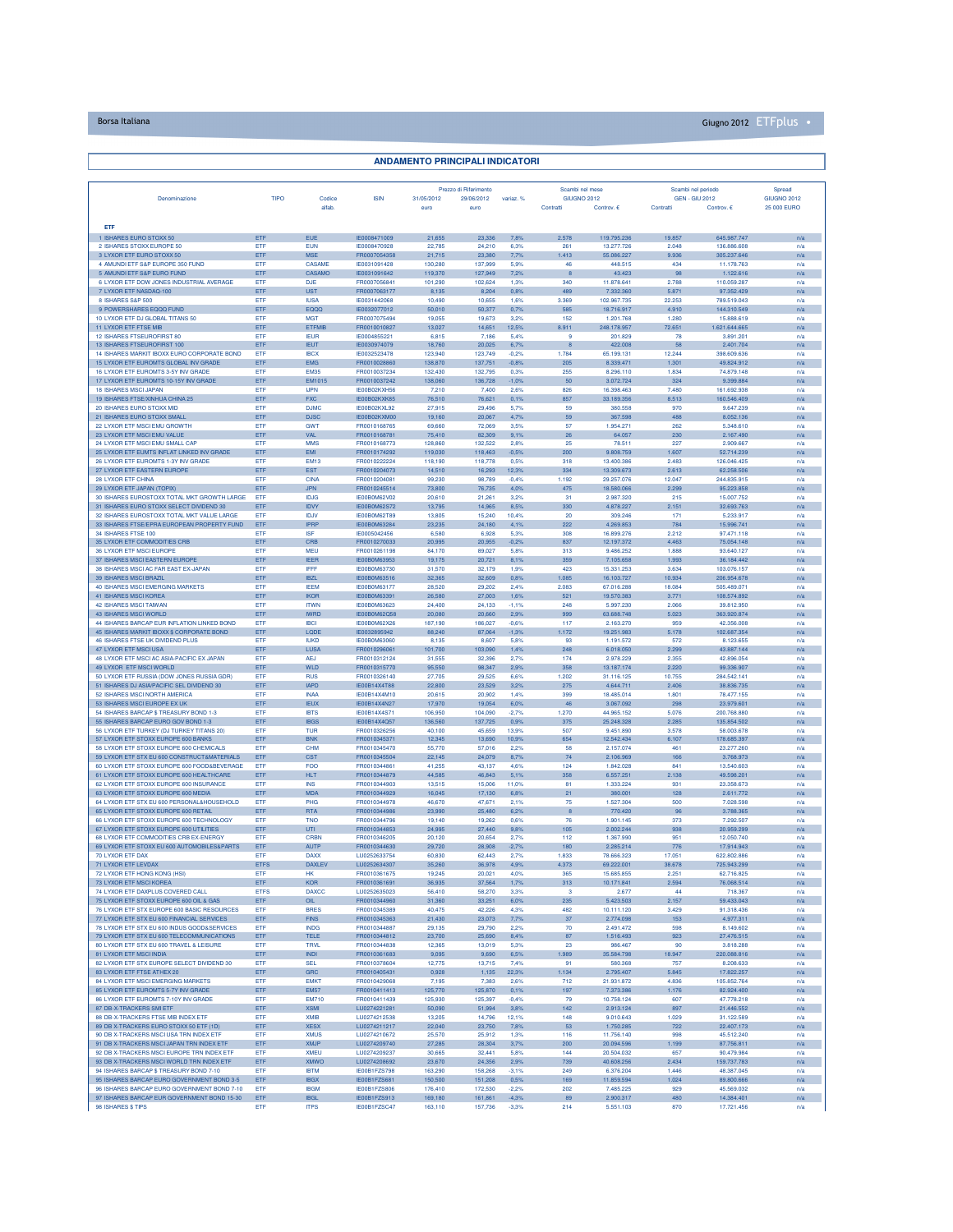## Borsa Italiana Giugno 2012 ETFplus •

| <b>ANDAMENTO PRINCIPALI INDICATORI</b>                                                      |                    |                            |                                            |                    |                       |                    |                                 |                          |                                    |                            |                                   |  |
|---------------------------------------------------------------------------------------------|--------------------|----------------------------|--------------------------------------------|--------------------|-----------------------|--------------------|---------------------------------|--------------------------|------------------------------------|----------------------------|-----------------------------------|--|
|                                                                                             |                    |                            |                                            |                    |                       |                    |                                 |                          |                                    |                            |                                   |  |
|                                                                                             |                    |                            |                                            |                    | Prezzo di Riferimento |                    | Scambi nel mese                 |                          | Scambi nel periodo                 |                            | Spread                            |  |
| Denominazione                                                                               | TIPO               | Codice<br>alfab.           | <b>ISIN</b>                                | 31/05/2012<br>euro | 29/06/2012<br>euro    | variaz. %          | <b>GIUGNO 2012</b><br>Contratti | Controv. €               | <b>GEN - GIU 2012</b><br>Contratti | Controv. €                 | <b>GIUGNO 2012</b><br>25 000 EURO |  |
|                                                                                             |                    |                            |                                            |                    |                       |                    |                                 |                          |                                    |                            |                                   |  |
| ETF<br>1 ISHARES EURO STOXX 50                                                              | ETF                | <b>EUE</b>                 | IE0008471009                               | 21,655             | 23,336                | 7,8%               | 2.578                           | 119.795.236              | 19.857                             | 645.987.747                | n/a                               |  |
| 2 ISHARES STOXX EUROPE 50                                                                   | ETF                | <b>EUN</b>                 | IE0008470928<br>FR0007054358               | 22,785             | 24,210                | 6,3%               | 261                             | 13.277.726<br>55.086.227 | 2.048                              | 136.886.608                | n/a                               |  |
| 3 LYXOR ETF EURO STOXX 50<br>4 AMUNDI ETF S&P EUROPE 350 FUND                               | ETF<br>ETF         | <b>MSE</b><br>CASAME       | IE0031091428                               | 21,715<br>130,280  | 23,380<br>137,999     | 7,7%<br>5.9%       | 1.413<br>46                     | 448.515                  | 9.936<br>434                       | 305.237.646<br>11.178.763  | n/a<br>n/a                        |  |
| 5 AMUNDI ETF S&P EURO FUND                                                                  | ETF                | CASAMO                     | IE0031091642                               | 119,370            | 127,949               | 7,2%               | 8                               | 43.423                   | 98                                 | 1.122.616                  | n/a                               |  |
| 6 LYXOR ETF DOW JONES INDUSTRIAL AVERAGE<br>7 LYXOR ETF NASDAQ-100                          | ETF<br>ETF         | <b>DJE</b><br><b>UST</b>   | FR0007056841<br>FR0007063177               | 101,290<br>8,135   | 102.624<br>8,204      | 1.3%<br>0,8%       | 340<br>489                      | 11,878,641<br>7.332.360  | 2.788<br>5.871                     | 110.059.287<br>97.352.429  | n/a<br>n/a                        |  |
| 8 ISHARES S&P 500                                                                           | ETF                | <b>IUSA</b>                | IE0031442068                               | 10,490             | 10.655                | 1.6%               | 3.369                           | 102.967.735              | 22.253                             | 789.519.043                | n/a                               |  |
| 9 POWERSHARES EQQQ FUND<br>10 LYXOR ETF DJ GLOBAL TITANS 50                                 | ETF<br>ETF         | EQQQ<br><b>MGT</b>         | IE0032077012<br>FR0007075494               | 50,010<br>19.055   | 50,377<br>19,673      | 0.7%<br>3,2%       | 585<br>152                      | 18.716.917<br>1.201.768  | 4.910<br>1,280                     | 144.310.549<br>15.888.619  | n/a<br>n/a                        |  |
| 11 LYXOR ETF FTSE MIB                                                                       | ETF                | <b>ETFMIE</b>              | FR0010010827                               | 13,027             | 14,651                | 12,5%              | 8.911                           | 248.178.957              | 72.651                             | 1.621.644.665              | n/a                               |  |
| 12 ISHARES ETSELIROEIRST 80<br>13 ISHARES FTSEUROFIRST 100                                  | ETF<br>ETF         | <b>IEUR</b><br><b>IEUT</b> | IE0004855221<br>IE0030974079               | 6.815<br>18,760    | 7.186<br>20.025       | 5.4%<br>6,7%       | $\mathcal{Q}$<br>8              | 201.829<br>422,008       | 78<br>58                           | 3.891.201<br>2.401.704     | n/a<br>n/a                        |  |
| 14 ISHARES MARKIT IBOXX EURO CORPORATE BOND                                                 | ETF                | <b>IBCX</b>                | IE0032523478                               | 123,940            | 123,749               | $-0.2%$            | 1.784                           | 65.199.131               | 12.244                             | 398.609.636                | n/a                               |  |
| 15 LYXOR ETF EUROMTS GLOBAL INV GRADE<br>16 LYXOR ETF EUROMTS 3-5Y INV GRADE                | ETF<br>ETF         | EMG<br><b>EM35</b>         | FR0010028860<br>FR0010037234               | 138,870<br>132,430 | 137,751<br>132,795    | $-0.8%$<br>0.3%    | 205<br>255                      | 8.339.471<br>8.296.110   | 1.301<br>1.834                     | 49.824.912<br>74.879.148   | n/a<br>n/a                        |  |
| 17 LYXOR ETF EUROMTS 10-15Y INV GRADE                                                       | ETF                | EM1015                     | FR0010037242                               | 138,060            | 136,728               | $-1,0%$            | 50                              | 3.072.724                | 324                                | 9.399.884                  | n/a                               |  |
| <b>18 ISHARES MSCI JAPAN</b><br>19 ISHARES FTSE/XINHUA CHINA 25                             | ETF<br>ETF         | <b>IJPN</b><br><b>FXC</b>  | IE00B02KXH56<br>IE00B02KXK85               | 7.210<br>76,510    | 7,400<br>76,621       | 2.6%<br>0.1%       | 826<br>857                      | 16,398,463<br>33.189.356 | 7,480<br>8.513                     | 161.692.938<br>160,546,409 | n/a<br>n/a                        |  |
| 20 ISHARES EURO STOXX MID                                                                   | ETF                | <b>DJMC</b>                | IE00B02KXL92                               | 27,915             | 29,496                | 5,7%               | 59                              | 380,558                  | 970                                | 9.647.239                  | n/a                               |  |
| 21 ISHARES EURO STOXX SMALL<br>22 LYXOR ETF MSCI EMU GROWTH                                 | ETF<br>ETF         | <b>DJSC</b><br><b>GWT</b>  | IE00B02KXM00<br>FR0010168765               | 19,160<br>69,660   | 20,067<br>72,069      | 4,7%<br>3.5%       | 59<br>57                        | 367.598<br>1.954.271     | 488<br>262                         | 8.052.136<br>5.348.610     | n/a<br>n/a                        |  |
| 23 LYXOR ETF MSCI EMU VALUE                                                                 | ETF                | <b>VAL</b>                 | FR0010168781                               | 75,410             | 82,309                | 9,1%               | 26                              | 64.057                   | 230                                | 2.167.490                  | n/a                               |  |
| 24 LYXOR ETF MSCI EMU SMALL CAF<br>25 I YXOR FTE FUMTS INFLAT LINKED INV GRADE              | ETF<br>ETF         | <b>MMS</b><br><b>EMI</b>   | FR0010168773                               | 128,860<br>119,030 | 132.522<br>118,463    | 2.8%<br>$-0.5%$    | 25<br>200                       | 78.511<br>9.808.759      | 227<br>1.607                       | 2.909.667<br>52.714.239    | n/a                               |  |
| 26 LYXOR ETF EUROMTS 1-3Y INV GRADE                                                         | ETF                | <b>EM13</b>                | FR0010174292<br>FR0010222224               | 118,190            | 118,778               | 0,5%               | 318                             | 13.400.386               | 2.483                              | 126.046.425                | n/a<br>n/a                        |  |
| 27 LYXOR ETF EASTERN EUROPE                                                                 | ETF                | <b>EST</b>                 | FR0010204073                               | 14,510             | 16,293                | 12,3%              | 334                             | 13.309.673               | 2.613                              | 62.258.506                 | n/a                               |  |
| 28 LYXOR ETF CHINA<br>29 LYXOR ETF JAPAN (TOPIX)                                            | ETF<br>ETF         | <b>CINA</b><br>JPN         | FR0010204081<br>FR0010245514               | 99,230<br>73,800   | 98,789<br>76,735      | $-0.4%$<br>4,0%    | 1.192<br>475                    | 29.257.076<br>18.580.066 | 12.047<br>2.299                    | 244.835.915<br>95.223.858  | n/a<br>n/a                        |  |
| 30 ISHARES EUROSTOXX TOTAL MKT GROWTH LARGE                                                 | ETF                | <b>IDJG</b>                | IE00B0M62V02                               | 20,610             | 21,261                | 3.2%               | 31                              | 2.987.320                | 215                                | 15.007.752                 | n/a                               |  |
| 31 ISHARES EURO STOXX SELECT DIVIDEND 30<br>32 ISHARES EUROSTOXX TOTAL MKT VALUE LARGE      | ETF<br>ETF         | <b>IDVY</b><br><b>IDJV</b> | <b>IE00B0M62S72</b><br><b>IE00B0M62T89</b> | 13,795<br>13,805   | 14,965<br>15,240      | 8.5%<br>10,4%      | 330<br>20                       | 4.878.227<br>309.246     | 2.151<br>171                       | 32.693.763<br>5.233.917    | n/a<br>n/a                        |  |
| 33 ISHARES FTSE/EPRA EUROPEAN PROPERTY FUND                                                 | ETF                | <b>IPRP</b>                | IE00B0M63284                               | 23.235             | 24,180                | 4.1%               | 222                             | 4.269.853                | 784                                | 15.996.741                 | n/a                               |  |
| 34 ISHARES FTSE 100<br>35 LYXOR ETF COMMODITIES CRB                                         | ETF<br>ETF         | <b>ISF</b><br>CRB          | IE0005042456<br>FR0010270033               | 6,580<br>20.995    | 6,928<br>20.955       | 5,3%<br>0.2%       | 308<br>837                      | 16.899.276<br>12.197.372 | 2.212<br>4.463                     | 97.471.118<br>75.054.148   | n/a<br>n/a                        |  |
| 36 LYXOR ETF MSCI EUROPE                                                                    | <b>FTF</b>         | <b>MFU</b>                 | FR0010261198                               | 84,170             | 89.027                | 5.8%               | 313                             | 9 486 252                | 1888                               | 93.640.127                 | n/a                               |  |
| 37 ISHARES MSCI EASTERN EUROPE<br>38 ISHARES MSCI AC FAR EAST EX-JAPAN                      | ETF<br>ETF         | <b>IEER</b><br><b>IFFF</b> | IE00B0M63953<br><b>IE00B0M63730</b>        | 19.175<br>31,570   | 20.721<br>32.179      | 8,1%<br>1.9%       | 359<br>423                      | 7.105.658<br>15.331.253  | 1.993<br>3.634                     | 36.184.442<br>103 076 157  | n/a<br>n/a                        |  |
| 39 ISHARES MSCI BRAZIL                                                                      | ETF                | <b>IBZL</b>                | IE00B0M63516                               | 32,365             | 32,609                | 0,8%               | 1.085                           | 16.103.727               | 10.934                             | 206.954.678                | n/a                               |  |
| 40 ISHARES MSCI EMERGING MARKETS<br>41 ISHARES MSCI KOREA                                   | ETF<br>ETF         | <b>IEEM</b><br>IKOR        | IE00B0M63177<br>IE00B0M63391               | 28,520<br>26,580   | 29,202<br>27,003      | 2,4%<br>1,6%       | 2.083<br>521                    | 67.016.288<br>19.570.383 | 18.084<br>3.771                    | 505.489.071<br>108.574.892 | n/a<br>n/a                        |  |
| 42 ISHARES MSCI TAIWAN                                                                      | ETF                | <b>ITWN</b>                | <b>IE00B0M63623</b>                        | 24,400             | 24,133                | $-1,1%$            | 248                             | 5.997.230                | 2.066                              | 39.812.950                 | n/a                               |  |
| 43 ISHARES MSCI WORLD<br>44 ISHARES BARCAP EUR INFLATION LINKED BOND                        | ETF<br>ETF         | <b>IWRD</b><br><b>IBCI</b> | <b>IE00B0M62Q58</b><br><b>IE00B0M62X26</b> | 20,080<br>187.190  | 20,660<br>186,027     | 2,9%<br>$-0.6%$    | 999<br>117                      | 63.688.748<br>2.163.270  | 5.023<br>959                       | 363.920.874<br>42.356.008  | n/a<br>n/a                        |  |
| 45 ISHARES MARKIT IBOXX \$ CORPORATE BOND                                                   | ETF                | LQDE                       | IE0032895942                               | 88,240             | 87,064                | $-1,3%$            | 1.172                           | 19.251.983               | 5.178                              | 102.687.354                | n/a                               |  |
| 46 ISHARES FTSE UK DIVIDEND PLUS                                                            | ETF                | <b>IUKD</b>                | <b>IE00B0M63060</b>                        | 8,135              | 8,607                 | 5.8%               | 93                              | 1.191.572                | 572                                | 8.123.655                  | n/a                               |  |
| 47 LYXOR ETF MSCI USA<br>48 LYXOR ETF MSCI AC ASIA-PACIFIC EX JAPAN                         | ETF<br>ETF         | LUSA<br><b>AEJ</b>         | FR0010296061<br>FR0010312124               | 101,700<br>31,555  | 103,090<br>32,396     | 1,4%<br>2,7%       | 248<br>174                      | 6.018.050<br>2.978.229   | 2.299<br>2,355                     | 43.887.144<br>42.896.054   | n/a<br>n/a                        |  |
| 49 LYXOR ETF MSCI WORLD                                                                     | ETF                | <b>WLD</b>                 | FR0010315770                               | 95,550             | 98.347                | 2.9%               | 358                             | 13.187.174               | 2.220                              | 99.336.907                 | n/a                               |  |
| 50 LYXOR ETF RUSSIA (DOW JONES RUSSIA GDR)<br>51 ISHARES DJ ASIA/PACIFIC SEL DIVIDEND 30    | ETF<br>ETF         | <b>RUS</b><br>IAPD         | FR0010326140<br>IE00B14X4T88               | 27,705<br>22,800   | 29.525<br>23.529      | 6.6%<br>3,2%       | 1.202<br>275                    | 31.116.125<br>4.644.711  | 10.755<br>2.406                    | 284.542.141<br>38.836.735  | n/a<br>n/a                        |  |
| 52 ISHARES MSCI NORTH AMERICA                                                               | ETF                | <b>INAA</b>                | IE00B14X4M10                               | 20,615             | 20,902                | 1,4%               | 399                             | 18.485.014               | 1.801                              | 78,477,155                 | n/a                               |  |
| 53 ISHARES MSCI EUROPE EX UK<br>54 ISHARES BARCAP \$ TREASURY BOND 1-3                      | ETF<br>ETF         | <b>IEUX</b><br><b>IBTS</b> | IE00B14X4N27<br>IE00B14X4S71               | 17,970<br>106,950  | 19,054<br>104,090     | 6.0%<br>$-2.7%$    | 46<br>1.270                     | 3.067.092<br>44.965.152  | 298<br>5.076                       | 23.979.601<br>200.768.880  | n/a<br>n/a                        |  |
| 55 ISHARES BARCAP EURO GOV BOND 1-3                                                         | ETF                | <b>IBGS</b>                | IE00B14X4Q57                               | 136,560            | 137,725               | 0,9%               | 375                             | 25.248.328               | 2.285                              | 135.854.502                | n/a                               |  |
| 56 LYXOR ETF TURKEY (DJ TURKEY TITANS 20)<br>57 LYXOR ETF STOXX EUROPE 600 BANKS            | ETF<br>ETF         | <b>TUR</b><br><b>BNK</b>   | FR0010326256<br>FR0010345371               | 40,100<br>12.345   | 45.659<br>13,690      | 13.9%<br>10,9%     | 507<br>654                      | 9.451.890<br>12.542.434  | 3.578<br>6.107                     | 58,003,678<br>178.685.397  | n/a<br>n/a                        |  |
| 58 LYXOR ETF STOXX EUROPE 600 CHEMICALS                                                     | ETF                | CHM                        | FR0010345470                               | 55,770             | 57.016                | 2.2%               | 58                              | 2.157.074                | 461                                | 23.277.260                 | n/a                               |  |
| 59 LYXOR ETF STX EU 600 CONSTRUCT&MATERIALS<br>60 I YXOR FTE STOXX FUROPE 600 FOOD&REVERAGE | ETF<br>ETF         | <b>CST</b><br><b>FOO</b>   | FR0010345504<br>FR0010344861               | 22,145<br>41.255   | 24,079<br>43,137      | 8,7%<br>4.6%       | 74<br>124                       | 2.106.969<br>1.842.028   | 166<br>841                         | 3.768.973<br>13.540.603    | n/a<br>n/a                        |  |
| 61 LYXOR ETF STOXX EUROPE 600 HEALTHCARE                                                    | ETF                | <b>HLT</b>                 | FR0010344879                               | 44.585             | 46,843                | 5,1%               | 358                             | 6.557.251                | 2.138                              | 49.598.201                 | n/a                               |  |
| 62 LYXOR ETF STOXX EUROPE 600 INSURANCE<br>63 LYXOR ETF STOXX EUROPE 600 MEDIA              | <b>ETF</b><br>ETF  | <b>INS</b><br><b>MDA</b>   | FR0010344903<br>FR0010344929               | 13,515<br>16.045   | 15,006<br>17,130      | 11.0%<br>6.8%      | 81<br>21                        | 1.333.224<br>380,001     | 931<br>128                         | 23,358,673<br>2.611.772    | n/a<br>n/a                        |  |
| 64 LYXOR ETF STX EU 600 PERSONAL&HOUSEHOLD                                                  | ETF                | PHG                        | FR0010344978                               | 46,670             | 47.671                | 2.1%               | 75                              | 1.527.304                | 500                                | 7.028.598                  | n/a                               |  |
| 65 LYXOR ETF STOXX EUROPE 600 RETAIL<br>66 LYXOR ETF STOXX EUROPE 600 TECHNOLOGY            | ETF<br>ETF         | <b>RTA</b><br><b>TNO</b>   | FR0010344986<br>FR0010344796               | 23,990<br>19,140   | 25,480<br>19,262      | 6,2%<br>0.6%       | 8<br>76                         | 770.420<br>1.901.145     | 96<br>373                          | 3.788.365<br>7.292.507     | n/a<br>n/a                        |  |
| 67 LYXOR ETF STOXX EUROPE 600 UTILITIES                                                     | ETF                | UTI                        | FR0010344853                               | 24,995             | 27,440                | 9,8%               | 105                             | 2.002.244                | 938                                | 20.959.299                 | n/a                               |  |
| 68 LYXOR ETF COMMODITIES CRB EX-ENERGY<br>69 LYXOR ETF STOXX EU 600 AUTOMOBILES&PARTS       | FTF<br>ETF         | CRBN<br><b>AUTP</b>        | FR0010346205<br>FR0010344630               | 20.120<br>29,720   | 20.654<br>28,908      | 2.7%<br>$-2.7%$    | 112<br>180                      | 1.367.990<br>2.285.214   | 951<br>776                         | 12.050.740<br>17.914.943   | n/a                               |  |
| 70 LYXOR ETF DAX                                                                            | ETF                | <b>DAXX</b>                | LU0252633754                               | 60,830             | 62,443                | 2,7%               | 1.833                           | 78.666.323               | 17.051                             | 622.802.886                | n/a<br>n/a                        |  |
| 71 LYXOR ETF LEVDAX<br>72 LYXOR ETF HONG KONG (HSI                                          | <b>ETFS</b><br>ETF | <b>DAXLEV</b><br>HK        | LU0252634307<br>FR0010361675               | 35,260<br>19,245   | 36,978<br>20,021      | 4.9%<br>4.0%       | 4.373<br>365                    | 69.222.001<br>15.685.855 | 38.678<br>2.251                    | 725.943.299<br>62.716.825  | n/a<br>n/a                        |  |
| 73 LYXOR ETF MSCI KOREA                                                                     | ETF                | <b>KOR</b>                 | FR0010361691                               | 36.935             | 37,564                | 1,7%               | 313                             | 10.171.841               | 2.594                              | 76.068.514                 | n/a                               |  |
| 74 I YXOR FTE DAXPLUS COVERED CALL                                                          | <b>ETFS</b>        | <b>DAXCC</b>               | LU0252635023                               | 56,410             | 58,270                | 3.3%               | 3                               | 2.677                    | 44                                 | 718.367<br>59 433 043      | n/a                               |  |
| 75 LYXOR ETF STOXX EUROPE 600 OIL & GAS<br>76 LYXOR ETF STX EUROPE 600 BASIC RESOURCES      | ETF<br>ETF         | OL.<br><b>BRES</b>         | EB0010344960<br>FR0010345389               | 31,360<br>40,475   | 33.251<br>42,226      | 6.0%<br>4,3%       | 235<br>482                      | 5.423.503<br>10.111.120  | 2.157<br>3.429                     | 91.318.436                 | n/a<br>n/a                        |  |
| 77 LYXOR ETF STX EU 600 FINANCIAL SERVICES                                                  | ETF                | <b>FINS</b>                | FR0010345363                               | 21,430             | 23,073                | 7,7%               | 37                              | 2.774.098                | 153                                | 4.977.311                  | n/a                               |  |
| 78 LYXOR ETF STX EU 600 INDUS GOOD&SERVICES<br>79 LYXOR ETF STX EU 600 TELECOMMUNICATIONS   | ETF<br>ETF         | <b>INDG</b><br><b>TELE</b> | FR0010344887<br>FR0010344812               | 29,135<br>23,700   | 29,790<br>25,690      | 2.2%<br>8,4%       | 70<br>87                        | 2.491.472<br>1.516.493   | 598<br>923                         | 8.149.602<br>27.476.515    | n/a<br>n/a                        |  |
| 80 LYXOR ETF STX EU 600 TRAVEL & LEISURE                                                    | <b>FTF</b>         | <b>TRVL</b>                | FR0010344838                               | 12,365             | 13,019                | 5,3%               | 23                              | 986,467                  | 90                                 | 3,818,288                  | n/a                               |  |
| 81 LYXOR ETF MSCI INDIA<br>82 LYXOR ETF STX EUROPE SELECT DIVIDEND 30                       | ETF<br>ETF         | <b>INDI</b><br><b>SEL</b>  | FR0010361683<br>FR0010378604               | 9.095<br>12,775    | 9.690<br>13,715       | 6,5%<br>7,4%       | 1.989<br>91                     | 35.584.798<br>580.368    | 18.947<br>757                      | 220.088.816<br>8.208.633   | n/a<br>n/a                        |  |
| 83 LYXOR ETF FTSE ATHEX 20                                                                  | ETF                | GRC                        | FR0010405431                               | 0,928              | 1,135                 | 22,3%              | 1.134                           | 2.795.407                | 5.845                              | 17.822.257                 | n/a                               |  |
| 84 LYXOR ETF MSCI EMERGING MARKETS<br>85 LYXOR ETF EUROMTS 5-7Y INV GRADE                   | ETF<br>ETF         | <b>EMKT</b><br><b>EM57</b> | FR0010429068<br>FR0010411413               | 7,195<br>125,770   | 7,383<br>125,870      | 2.6%<br>0,1%       | 712<br>197                      | 21.931.872<br>7.373.386  | 4.836<br>1.176                     | 105.852.764<br>82.924.400  | n/a<br>n/a                        |  |
| 86 LYXOR ETF EUROMTS 7-10Y INV GRADE                                                        | ETF                | <b>EM710</b>               | FR0010411439                               | 125,930            | 125.397               | $-0.4%$            | 79                              | 10.758.124               | 607                                | 47.778.218                 | n/a                               |  |
| 87 DB-X-TRACKERS SMI FTF<br>88 DB-X-TRACKERS FTSE MIB INDEX ETF                             | ETF<br><b>ETF</b>  | <b>XSMI</b><br><b>XMIB</b> | LU0274221281<br>LU0274212538               | 50,090<br>13,205   | 51,994<br>14.796      | 3.8%<br>12.1%      | 142<br>148                      | 2.913.124<br>9.010.643   | 897<br>1.029                       | 21,446,552<br>31.122.589   | n/a<br>n/a                        |  |
| 89 DB X-TRACKERS EURO STOXX 50 ETF (1D)                                                     | ETF                | <b>XESX</b>                | LU0274211217                               | 22,040             | 23,750                | 7,8%               | 53                              | 1.750.285                | 722                                | 22.407.173                 | n/a                               |  |
| 90 DB X-TRACKERS MSCI USA TRN INDEX ETF                                                     | ETF                | <b>XMUS</b>                | LU0274210672                               | 25,570             | 25,912                | 1,3%               | 116                             | 11.756.140               | 998                                | 45.512.240                 | n/a                               |  |
| 91 DB X-TRACKERS MSCI JAPAN TRN INDEX ETF<br>92 DB X-TRACKERS MSCI EUROPE TRN INDEX ETF     | ETF<br>ETF         | XMJP<br><b>XMFU</b>        | LU0274209740<br>LU0274209237               | 27,285<br>30,665   | 28,304<br>32.441      | 3,7%<br>5.8%       | 200<br>144                      | 20.094.596<br>20,504,032 | 1.199<br>657                       | 87.756.811<br>90.479.984   | n/a<br>n/a                        |  |
| 93 DB X-TRACKERS MSCI WORLD TRN INDEX ETF                                                   | ETF                | <b>XMWO</b>                | LU0274208692                               | 23,670             | 24,356                | 2,9%               | 739                             | 40.608.256               | 2.434                              | 159.737.783                | n/a                               |  |
| 94 ISHARES BARCAP \$ TREASURY BOND 7-10<br>95 ISHARES BARCAP EURO GOVERNMENT BOND 3-5       | ETF<br>ETF         | <b>IBTM</b><br>$IBGX$      | <b>IE00B1FZS798</b><br>IE00B1FZS681        | 163,290<br>150,500 | 158,268<br>151,208    | $-3.1%$<br>0,5%    | 249<br>169                      | 6,376,204<br>11.859.594  | 1,446<br>1.024                     | 48.387.045<br>89.800.666   | n/a<br>n/a                        |  |
| 96 ISHARES BARCAP EURO GOVERNMENT BOND 7-10                                                 | ETF                | <b>IBGM</b>                | <b>IE00B1FZS806</b>                        | 176,410            | 172,530               | $-2,2%$            | 202                             | 7.485.225                | 929                                | 45.569.032                 | n/a                               |  |
| 97 ISHARES BARCAP EUR GOVERNMENT BOND 15-30<br>98 ISHARES \$ TIPS                           | ETF<br>ETF         | <b>IBGL</b><br><b>ITPS</b> | IE00B1FZS913<br>IE00B1FZSC47               | 169,180<br>163,110 | 161,861<br>157,736    | $-4.3%$<br>$-3,3%$ | 89<br>214                       | 2.900.317<br>5.551.103   | 480<br>870                         | 14.384.401<br>17.721.456   | n/a<br>n/a                        |  |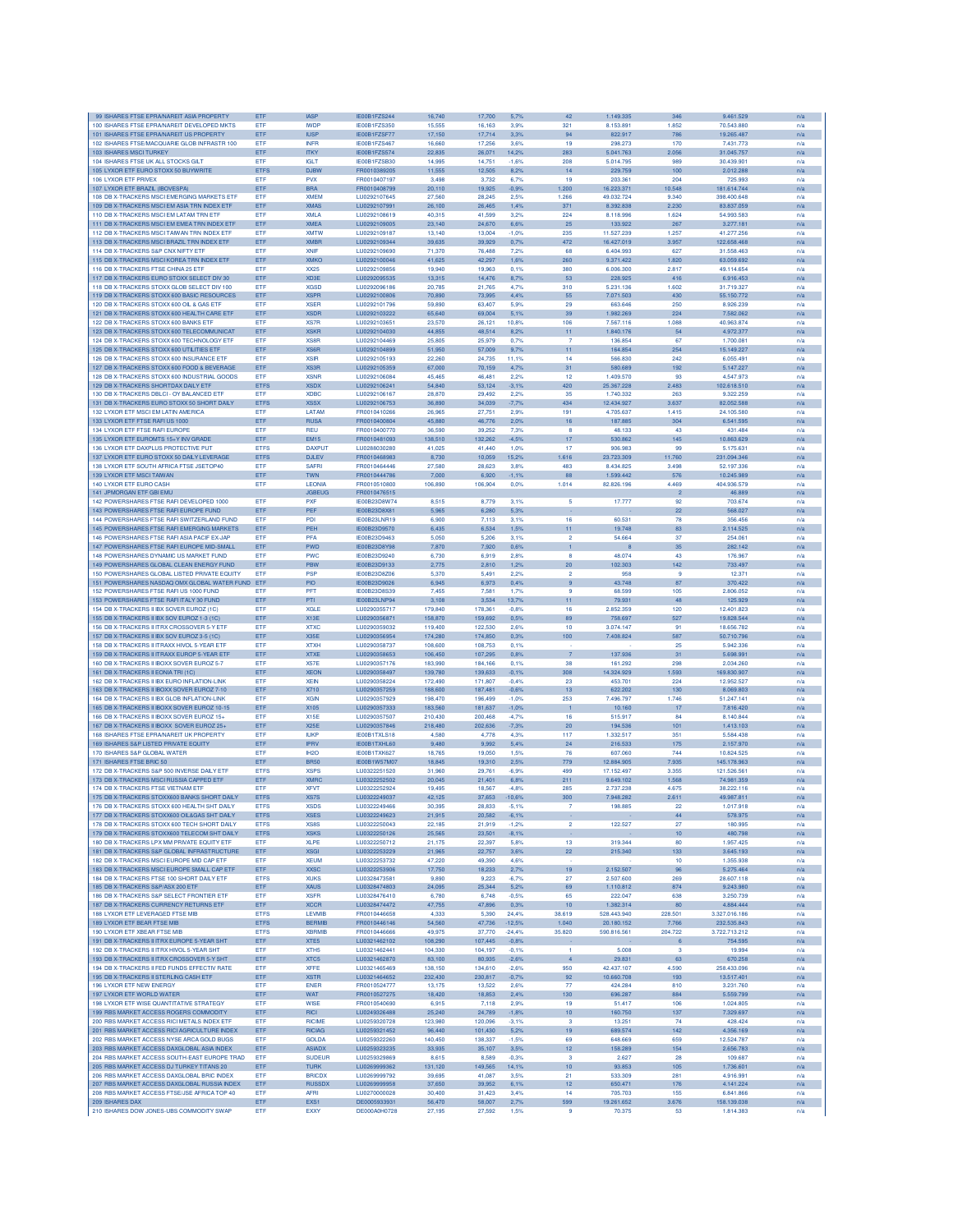| 99 ISHARES FTSE EPRA/NAREIT ASIA PROPERTY                                                   | ETF         | <b>IASP</b>                | IE00B1FZS244                 | 16,740           | 17,700             | 5,7%         | 42                    | 1.149.335            | 346             | 9.461.529                | n/a        |
|---------------------------------------------------------------------------------------------|-------------|----------------------------|------------------------------|------------------|--------------------|--------------|-----------------------|----------------------|-----------------|--------------------------|------------|
| 100 ISHARES FTSE EPRANAREIT DEVELOPED MKTS                                                  | ETF         | <b>IWDP</b>                | <b>IE00B1FZS350</b>          | 15,555           | 16,163             | 3.9%         | 321                   | 8.153.891            | 1.852           | 70.543.880               | n/a        |
| 101 ISHARES FTSE EPRA/NAREIT US PROPERTY                                                    | ETF         | <b>IUSP</b>                | IE00B1FZSF77                 | 17,150           | 17,714             | 3,3%         | 94                    | 822.917              | 786             | 19.265.487               | n/a        |
| 102 ISHARES FTSE/MACQUARIE GLOB INFRASTR 100                                                | ETF         | <b>INFR</b>                | IE00B1FZS467                 | 16,660           | 17,256             | 3.6%         | 19                    | 298.273              | 170             | 7.431.773                | n/a        |
| 103 ISHARES MSCI TURKEY                                                                     | ETF         | <b>ITKY</b>                | IE00B1FZS574                 | 22,835           | 26,071             | 14,2%        | 283                   | 5.041.763            | 2.056           | 31.045.757               | n/a        |
| 104 ISHARES FTSE UK ALL STOCKS GILT                                                         | ETF         | <b>IGLT</b>                | IE00B1FZSB30                 | 14,995           | 14,751             | $-1.6%$      | 208                   | 5.014.795            | 989             | 30.439.901               | n/a        |
| 105 LYXOR ETF EURO STOXX 50 BUYWRITE                                                        | ETFS        | <b>DJBV</b>                | FR0010389205                 | 11,555           | 12,505             | 8,2%         | 14                    | 229.759              | 100             | 2.012.28                 | n/a        |
| 106 LYXOR ETF PRIVEX                                                                        | ETF         | <b>PVX</b>                 | FR0010407197                 | 3.498            | 3,732              | 6.7%         | 19                    | 203.361              | 204             | 725.993                  | n/a        |
| 107 LYXOR ETF BRAZIL (IBOVESPA)                                                             | ETF         | <b>BRA</b>                 | FR0010408799                 | 20,110           | 19.925             | $-0.9%$      | 1.200                 | 16.223.371           | 10.548          | 181.614.744              | n/a        |
| 108 DB X-TRACKERS MSCI EMERGING MARKETS ETF                                                 | ETF         | <b>XMEM</b>                | LU0292107645                 | 27,560           | 28.245             | 2.5%         | 1.266                 | 49.032.724           | 9.340           | 398.400.648              | n/a        |
| 109 DB X-TRACKERS MSCI EM ASIA TRN INDEX ETF                                                | ETF         | <b>XMAS</b>                | LU0292107991                 | 26,100           | 26,465             | 1,4%         | 371                   | 8.392.838            | 2.230           | 83.837.059               | n/a        |
| 110 DB X-TRACKERS MSCI EM LATAM TRN ETF                                                     | ETF         | <b>XMLA</b>                | LU0292108619                 | 40,315           | 41,599             | 3,2%         | 224                   | 8.118.996            | 1.624           | 54.993.583               | n/a        |
| 111 DB X-TRACKERS MSCI EM EMEA TRN INDEX ETF                                                | ETF         | <b>XMEA</b>                | LU0292109005                 | 23,140           | 24,670             | 6.6%         | 25                    | 133.922              | 267             | 3.277.181                | n/a        |
| 112 DB X-TRACKERS MSCI TAIWAN TRN INDEX ETF                                                 | ETF         | <b>XMTW</b>                | LU0292109187                 | 13,140           | 13,004             | $-1.0%$      | 235                   | 11.527.239           | 1.257           | 41.277.256               | n/a        |
| 113 DB X-TRACKERS MSCI BRAZIL TRN INDEX ETF                                                 | ETF         | <b>XMBR</b>                | LU0292109344                 | 39,635           | 39,929             | 0,7%         | 472                   | 16.427.019           | 3.957           | 122.658.468              | n/a        |
| 114 DB X-TRACKERS S&P CNX NIFTY ETF                                                         | ETF         | <b>XNIF</b>                | LU0292109690                 | 71,370           | 76,488             | 7.2%         | 68                    | 6.404.993            | 627             | 31,558,463               | n/a        |
| 115 DB X-TRACKERS MSCI KOREA TRN INDEX ETF                                                  | ETF         | <b>XMKO</b>                | LU0292100046                 | 41.625           | 42.297             | 1.6%         | 260                   | 9.371.422            | 1.820           | 63.059.692               | n/a        |
| 116 DB X-TRACKERS FTSE CHINA 25 ETF                                                         | ETF         | <b>XX25</b>                | LU0292109856                 | 19,940           | 19,963             | 0.1%         | 380                   | 6.006.300            | 2.817           | 49.114.654               | n/a        |
| 117 DB X-TRACKERS EURO STOXX SELECT DIV 30                                                  | ETF         | XD3E                       | LU0292095535                 | 13,315           | 14,476             | 8.7%         | 53                    | 228.925              | 416             | 6.916.453                | n/a        |
| 118 DB X-TRACKERS STOXX GLOB SELECT DIV 100                                                 | ETF         | <b>XGSD</b>                | LU0292096186                 | 20,785           | 21,765             | 4,7%         | 310                   | 5.231.136            | 1.602           | 31.719.327               | n/a        |
| 119 DB X-TRACKERS STOXX 600 BASIC RESOURCES                                                 | ETF         | <b>XSPR</b>                | LU0292100806                 | 70,890           | 73,995             | 4.4%         | 55                    | 7.071.503            | 430             | 55.150.772               | n/a        |
| 120 DB X-TRACKERS STOXX 600 OIL & GAS ETF                                                   | <b>ETF</b>  | <b>XSER</b>                | 1110292101796                | 59,890           | 63,407             | 5.9%         | 29                    | 663,646              | 250             | 8.926.239                | n/a        |
| 121 DB X-TRACKERS STOXX 600 HEALTH CARE ETE                                                 | ETF         | <b>XSDR</b>                | LU0292103222                 | 65,640           | 69,004             | 5.1%         | 39                    | 1.982.269            | 224             | 7.582.062                | n/a        |
| 122 DB X-TRACKERS STOXX 600 BANKS ETF                                                       | ETF         | XS7R                       | LU0292103651                 | 23,570           | 26,121             | 10,8%        | 106                   | 7.567.116            | 1.088           | 40.963.874               | n/a        |
| 123 DB X-TRACKERS STOXX 600 TELECOMMUNICAT                                                  | ETF         | <b>XSKR</b>                | LU0292104030                 | 44,855           | 48,514             | 8,2%         | 11                    | 1.840.176            | 54              | 4.972.377                | n/a        |
| 124 DB X-TRACKERS STOXX 600 TECHNOLOGY ETF                                                  | ETF         | XS8R                       | LU0292104469                 | 25,805           | 25,979             | 0.7%         | $\overline{7}$        | 136.854              | 67              | 1.700.081                | n/a        |
| 125 DB X-TRACKERS STOXX 600 UTILITIES ETF                                                   | ETF         | XS6R                       | LU0292104899                 | 51,950           | 57,009             | 9,7%         | 11                    | 164.854              | 254             | 15.149.227               | n/a        |
| 126 DB X-TRACKERS STOXX 600 INSURANCE ETF                                                   | ETF         | <b>XSIR</b>                | LU0292105193                 | 22,260           | 24,735             | 11,1%        | 14                    | 566,830              | 242             | 6.055.491                | n/a        |
| 127 DB X-TRACKERS STOXX 600 FOOD & BEVERAGE                                                 | ETF         | XS3R                       | LU0292105359                 | 67,000           |                    |              | 31                    | 580,689              | 192             | 5.147.227                |            |
| 128 DB X-TRACKERS STOXX 600 INDUSTRIAL GOODS                                                | ETF         | <b>XSNF</b>                | LU0292106084                 | 45.465           | 70,159<br>46,481   | 4,7%<br>2,2% | 12                    | 1.409.570            | 93              | 4.547.973                | n/a<br>n/a |
|                                                                                             |             |                            |                              |                  |                    |              |                       |                      |                 |                          |            |
| 129 DB X-TRACKERS SHORTDAX DAILY ETF                                                        | ETFS        | <b>XSDX</b>                | LU0292106241                 | 54,840           | 53,124             | $-3.1%$      | 420<br>35             | 25.367.228           | 2.483           | 102.618.510              | n/a        |
| 130 DB X-TRACKERS DBLCI - OY BALANCED ETF                                                   | ETF         | <b>XDBC</b><br><b>XSSX</b> | LU0292106167                 | 28,870           | 29,492             | 2,2%         | 434                   | 1.740.332            | 263             | 9.322.259                | n/a        |
| 131 DB X-TRACKERS EURO STOXX 50 SHORT DAILY                                                 | ETFS        |                            | LU0292106753                 | 36,890           | 34,039             | $-7,7%$      |                       | 12.434.927           | 3.637           | 82.052.588               | n/a        |
| 132 I YXOR FTE MSCLEM LATIN AMERICA                                                         | ETF         | LATAM                      | FR0010410266                 | 26,965           | 27.751             | 2.9%         | 191                   | 4.705.637            | 1.415           | 24.105.580               | n/a        |
| 133 I YXOR FTE FTSE RAFLUS 1000                                                             | ETF         | <b>RUSA</b>                | FR0010400804                 | 45,880           | 46,776             | 2.0%         | 16                    | 187,885              | 304             | 6.541.595                | n/a        |
| 134 LYXOR ETF FTSE RAFI EUROPE                                                              | ETF         | <b>REU</b>                 | FR0010400770                 | 36,590           | 39,252             | 7,3%         | 8                     | 48.133               | 43              | 431.484                  | n/a        |
| 135 LYXOR ETF EUROMTS 15+Y INV GRADE                                                        | ETF         | <b>EM15</b>                | FR0010481093                 | 138,510          | 132,262            | $-4,5%$      | 17                    | 530.862              | 145             | 10.863.629               | n/a        |
| 136 LYXOR ETF DAXPLUS PROTECTIVE PUT                                                        | <b>ETFS</b> | <b>DAXPUT</b>              | LU0288030280                 | 41,025           | 41,440             | 1.0%         | 17                    | 906.983              | 99              | 5.175.63                 | n/a        |
| 137 LYXOR ETF EURO STOXX 50 DAILY LEVERAGE                                                  | ETFS        | <b>DJLEV</b>               | FR0010468983                 | 8,730            | 10,059             | 15,2%        | 1.616                 | 23.723.309           | 11.760          | 231.094.346              | n/a        |
| 138 LYXOR ETF SOUTH AFRICA FTSE JSETOP40                                                    | ETF         | <b>SAFRI</b>               | FR0010464446                 | 27,580           | 28,623             | 3.8%         | 483                   | 8.434.825            | 3.498           | 52.197.336               | n/a        |
| 139 LYXOR ETF MSCI TAIWAN                                                                   | ETF         | <b>TWN</b>                 | FR0010444786                 | 7,000            | 6.920              | $-1,1%$      | 88                    | 1.599.442            | 576             | 10 245 989               | n/a        |
| 140 LYXOR ETF EURO CASH                                                                     | ETF         | LEONIA                     | FR0010510800                 | 106,890          | 106,904            | 0.0%         | 1.014                 | 82.826.196           | 4.469           | 404.936.579              | n/a        |
| 141 JPMORGAN ETF GBI EMU                                                                    |             | <b>JGBEUG</b>              | FR0010476515                 |                  |                    |              |                       |                      | $\overline{2}$  | 46,889                   | n/a        |
| 142 POWERSHARES FTSE RAFI DEVELOPED 1000                                                    | ETF         | PXF                        | <b>IE00B23D8W74</b>          | 8,515            | 8,779              | 3,1%         | 5                     | 17.777               | 92              | 703.67                   | n/a        |
| 143 POWERSHARES FTSE RAFI EUROPE FUND                                                       | ETF         | PEF                        | IE00B23D8X81                 | 5.965            | 6,280              | 5,3%         |                       |                      | 22              | 568,027                  | n/a        |
| 144 POWERSHARES FTSE RAFI SWITZERLAND FUND                                                  | <b>FTF</b>  | PDI                        | IE00B23LNR19                 | 6.900            | 7.113              | 3.1%         | 16                    | 60.531               | 78              | 356 456                  | n/a        |
| 145 POWERSHARES FTSE RAFI EMERGING MARKETS                                                  | ETF         | PEH                        | IE00B23D9570                 | 6.435            | 6.534              | 1.5%         | 11                    | 19.748               | 83              | 2.114.525                | n/a        |
| 146 POWERSHARES FTSE RAFI ASIA PACIF EX-JAP                                                 | <b>ETF</b>  | <b>PFA</b>                 | IE00B23D9463                 | 5.050            | 5.206              | 3.1%         | $\overline{2}$        | 54.664               | 37              | 254.061                  | n/a        |
| 147 POWERSHARES FTSE RAFI EUROPE MID-SMALL                                                  | ETF         | PWD                        | IE00B23D8Y98                 | 7,870            | 7,920              | 0.6%         | 1                     | -8                   | 35              | 282.142                  | n/a        |
| 148 POWERSHARES DYNAMIC US MARKET FUND                                                      | ETF         | PWC                        | IE00B23D9240                 | 6,730            | 6,919              | 2,8%         | 8                     | 48.074               | 43              | 176.967                  | n/a        |
| 149 POWERSHARES GLOBAL CLEAN ENERGY FUND                                                    | ETF         | PBW                        | IE00B23D9133                 | 2,775            | 2,810              | 1,2%         | 20                    | 102.303              | 142             | 733.497                  | n/a        |
| 150 POWERSHARES GLOBAL LISTED PRIVATE EQUITY                                                | <b>FTF</b>  | <b>PSP</b>                 | IE00B23D8Z06                 | 5,370            | 5.491              | 2.2%         | $\overline{2}$        | 958                  | $\mathbf{Q}$    | 12.371                   | n/a        |
| 151 POWERSHARES NASDAQ OMX GLOBAL WATER FUND ETF                                            |             | PIO                        | IE00B23D9026                 | 6,945            | 6,973              | 0,4%         | $\overline{9}$        | 43.748               | 87              | 370.422                  | n/a        |
| 152 POWERSHARES FTSE RAFI US 1000 FUND                                                      | <b>ETF</b>  | PFT                        | IE00B23D8S39                 | 7.455            | 7.581              | 1.7%         | -9                    | 68,599               | 105             | 2.806.052                | n/a        |
| 153 POWERSHARES FTSE RAFI ITALY 30 FUND                                                     | ETF         | PTI                        | IE00B23LNP94                 | 3,108            | 3,534              | 13,7%        | 11                    | 79.931               | 48              | 125.929                  | n/a        |
| 154 DB X-TRACKERS II IBX SOVER EUROZ (1C)                                                   | ETF         | <b>XGLE</b>                | LU0290355717                 | 179,840          | 178,361            | $-0.8%$      | 16                    | 2.852.359            | 120             | 12.401.823               | n/a        |
| 155 DB X-TRACKERS II IBX SOV EUROZ 1-3 (1C)                                                 | ETF         | X13E                       | LU0290356871                 | 158,870          | 159,692            | 0.5%         | 89                    | 758.697              | 527             | 19.828.544               | n/a        |
| 156 DB X-TRACKERS II ITRX CROSSOVER 5-Y ETP                                                 | ETF         | <b>XTXC</b>                | LU0290359032                 | 119,400          | 122,530            | 2.6%         | 10                    | 3.074.147            | 91              | 18,656,782               | n/a        |
| 157 DB X-TRACKERS II IBX SOV EUROZ 3-5 (1C)                                                 | ETF         | <b>X35F</b>                | LU0290356954                 | 174,280          | 174,850            | 0.3%         | 100                   | 7.408.824            | 587             | 50.710.796               | n/a        |
| 158 DB X-TRACKERS II ITRAXX HIVOL 5-YEAR ETF                                                | <b>ETF</b>  | <b>XTXH</b>                | LU0290358737                 | 108,600          | 108.753            | 0.1%         |                       |                      | 25              | 5.942.336                | n/a        |
| 159 DB X-TRACKERS II ITRAXX EUROP 5-YEAR ETF                                                | ETF         | <b>XTXE</b>                | LU0290358653                 | 106,450          | 107,295            | 0,8%         | $\overline{7}$        | 137.936              | 31              | 5.698.991                | n/a        |
| 160 DB X-TRACKERS II IBOXX SOVER EUROZ 5-7                                                  | ETF         | <b>X57E</b>                | LU0290357176                 | 183,990          | 184,166            | 0.1%         | 38                    | 161.292              | 298             | 2.034.260                | n/a        |
| 161 DB X-TRACKERS II EONIA TRI (1C)                                                         | ETF         | <b>XEON</b>                | LU0290358497                 | 139,780          | 139,633            | $-0.1%$      | 308                   | 14.324.929           | 1.593           | 169.830.907              | n/a        |
| 162 DB X-TRACKERS II IBX EURO INFLATION-LINK                                                | ETF         | <b>XEIN</b>                | LU0290358224                 | 172,490          | 171,807            | $-0.4%$      | 23                    | 453.701              | 224             | 12.952.527               | n/a        |
|                                                                                             | ETF         | X710                       |                              | 188,600          |                    | $-0.6%$      | 13                    | 622.202              | 130             | 8.069.803                |            |
| 163 DB X-TRACKERS II IBOXX SOVER EUROZ 7-10<br>164 DB X-TRACKERS II IBX GLOB INFLATION-LINK | ETF         | <b>XGIN</b>                | LU0290357259<br>LU0290357929 | 198,470          | 187,481<br>196,499 | $-1.0%$      | 253                   | 7.496.797            | 1.746           | 51.247.141               | n/a<br>n/a |
|                                                                                             |             |                            |                              |                  |                    |              |                       |                      |                 |                          |            |
| 165 DB X-TRACKERS II IBOXX SOVER EUROZ 10-15                                                | ETF         | X105                       | LU0290357333                 | 183,560          | 181.637            | $-1.0%$      |                       | 10.160               | 17              | 7.816.420                | n/a        |
| 166 DB X-TRACKERS II IBOXX SOVER EUROZ 15+                                                  | ETF         | X15E                       | LU0290357507                 | 210,430          | 200,468            | $-4,7%$      | 16                    | 515.917              | 84              | 8.140.844                | n/a        |
| 167 DB X-TRACKERS II IBOXX SOVER EUROZ 25-                                                  | ETF         | X25E                       | LU0290357846                 | 218,480          | 202,636            | $-7,3%$      | 20                    | 194.536              | 101             | 1.413.103                | n/a        |
| 168 ISHARES FTSE EPRANAREIT UK PROPERTY                                                     | ETF         | <b>IUKF</b>                | IE00B1TXLS18                 | 4,580            | 4,778              | 4,3%         | 117                   | 1.332.517            | 351             | 5.584.438                | n/a        |
| 169 ISHARES S&P LISTED PRIVATE EQUITY                                                       | ETF         | <b>IPRV</b>                | IE00B1TXHL60                 | 9.480            | 9.992              | 5.4%         | 24                    | 216,533              | 175             | 2.157.970                | n/a        |
| 170 ISHARES S&P GLOBAL WATER                                                                | ETF         | IH <sub>2</sub> O          | <b>IE00B1TXK627</b>          | 18.765           | 19.050             | 1.5%         | 76                    | 607,060              | 744             | 10.824.525               | n/a        |
| 171 ISHARES FTSE BRIC 50                                                                    | ETF         | <b>BR50</b>                | IE00B1W57M07                 | 18,845           | 19,310             | 2.5%         | 779                   | 12.884.905           | 7.935           | 145.178.963              | n/a        |
| 172 DB X-TRACKERS S&P 500 INVERSE DAILY ETF                                                 | <b>ETFS</b> | <b>XSPS</b>                | LU0322251520                 | 31,960           | 29,761             | $-6.9%$      | 499                   | 17.152.497           | 3.355           | 121.526.561              | n/a        |
| 173 DB X-TRACKERS MSCI RUSSIA CAPPED ETF                                                    | ETF         | <b>XMRC</b>                | LU0322252502                 | 20,045           | 21,401             | 6.8%         | 211                   | 9.649.102            | 1.568           | 74.981.359               | n/a        |
| 174 DB X-TRACKERS FTSE VIETNAM ETF                                                          | ETF         | <b>XFVT</b>                | LU0322252924                 | 19,495           | 18,567             | $-4.8%$      | 285                   | 2.737.238            | 4.675           | 38.222.116               | n/a        |
| 175 DB X-TRACKERS STOXX600 BANKS SHORT DAILY                                                | ETFS        | XS7S                       | LU0322249037                 | 42,125           | 37,653             | $-10,6%$     | 300                   | 7.948.282            | 2.611           | 49.987.811               | n/a        |
| 176 DB X-TRACKERS STOXX 600 HEALTH SHT DAILY                                                | <b>ETFS</b> | <b>XSDS</b>                | LU0322249466                 | 30,395           | 28,833             | $-5,1%$      |                       | 198.885              | 22              | 1.017.918                | n/a        |
| 177 DB X-TRACKERS STOXX600 OIL&GAS SHT DAILY                                                | <b>ETFS</b> | <b>XSES</b>                | 1110322249623                | 21,915           | 20,582             | $-6,1%$      |                       |                      | 44              | 578.975                  | n/a        |
| 178 DB X-TRACKERS STOXX 600 TECH SHORT DAILY                                                | <b>ETFS</b> | XS8S                       | LU0322250043                 | 22,185           | 21,919             | $-1,2%$      | $\overline{2}$        | 122,527              | 27              | 180.995                  | n/a        |
| 179 DB X-TRACKERS STOXX600 TELECOM SHT DAILY                                                | <b>ETFS</b> | <b>XSKS</b>                | LU0322250126                 | 25,565           | 23,501             | $-8,1%$      |                       |                      | 10 <sub>1</sub> | 480.798                  | n/a        |
| 180 DB X-TRACKERS LPX MM PRIVATE EQUITY ETF                                                 | ETF         | <b>XLPE</b>                | LU0322250712                 | 21,175           | 22,397             | 5.8%         | 13                    | 319.344              | 80              | 1.957.425                | n/a        |
| 181 DB X-TRACKERS S&P GLOBAL INFRASTRUCTURE                                                 | ETF         | <b>XSGI</b>                | LU0322253229                 | 21,965           | 22,757             | 3.6%         | 22                    | 215.340              | 133             | 3.645.193                | n/a        |
| 182 DB X-TRACKERS MSCLEUROPE MID CAP ETE                                                    | ETF         | <b>XEUM</b>                | LU0322253732                 | 47,220           | 49.390             | 4.6%         |                       |                      | 10              | 1,355,938                | n/a        |
| 183 DB X-TRACKERS MSCLEUROPE SMALL CAP ETE                                                  | <b>ETF</b>  | <b>XXSC</b>                | 1110322253906                | 17,750           | 18.233             | 2.7%         | 19                    | 2.152.507            | 96              | 5.275.464                | n/a        |
| 184 DB X-TRACKERS FTSE 100 SHORT DAILY ETF                                                  | <b>ETFS</b> | <b>XUKS</b>                | LU0328473581                 | 9,890            | 9,223              | $-6,7%$      | 27                    | 2.507.600            | 269             | 28.607.118               | n/a        |
| 185 DB X-TRACKERS S&P/ASX 200 ETF                                                           | ETF         | <b>XAUS</b>                | LU0328474803                 | 24,095           | 25,344             | 5,2%         | 69                    | 1.110.812            | 874             | 9.243.980                | n/a        |
| 186 DB X-TRACKERS S&P SELECT FRONTIER ETF                                                   | ETF         | <b>XSFR</b>                | LU0328476410                 | 6,780            | 6,748              | $-0.5%$      | 65                    | 222.047              | 638             | 3.250.739                | n/a        |
| 187 DB X-TRACKERS CURRENCY RETURNS ETF                                                      | ETF         | <b>XCCR</b>                | LU0328474472                 | 47,755           | 47,896             | 0.3%         | 10                    | 1.382.314            | 80              | 4.884.444                | n/a        |
| 188 LYXOR ETF LEVERAGED FTSE MIB                                                            | <b>ETFS</b> | <b>LEVMIB</b>              | FR0010446658                 | 4,333            | 5.390              | 24,4%        | 38.619                | 528.443.940          | 228,501         | 3.327.016.186            | n/a        |
| 189 LYXOR ETF BEAR FTSE MIB                                                                 | <b>ETFS</b> | <b>BERMIB</b>              | FR0010446146                 | 54,560           | 47,736             | $-12.5%$     | 1.040                 | 20.180.152           | 7.766           | 232.535.843              | n/a        |
| 190 I YXOR FTF XBEAR FTSE MIR                                                               | <b>ETFS</b> | <b>XBRMIB</b>              | FR0010446666                 | 49.975           | 37,770             | $-24.4%$     | 35,820                | 590.816.561          | 204.722         | 3722713212               | n/a        |
| 191 DB X-TRACKERS II ITRX EUROPE 5-YEAR SHT                                                 | ETF         | XTE5                       | LU0321462102                 | 108,290          | 107,445            | $-0.8%$      |                       |                      | 6               | 754.595                  | n/a        |
| 192 DB X-TRACKERS II ITRX HIVOL 5-YEAR SHT                                                  | ETF         | XTH <sub>5</sub>           | LU0321462441                 | 104,330          | 104,197            | $-0.1%$      | ٠                     | 5.008                | з               | 19.994                   | n/a        |
| 193 DB X-TRACKERS II ITRX CROSSOVER 5-Y SHT                                                 | ETF         | XTC5                       | LU0321462870                 | 83,100           | 80,935             | $-2.6%$      | 4                     | 29.831               | 63              | 670.258                  | n/a        |
| 194 DB X-TRACKERS II FED FUNDS EFFECTIV RATE                                                | ETF         | <b>XFFE</b>                | LU0321465469                 | 138.150          | 134,610            | $-2.6%$      | 950                   | 42.437.107           | 4.590           | 258 433 096              | n/a        |
| 195 DB X-TRACKERS II STERLING CASH ETF                                                      | ETF         | <b>XSTR</b>                | LU0321464652                 | 232.430          | 230.817            | $-0.7%$      | 92                    | 10.660.708           | 193             | 13,517,401               | n/a        |
| 196 LYXOR ETF NEW ENERGY                                                                    | ETF         | <b>ENER</b>                | FR0010524777                 | 13.175           | 13.522             | 2.6%         | 77                    | 424.284              | 810             | 3.231.760                | n/a        |
|                                                                                             |             |                            |                              |                  |                    |              |                       |                      |                 |                          |            |
| 197 LYXOR ETF WORLD WATER                                                                   | ETF         | WAT<br>WISE                | FR0010527275<br>FR0010540690 | 18,420<br>6,915  | 18,853<br>7,118    | 2,4%<br>2.9% | 130<br>19             | 696.287<br>51.417    | 884<br>106      | 5.559.799<br>1.024.805   | n/a<br>n/a |
|                                                                                             |             |                            |                              |                  |                    |              |                       |                      |                 |                          |            |
| 198 LYXOR ETF WISE QUANTITATIVE STRATEGY                                                    | ETF         |                            |                              | 25,240           | 24,789             | $-1.8%$      | 10 <sub>1</sub>       | 160.750              | 137             | 7.329.697                | n/a        |
| 199 RBS MARKET ACCESS ROGERS COMMODITY                                                      | ETF         | <b>RICI</b>                | LU0249326488                 |                  |                    |              |                       |                      |                 |                          |            |
| 200 RBS MARKET ACCESS RICI METALS INDEX ETF                                                 | ETF         | <b>RICIME</b>              | LU0259320728                 | 123,980          | 120.096            | $-3,1%$      | -3                    | 13.251               | 74              | 428,424                  | n/a        |
| 201 RBS MARKET ACCESS RICI AGRICULTURE INDEX                                                | ETF         | <b>RICIAG</b>              | LU0259321452                 | 96,440           | 101,430            | 5,2%         | 19                    | 689.574              | 142             | 4.356.169                | n/a        |
| 202 RBS MARKET ACCESS NYSE ARCA GOLD BUGS                                                   | ETF         | <b>GOLDA</b>               | LU0259322260                 | 140,450          | 138,337            | $-1.5%$      | 69                    | 648,669              | 659             | 12.524.787               | n/a        |
| 203 RBS MARKET ACCESS DAXGLOBAL ASIA INDEX                                                  | ETF         | <b>ASIADX</b>              | LU0259323235                 | 33,935           | 35,107             | 3,5%         | 12 <sub>2</sub>       | 158.289              | 154             | 2.656.783                | n/a        |
| 204 RBS MARKET ACCESS SOUTH-EAST EUROPE TRAD                                                | ETF         | <b>SUDEUR</b>              | LU0259329869                 | 8,615            | 8,589              | $-0,3%$      | 3                     | 2.627                | 28              | 109.687                  | n/a        |
| 205 RBS MARKET ACCESS DJ TURKEY TITANS 20                                                   | ETF         | <b>TURK</b>                | LU0269999362                 | 131,120          | 149,565            | 14,1%        | 10                    | 93.853               | 105             | 1.736.601                | n/a        |
| 206 RBS MARKET ACCESS DAXGLOBAL BRIC INDEX                                                  | ETF         | <b>BRICDX</b>              | LU0269999792                 | 39,695           | 41,087             | 3.5%         | 21                    | 533,309              | 281             | 4.916.991                | n/a        |
| 207 RBS MARKET ACCESS DAXGLOBAL RUSSIA INDEX                                                | ETF         | <b>RUSSDX</b>              | LU0269999958                 | 37,650           | 39,952             | 6.1%         | 12                    | 650.471              | 176             | 4.141.224                | n/a        |
| 208 RBS MARKET ACCESS FTSE/JSE AFRICA TOP 40                                                | ETF         | <b>AFRI</b>                | LU0270000028                 | 30,400           | 31,423             | 3.4%         | 14                    | 705,703              | 155             | 6.841.866                | n/a        |
| 209 ISHARES DAX<br>210 ISHARES DOW JONES-UBS COMMODITY SWAP                                 | ETF<br>ETF  | EXS1<br>EXXY               | DE0005933931<br>DE000A0H0728 | 56,470<br>27,195 | 58,007<br>27,592   | 2,7%<br>1,5% | 599<br>$\overline{9}$ | 19.261.652<br>70.375 | 3.676<br>53     | 158.139.038<br>1.814.383 | n/a<br>n/a |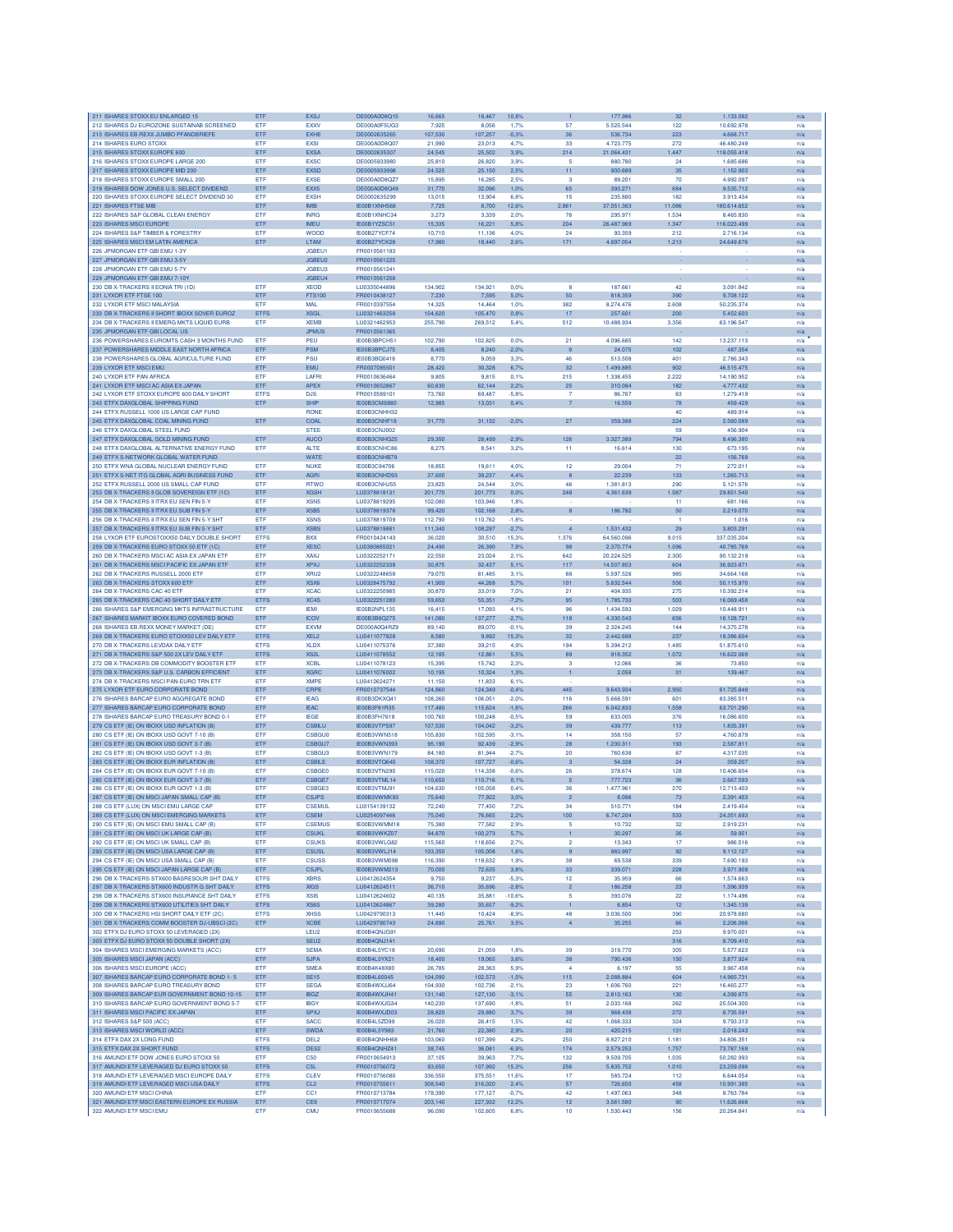|                                                                                              | ETF                        | <b>EXSJ</b>                     | DE000A0D8Q15                 | 16,665             | 18,467             | 10,8%              |                         | 177.986                 | 32           | 1.133.082                | n/a        |
|----------------------------------------------------------------------------------------------|----------------------------|---------------------------------|------------------------------|--------------------|--------------------|--------------------|-------------------------|-------------------------|--------------|--------------------------|------------|
| 212 ISHARES DJ EUROZONE SUSTAINAB SCREENED                                                   | ETF                        | EXXV                            | DE000A0F5UG3                 | 7.925              | 8.056              | 1.7%               | 57                      | 5.525.544               | 122          | 10.692.978               | n/a        |
| 213 ISHARES EB.REXX JUMBO PFANDBRIEFE<br>214 ISHARES EURO STOXX                              | ETF<br>ETF                 | <b>EXHE</b><br>EXSI             | DE0002635265<br>DE000A0D8Q07 | 107,530<br>21,990  | 107,257<br>23,013  | $-0.3%$<br>4.7%    | 36<br>33                | 536.734<br>4.723.775    | 223<br>272   | 4.668.717<br>46.480.249  | n/a<br>n/a |
| 215 ISHARES STOXX EUROPE 600                                                                 | ETF                        | <b>EXSA</b>                     | DE0002635307                 | 24,545             | 25,502             | 3,9%               | 214                     | 21.064.431              | 1.447        | 118.055.418              | n/a        |
| 216 ISHARES STOXX EUROPE LARGE 200                                                           | ETF                        | <b>EXSC</b>                     | DE0005933980                 | 25,810             | 26,820             | 3.9%               | 5                       | 880.780                 | 24           | 1.685.686                | n/a        |
| 217 ISHARES STOXX EUROPE MID 200                                                             | ETF                        | <b>EXSD</b>                     | DE0005933998                 | 24.525             | 25,150             | 2.5%               | 11                      | 900,689                 | 35           | 1.152.903                | n/a        |
| 218 ISHARES STOXX EUROPE SMALL 200                                                           | ETF                        | <b>EXSE</b>                     | DE000A0D8QZ7                 | 15,895             | 16.285             | 2.5%               | -3                      | 89.201                  | 70           | 4.992.097                | n/a        |
| 219 ISHARES DOW JONES U.S. SELECT DIVIDEND<br>220 ISHARES STOXX EUROPE SELECT DIVIDEND 30    | ETF<br>ETF                 | EXX5<br><b>EXSH</b>             | DE000A0D8Q49<br>DE0002635299 | 31,770<br>13,015   | 32.096<br>13,904   | 1.0%<br>6.8%       | 65<br>15                | 393.271<br>235.880      | 684<br>182   | 9.535.712<br>3.913.434   | n/a<br>n/a |
| 221 ISHARES FTSE MIB                                                                         | ETF                        | <b>IMB</b>                      | IE00B1XNH568                 | 7,725              | 8,700              | 12,6%              | 2.861                   | 37.051.363              | 11.086       | 180.614.652              | n/a        |
| 222 ISHARES S&P GLOBAL CLEAN ENERGY                                                          | ETF                        | <b>INRG</b>                     | IE00B1XNHC34                 | 3,273              | 3,339              | 2.0%               | 76                      | 295.971                 | 1.534        | 8.465.830                | n/a        |
| 223 ISHARES MSCI EUROPE                                                                      | ETF                        | <b>IMEU</b>                     | IE00B1YZSC51                 | 15,335             | 16,221             | 5,8%               | 204                     | 26.487.969              | 1.347        | 116.023.499              | n/a        |
| 224 ISHARES S&P TIMBER & FORESTRY                                                            | ETF                        | <b>WOOD</b>                     | IE00B27YCF74                 | 10,710             | 11,136             | 4.0%               | 24                      | 93.359                  | 212          | 2.716.134                | n/a        |
| 225 ISHARES MSCI EM LATIN AMERICA<br>226 JPMORGAN ETF GBI EMU 1-3Y                           | ETF                        | <b>LTAM</b><br><b>JGBEU1</b>    | IE00B27YCK28<br>FR0010561183 | 17,980             | 18,440             | 2.6%               | 171                     | 4.897.054               | 1.213        | 24.649.676               | n/a<br>n/a |
| 227 JPMORGAN ETF GBI EMU 3-5Y                                                                |                            | JGBEU2                          | FR0010561225                 |                    |                    |                    |                         |                         |              |                          | n/a        |
| 228 JPMORGAN ETF GBI EMU 5-7Y                                                                |                            | <b>JGBEU3</b>                   | FR0010561241                 |                    |                    |                    |                         |                         |              |                          | n/a        |
| 229 JPMORGAN ETF GBI EMU 7-10Y                                                               |                            | JGBEU4                          | FR0010561258                 |                    |                    |                    |                         |                         |              |                          | n/a        |
| 230 DB X-TRACKERS II EONIA TRI (1D)                                                          | <b>FTF</b>                 | <b>XFOD</b>                     | LU0335044896                 | 134 902            | 134.921            | 0.0%               | я                       | 187,661                 | 42           | 3.091.842                | n/a        |
| 231 LYXOR ETF FTSE 100<br>232 LYXOR ETF MSCI MALAYSIA                                        | ETF<br>ETF                 | <b>FTS100</b><br>MAL            | ER0010438127<br>FR0010397554 | 7.230<br>14,325    | 7.595<br>14,464    | 5.0%<br>1.0%       | 50<br>382               | 818,359<br>8.274.476    | 390<br>2,608 | 9.708.122<br>50.235.374  | n/a<br>n/a |
| 233 DB X-TRACKERS II SHORT IBOXX SOVER EUROZ                                                 | <b>ETFS</b>                | <b>XSGL</b>                     | LU0321463258                 | 104,620            | 105,470            | 0.8%               | 17                      | 257.601                 | 200          | 5.452.603                | n/a        |
| 234 DB X-TRACKERS II EMERG MKTS LIQUID EURB                                                  | ETF                        | <b>XEMB</b>                     | LU0321462953                 | 255,790            | 269,512            | 5.4%               | 512                     | 10,488.934              | 3.356        | 63.196.547               | n/a        |
| 235 JPMORGAN ETF GBI LOCAL US                                                                |                            | <b>JPMUS</b>                    | FR0010561365                 |                    |                    |                    |                         |                         |              |                          | n/a        |
| 236 POWERSHARES EUROMTS CASH 3 MONTHS FUND                                                   | <b>FTF</b>                 | PEU                             | IE00B3BPCH51                 | 102.790            | 102.825            | 0.0%               | 21                      | 4.096.685               | 142          | 13,237.113               | n/a        |
| 237 POWERSHARES MIDDLE EAST NORTH AFRICA                                                     | ETF                        | <b>PSM</b>                      | IE00B3BPCJ75                 | 8,405              | 8,240              | $-2,0%$            | -9                      | 24.075                  | 102          | 487.354                  | n/a        |
| 238 POWERSHARES GLOBAL AGRICULTURE FUND<br>239 LYXOR ETF MSCI EMU                            | ETF<br>ETF                 | PSU<br>EMU                      | IE00B3BQ0418<br>FR0007085501 | 8.770<br>28,420    | 9.059<br>30,328    | 3.3%<br>6,7%       | 46<br>32                | 513,508<br>1.499.885    | 401<br>902   | 2.786,343<br>46.515.475  | n/a<br>n/a |
| 240 LYXOR ETF PAN AFRICA                                                                     | ETF                        | LAFR                            | FR0010636464                 | 9,805              | 9,815              | 0.1%               | 215                     | 1.338.455               | 2.222        | 14.190.952               | n/a        |
| 241 LYXOR ETF MSCI AC ASIA EX JAPAN                                                          | ETF                        | <b>APEX</b>                     | FR0010652867                 | 60,830             | 62,144             | 2,2%               | 25                      | 310.084                 | 182          | 4.777.432                | n/a        |
| 242 LYXOR ETF STOXX EUROPE 600 DAILY SHORT                                                   | <b>ETFS</b>                | <b>DJS</b>                      | FR0010589101                 | 73,760             | 69.487             | $-5.8%$            | $\overline{7}$          | 86,767                  | 63           | 1.279.419                | n/a        |
| 243 ETFX DAXGLOBAL SHIPPING FUND                                                             | ETF                        | <b>SHIP</b>                     | IE00B3CMS880                 | 12,985             | 13.031             | 0.4%               | 7                       | 16,559                  | 78           | 459,429                  | n/a        |
| 244 ETFX RUSSELL 1000 US LARGE CAP FUND                                                      |                            | <b>RONE</b>                     | IE00B3CNHH32                 |                    |                    |                    |                         |                         | 40           | 489.914                  | n/a        |
| 245 ETFX DAXGLOBAL COAL MINING FUND<br>246 ETFX DAXGLOBAL STEEL FUND                         | ETF                        | COAL<br><b>STEE</b>             | IE00B3CNHF18<br>IE00B3CNJ002 | 31,770             | 31,132             | $-2,0%$            | $27\,$                  | 359.388                 | 224<br>59    | 2.560.089<br>456.904     | n/a<br>n/a |
| 247 ETFX DAXGLOBAL GOLD MINING FUND                                                          | ETF                        | <b>AUCO</b>                     | IE00B3CNHG25                 | 29,350             | 28,499             | $-2,9%$            | 126                     | 3.327.389               | 794          | 8.496.380                | n/a        |
| 248 ETFX DAXGLOBAL ALTERNATIVE ENERGY FUND                                                   | ETF                        | <b>ALTE</b>                     | IE00B3CNHC86                 | 8,275              | 8,541              | 3.2%               | 11                      | 16.614                  | 130          | 673.195                  | n/a        |
| 249 ETFX S-NETWORK GLOBAL WATER FUND                                                         |                            | <b>WATE</b>                     | IE00B3CNHB79                 |                    |                    |                    |                         |                         | 22           | 156.769                  | n/a        |
| 250 FTFX WNA GLOBAL NUCLEAR ENERGY FUND                                                      | ETF                        | <b>NUKE</b>                     | IE00B3C94706                 | 18,855             | 19.611             | 4.0%               | 12                      | 29,004                  | 71           | 272.011                  | n/a        |
| 251 ETFX S-NET ITG GLOBAL AGRI BUSINESS FUND                                                 | ETF                        | <b>AGRI</b>                     | IE00B3CNHD93                 | 37,600             | 39.237             | 4.4%               |                         | 22.239                  | 133          | 1.265.713                | n/a        |
| 252 ETFX RUSSELL 2000 US SMALL CAP FUND<br>253 DB X-TRACKERS II GLOB SOVEREIGN ETF (1C)      | ETF<br>ETF                 | <b>RTWO</b><br><b>XGSH</b>      | IE00B3CNHJ55<br>LU0378818131 | 23,825<br>201,770  | 24.544<br>201,773  | 3.0%<br>0.0%       | 46<br>248               | 1,381,813<br>4.361.639  | 290<br>1.087 | 5.121.576<br>29.851.540  | n/a        |
| 254 DB X-TRACKERS II ITRX EU SEN FIN 5-Y                                                     | ETF                        | XSN <sub>5</sub>                | 1110378819295                | 102,080            | 103.946            | 1.8%               |                         |                         | 11           | 681.166                  | n/a<br>n/a |
| 255 DB X-TRACKERS II ITRX EU SUB FIN 5-Y                                                     | ETF                        | XSB <sub>5</sub>                | LU0378819378                 | 99.420             | 102,168            | 2.8%               | 8                       | 186.782                 | 50           | 2.219.070                | n/a        |
| 256 DB X-TRACKERS ILITRX ELLSEN EIN 5-Y SHT                                                  | <b>ETF</b>                 | <b>XSNS</b>                     | 1110378819709                | 112,790            | 110.762            | $-1.8%$            |                         |                         |              | 1.016                    | n/a        |
| 257 DB X-TRACKERS II ITRX EU SUB FIN 5-Y SHT                                                 | ETF                        | <b>XSBS</b>                     | LU0378819881                 | 111,340            | 108,297            | $-2,7%$            | $\overline{4}$          | 1.531.432               | 29           | 3.803.291                | n/a        |
| 258 LYXOB ETE EUROSTOXX50 DAILY DOUBLE SHORT                                                 | <b>ETFS</b>                | <b>BXX</b>                      | FR0010424143                 | 36,020             | 30,510             | $-15.3%$           | 1.376                   | 64.560.096              | 9.015        | 337 035 204              | n/a        |
| 259 DB X-TRACKERS EURO STOXX 50 ETF (1C)                                                     | ETF                        | <b>XESC</b>                     | LU0380865021                 | 24,490             | 26,390             | 7,8%               | 98                      | 2.370.774               | 1.096        | 40,785,769               | n/a        |
| 260 DB X-TRACKERS MSCI AC ASIA EX JAPAN ETP                                                  | ETF                        | <b>XAXJ</b><br><b>XPXJ</b>      | LU0322252171<br>LU0322252338 | 22,550             | 23,024             | 2,1%               | 642                     | 20.224.525              | 2.300        | 90.132.219               | n/a        |
| 261 DB X-TRACKERS MSCI PACIFIC EX JAPAN ETF<br>262 DB X-TRACKERS RUSSELL 2000 ETF            | ETF<br>ETF                 | XRU <sub>2</sub>                | LU0322248658                 | 30,875<br>79,070   | 32,437<br>81,485   | 5,1%<br>3.1%       | 117<br>88               | 14.507.853<br>5,597,528 | 604<br>985   | 36.923.871<br>34,664,168 | n/a<br>n/a |
| 263 DB X-TRACKERS STOXX 600 ETF                                                              | ETF                        | XSX6                            | LU0328475792                 | 41,900             | 44.268             | 5,7%               | 101                     | 5.632.544               | 556          | 50.115.970               | n/a        |
| 264 DB X-TRACKERS CAC 40 ETF                                                                 | ETF                        | <b>XCAC</b>                     | LU0322250985                 | 30,870             | 33,019             | 7,0%               | 21                      | 404.935                 | 275          | 10.392.214               | n/a        |
| 265 DB X-TRACKERS CAC 40 SHORT DAILY ETF                                                     | <b>ETFS</b>                | XC4S                            | LU0322251280                 | 59,650             | 55,351             | $-7,2%$            | 95                      | 1.785.733               | 503          | 16.069.458               | n/a        |
| 266 ISHARES S&P EMERGING MKTS INFRASTRUCTURE                                                 | ETF                        | <b>IEM</b>                      | IE00B2NPL135                 | 16,415             | 17,093             | 4.1%               | 96                      | 1.434.593               | 1.029        | 10.448.91                | n/a        |
| 267 ISHARES MARKIT IBOXX EURO COVERED BOND<br>268 ISHARES EB.REXX MONEY MARKET (DE           | ETF                        | <b>ICOV</b><br><b>EXVM</b>      | IE00B3B8Q275<br>DE000A0Q4RZ9 | 141.080<br>89.140  | 137,277            | 2.7%<br>$-0.1%$    | 118<br>39               | 4.330.543<br>2.324.245  | 656<br>144   | 16.128.721<br>14.375.278 | n/a        |
| 269 DB X-TRACKERS EURO STOXX50 LEV DAILY ETF                                                 | <b>ETF</b><br><b>ETFS</b>  | XEL <sub>2</sub>                | LU0411077828                 | 8,580              | 89,070<br>9.892    | 15.3%              | 32                      | 2.442.688               | 237          | 18,386,604               | n/a<br>n/a |
| 270 DB X-TRACKERS LEVDAX DAILY ETF                                                           | <b>ETFS</b>                | <b>XLDX</b>                     | LU0411075376                 | 37,380             | 39,215             | 4,9%               | 194                     | 5.394.212               | 1.485        | 51.875.610               | n/a        |
| 271 DB X-TRACKERS S&P 500 2X LEV DAILY ETF                                                   | <b>ETFS</b>                | XS <sub>2</sub> L               | LU0411078552                 | 12,185             | 12,861             | 5.5%               | 89                      | 918.352                 | 1.072        | 16.622.069               | n/a        |
| 272 DB X-TRACKERS DB COMMODITY BOOSTER ETF                                                   |                            |                                 |                              |                    |                    | 2,3%               | 3                       | 12.066                  | 36           | 73.850                   | n/a        |
|                                                                                              | ETF                        | <b>XCBL</b>                     | LU0411078123                 | 15,395             | 15,742             |                    |                         |                         |              |                          |            |
| 273 DB X-TRACKERS S&P U.S. CARBON EFFICIENT                                                  | ETF                        | <b>XGRC</b>                     | LU0411076002                 | 10,195             | 10,324             | 1,3%               | 1                       | 2.058                   | 31           | 139.467                  | n/a        |
| 274 DB X-TRACKERS MSCI PAN-EURO TRN ETF                                                      | ETF                        | <b>XMPF</b>                     | LU0412624271                 | 11,150             | 11,833             | 6.1%               |                         |                         |              |                          | n/a        |
| 275 LYXOR ETF EURO CORPORATE BOND                                                            | ETF                        | CRPE                            | FR0010737544                 | 124,860            | 124,349            | $-0.4%$            | 445                     | 9.643.934               | 2.950        | 61.725.849               | n/a        |
| 276 ISHARES BARCAP EURO AGGREGATE BOND                                                       | ETF                        | <b>IEAG</b>                     | IE00B3DKXQ41                 | 108,260            | 106,051            | $-2,0%$            | 116                     | 5.668.591               | 601          | 83,385.511               | n/a        |
| 277 ISHARES BARCAP EURO CORPORATE BOND                                                       | ETF<br>ETF                 | <b>IEAC</b><br><b>IEGE</b>      | IE00B3F81R35<br>IE00B3FH7618 | 117,480<br>100,760 | 115,624<br>100,248 | $-1.6%$<br>$-0.5%$ | 266<br>59               | 6.042.833<br>633.005    | 1.558<br>376 | 63.701.290<br>16.086.600 | n/a<br>n/a |
| 278 ISHARES BARCAP EURO TREASURY BOND 0-1<br>279 CS ETF (IE) ON IBOXX USD INFLATION (B)      | ETF                        | <b>CSBILU</b>                   | IE00B3VTPS97                 | 107.530            | 104.042            | 3.2%               | 39                      | 439.777                 | 113          | 1.835.391                | n/a        |
| 280 CS ETF (IE) ON IBOXX USD GOVT 7-10 (B                                                    | <b>FTF</b>                 | <b>CSBGU0</b>                   | IE00B3VWN518                 | 105830             | 102.595            | $-3.1%$            | 14                      | 358 150                 | 57           | 4.760.879                | n/a        |
| 281 CS ETF (IE) ON IBOXX USD GOVT 3-7 (B)                                                    | ETF                        | CSBGU7                          | IE00B3VWN393                 | 95.190             | 92.439             | $-2.9%$            | 28                      | 1.230.311               | 193          | 2.587.811                | n/a        |
| 282 CS ETF (IE) ON IBOXX USD GOVT 1-3 (B)                                                    | ETF                        | CSBGU3                          | IE00B3VWN179                 | 84,180             | 81,944             | $-2.7%$            | 20                      | 760.638                 | 87           | 4.317.035                | n/a        |
| 283 CS ETF (IE) ON IBOXX EUR INFLATION (B)                                                   | ETF                        | CSBILE                          | IE00B3VTQ640                 | 108,370            | 107,727            | $-0.6%$            | $\overline{\mathbf{3}}$ | 54.328                  | 24           | 359.207                  | n/a        |
| 284 CS ETF (IE) ON IBOXX EUR GOVT 7-10 (B)<br>285 CS ETF (IE) ON IBOXX EUR GOVT 3-7 (B)      | ETF<br>ETF                 | <b>CSBGE0</b><br>CSBGE7         | IE00B3VTN290<br>IE00B3VTML14 | 115,020<br>110,650 | 114,338<br>110,716 | $-0.6%$<br>0,1%    | 26<br>5                 | 378.674<br>777.723      | 128<br>36    | 10.406.604<br>2.667.593  | n/a<br>n/a |
| 286 CS ETF (IE) ON IBOXX EUR GOVT 1-3 (B)                                                    | ETF                        | CSBGE3                          | IE00B3VTMJ91                 | 104,630            | 105,058            | 0.4%               | 36                      | 1.477.961               | 270          | 12.713.403               | n/a        |
| 287 CS ETF (IE) ON MSCI JAPAN SMALL CAP (B)                                                  | ETF                        | <b>CSJPS</b>                    | IE00B3VWMK93                 | 75,640             | 77,922             | 3.0%               | $\overline{2}$          | 8.086                   | 73           | 2.391.453                | n/a        |
| 288 CS ETF (LUX) ON MSCI EMU LARGE CAP                                                       | ETF                        | <b>CSEMUL</b>                   | LU0154139132                 | 72,240             | 77,450             | 7,2%               | 34                      | 510.771                 | 184          | 2.419.454                | n/a        |
| 289 CS ETF (LUX) ON MSCI EMERGING MARKETS                                                    | ETF                        | <b>CSEM</b>                     | LU0254097446                 | 75,040             | 76,665             | 2,2%               | 100                     | 6.747.204               | 533          | 24.351.693               | n/a        |
| 290 CS ETF (IE) ON MSCI EMU SMALL CAP (B)                                                    | ETF                        | <b>CSEMUS</b>                   | IE00B3VWMM18<br>IE00B3VWKZ07 | 75,380             | 77,582             | 2.9%               | 5                       | 10.732                  | 32           | 2.919.231                | n/a        |
| 291 CS ETF (IE) ON MSCI UK LARGE CAP (B)<br>292 CS ETF (IE) ON MSCI UK SMALL CAP (B)         | ETF<br>ETF                 | <b>CSUKL</b><br><b>CSUKS</b>    | IE00B3VWLG82                 | 94,870<br>115,560  | 100,273<br>118,656 | 5,7%<br>2.7%       | 1<br>$\overline{2}$     | 30.297<br>13,343        | 26<br>17     | 59.951<br>986,516        | n/a<br>n/a |
| 293 CS ETF (IE) ON MSCI USA LARGE CAP (B)                                                    | ETF                        | <b>CSUSL</b>                    | IE00B3VWLJ14                 | 103.350            | 105.008            | 1.6%               | 9                       | 983.997                 | 92           | 9.112.127                | n/a        |
| 294 CS ETF (IE) ON MSCI USA SMALL CAP (B)                                                    | ETF                        | <b>CSUSS</b>                    | IF00B3VWM098                 | 116,390            | 118,632            | 1.9%               | 38                      | 69,538                  | 339          | 7.690.193                | n/a        |
| 295 CS ETF (IE) ON MSCI JAPAN LARGE CAP (B)                                                  | ETF                        | <b>CSJPL</b>                    | IE00B3VWM213                 | 70,000             | 72,635             | 3,8%               | 33                      | 339.071                 | 228          | 3.971.909                | n/a        |
| 296 DB X-TRACKERS STX600 BASRESOUR SHT DAILY                                                 | <b>ETFS</b>                | <b>XBRS</b>                     | LU0412624354                 | 9,750              | 9,237              | $-5.3%$            | 12                      | 35.959                  | 66           | 1.574.663                | n/a        |
| 297 DB X-TRACKERS STX600 INDUSTR G SHT DAILY                                                 | <b>ETFS</b>                | <b>XIGS</b>                     | LU0412624511                 | 36,710             | 35,696             | $-2,8%$            | $\overline{2}$          | 186.258                 | 23           | 1.396.939                | n/a        |
| 298 DB X-TRACKERS STX600 INSURANCE SHT DAILY<br>299 DB X-TRACKERS STX600 UTILITIES SHT DAILY | <b>ETFS</b><br><b>ETFS</b> | <b>XSIS</b><br>XS6S             | LU0412624602<br>LU0412624867 | 40,135<br>39,280   | 35,881             | $-10,6%$           | -5<br>1                 | 393.076<br>6.854        | 22<br>12     | 1.174.496<br>1.345.139   | n/a        |
| 300 DB X-TRACKERS HSI SHORT DAILY ETF (2C)                                                   | <b>ETFS</b>                | <b>XHSS</b>                     | LU0429790313                 | 11,445             | 35,657<br>10.424   | $-9,2%$<br>$-8.9%$ | 48                      | 3.036.500               | 390          | 20.978.680               | n/a<br>n/a |
| 301 DB X-TRACKERS COMM BOOSTER DJ-UBSCI (2C)                                                 | ETF                        | <b>XCBE</b>                     | LU0429790743                 | 24,890             | 25,761             | 3,5%               | $\overline{4}$          | 35.255                  | 66           | 2.206.066                | n/a        |
| 302 ETFX DJ EURO STOXX 50 LEVERAGED (2X)                                                     |                            | LEU2                            | IE00B4QNJG91                 |                    |                    |                    |                         |                         | 253          | 9.970.001                | n/a        |
| 303 ETFX DJ EURO STOXX 50 DOUBLE SHORT (2X)                                                  |                            | SEU <sub>2</sub>                | IE00B4QNJ141                 |                    |                    |                    |                         |                         | 316          | 8.709.410                | n/a        |
| 304 ISHARES MSCI EMERGING MARKETS (ACC)                                                      | <b>FTF</b>                 | <b>SEMA</b>                     | <b>IF00B4L5YC18</b>          | 20,690             | 21.059             | 1.8%               | 39                      | 319,770                 | 305          | 5.577.623                | n/a        |
| 305 ISHARES MSCI JAPAN (ACC)<br>306 ISHARES MSCI EUROPE (ACC)                                | ETF<br>ETF                 | <b>SJPA</b><br><b>SMEA</b>      | IE00B4L5YX21<br>IE00B4K48X80 | 18,400<br>26,785   | 19,065<br>28,363   | 3,6%<br>5.9%       | 38<br>$\boldsymbol{A}$  | 790.436<br>6.197        | 150<br>55    | 3.877.924<br>3.967.458   | n/a<br>n/a |
| 307 ISHARES BARCAP EURO CORPORATE BOND 1-5                                                   | ETF                        | <b>SE15</b>                     | IE00B4L60045                 | 104,090            | 102,573            | $-1,5%$            | 115                     | 2.088.884               | 604          | 14.965.731               | n/a        |
| 308 ISHARES BARCAP EURO TREASURY BOND                                                        | ETF                        | <b>SEGA</b>                     | IE00B4WXJJ64                 | 104,930            | 102,736            | $-2.1%$            | 23                      | 1,606,760               | 221          | 16,465,277               | n/a        |
| 309 ISHARES BARCAP EUR GOVERNMENT BOND 10-15                                                 | ETF                        | <b>IBGZ</b>                     | IE00B4WXJH41                 | 131,140            | 127,130            | $-3,1%$            | 55                      | 2.810.163               | 130          | 4.399.875                | n/a        |
| 310 ISHARES BARCAP EURO GOVERNMENT BOND 5-7                                                  | ETF                        | <b>IBGY</b>                     | IE00B4WXJG34                 | 140,230            | 137,690            | $-1.8%$            | 51                      | 2.033.168               | 262          | 25,504,300               | n/a        |
| 311 ISHARES MSCI PACIFIC EX-JAPAN                                                            | ETF                        | <b>SPXJ</b>                     | IE00B4WXJD03                 | 28,820             | 29,880             | 3,7%               | 39                      | 968.438                 | 272          | 8.735.591                | n/a        |
| 312 ISHARES S&P 500 (ACC)                                                                    | ETF                        | SACC                            | IE00B4L5ZD99                 | 26,020             | 26,415             | 1.5%               | 42                      | 1.068.333               | 324          | 9.793.313                | n/a        |
| 313 ISHARES MSCI WORLD (ACC)                                                                 | <b>ETF</b><br><b>ETFS</b>  | <b>SWDA</b><br>DEL <sub>2</sub> | IE00B4L5Y983<br>IE00B4QNHH68 | 21,760             | 22,380             | 2.9%               | 20<br>250               | 420.215<br>8.827.210    | 131<br>1.181 | 2.018.243                | n/a        |
| 314 ETFX DAX 2X LONG FUND<br>315 ETFX DAX 2X SHORT FUND                                      | <b>ETFS</b>                | DES <sub>2</sub>                | IE00B4QNHZ41                 | 103,060<br>38,745  | 107,399<br>36,081  | 4,2%<br>$-6.9%$    | 174                     | 2.579.253               | 1.757        | 34.806.351<br>73.787.169 | n/a<br>n/a |
| 316 AMUNDI ETF DOW JONES EURO STOXX 50                                                       | ETF                        | C50                             | FR0010654913                 | 37,105             | 39,963             | 7,7%               | 132                     | 9.509.705               | 1.035        | 50.282.993               | n/a        |
| 317 AMUNDI ETF LEVERAGED DJ EURO STOXX 50                                                    | <b>ETFS</b>                | C <sub>51</sub>                 | FR0010756072                 | 93,650             | 107,992            | 15,3%              | 256                     | 5.835.752               | 1.010        | 23.259.098               | n/a        |
| 318 AMUNDI ETF LEVERAGED MSCI EUROPE DAILY                                                   | <b>ETFS</b>                | CLEV                            | FR0010756080                 | 336,550            | 375,551            | 11.6%              | 17                      | 583.724                 | 112          | 6.644.054                | n/a        |
| 319 AMUNDI ETF LEVERAGED MSCI USA DAILY                                                      | <b>ETFS</b>                | CL <sub>2</sub>                 | FR0010755611                 | 308.540            | 316,020            | 2.4%               | 57                      | 726,650                 | 458          | 10.991.385               | n/a        |
| 320 AMUNDI ETF MSCI CHINA<br>321 AMUNDI ETF MSCI EASTERN EUROPE EX RUSSIA                    | ETF<br>ETF                 | CC1<br>CE9                      | FR0010713784<br>FR0010717074 | 178,390<br>203,140 | 177,127<br>227,932 | $-0.7%$<br>12,2%   | 42<br>12                | 1.497.063<br>3.561.580  | 348<br>90    | 8.763.784<br>11.626.668  | n/a<br>n/a |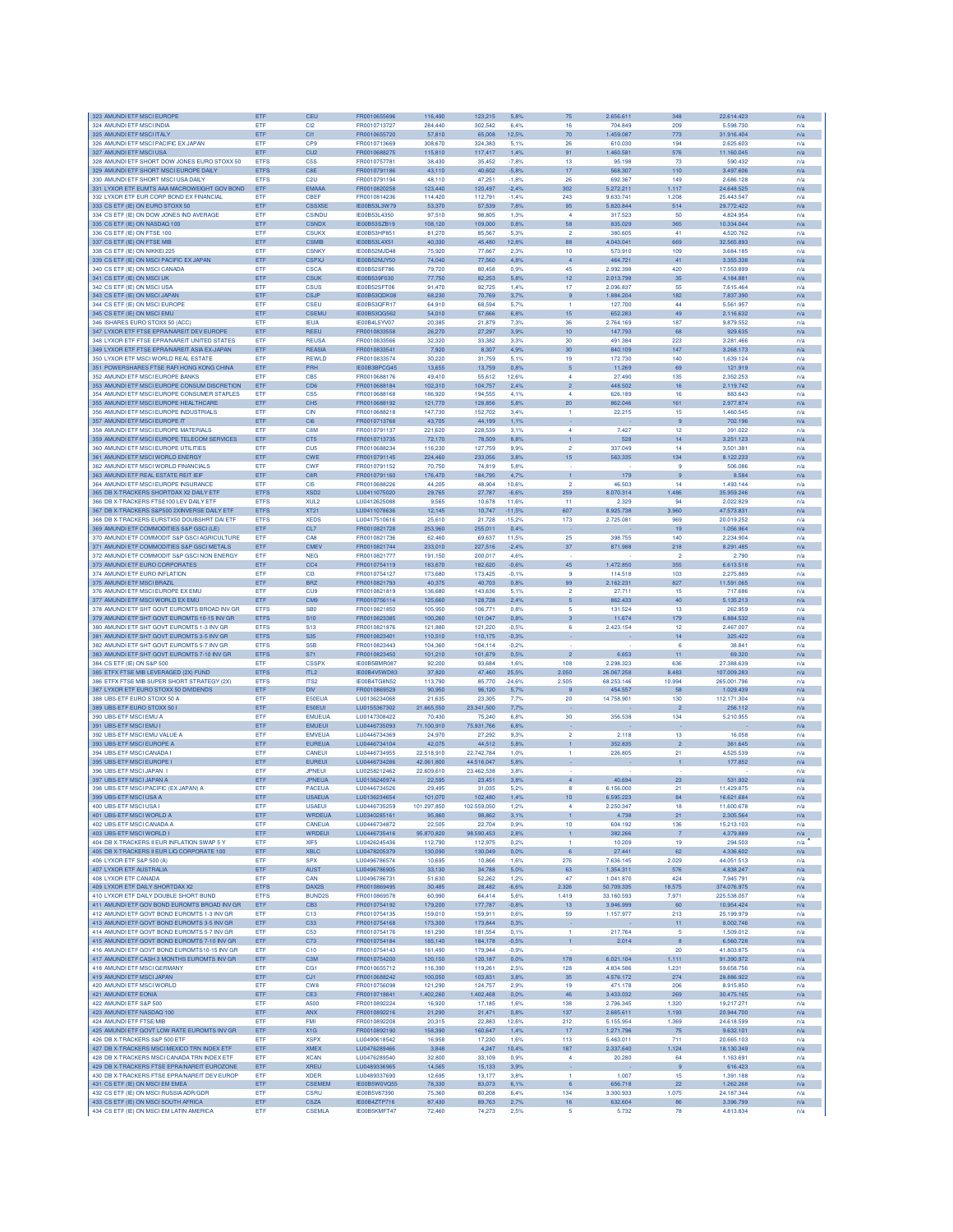| 323 AMUNDI ETF MSCI EUROPE                                                                   | ETF                        | CEU                                 | FR0010655696                 | 116,490              | 123,215              | 5,8%               | 75                           | 2.656.611                | 348                   | 22.614.423                 | n/a        |
|----------------------------------------------------------------------------------------------|----------------------------|-------------------------------------|------------------------------|----------------------|----------------------|--------------------|------------------------------|--------------------------|-----------------------|----------------------------|------------|
| 324 AMUNDI ETF MSCI INDIA                                                                    | ETF                        | C <sub>12</sub>                     | FR0010713727                 | 284,440              | 302.542              | 6.4%               | 16                           | 704.849                  | 209                   | 5,598,730                  | n/a        |
| 325 AMUNDI ETF MSCI ITALY<br>326 AMUNDI ETF MSCI PACIFIC EX JAPAN                            | ETF<br>ETF                 | C <sub>I1</sub><br>CPS              | FR0010655720<br>FR0010713669 | 57,810<br>308,670    | 65,008<br>324,383    | 12,5%<br>5.1%      | 70<br>26                     | 1.459.087<br>610.030     | 773<br>194            | 31.916.404<br>2.625.603    | n/a<br>n/a |
| 327 AMUNDI ETF MSCI USA                                                                      | ETF                        | CU <sub>2</sub>                     | FR0010688275                 | 115,810              | 117,417              | 1,4%               | 91                           | 1.460.581                | 576                   | 11.160.045                 | n/a        |
| 328 AMUNDI ETF SHORT DOW JONES EURO STOXX 50                                                 | <b>ETFS</b>                | C <sub>5</sub> S                    | FR0010757781                 | 38,430               | 35,452               | $-7,8%$            | 13                           | 95.198                   | 73                    | 590.432                    | n/a        |
| 329 AMUNDI ETF SHORT MSCI EUROPE DAILY                                                       | <b>ETFS</b>                | C <sub>RE</sub>                     | FR0010791186                 | 43,110               | 40,602               | $-5.8%$            | 17                           | 568.307                  | 110                   | 3.497.606                  | n/a        |
| 330 AMUNDI ETF SHORT MSCI USA DAILY                                                          | <b>ETFS</b>                | C <sub>2U</sub>                     | FR0010791194                 | 48.110               | 47.251               | $-1.8%$            | 26                           | 692.367                  | 149                   | 2.686.128<br>24 648 525    | n/a        |
| 331 LYXOR ETF EUMTS AAA MACROWEIGHT GOV BOND<br>332 LYXOR ETF EUR CORP BOND EX FINANCIAL     | ETF<br>ETF                 | <b>EMAAA</b><br>CBEF                | FR0010820258<br>FR0010814236 | 123,440<br>114,420   | 120.497<br>112,791   | $-2.4%$<br>$-1,4%$ | 302<br>243                   | 5.272.211<br>9.633.741   | 1.117<br>1.208        | 25.443.547                 | n/a<br>n/a |
| 333 CS ETF (IE) ON EURO STOXX 50                                                             | ETF                        | <b>CSSX5E</b>                       | IE00B53L3W79                 | 53,370               | 57,539               | 7,8%               | 95                           | 5.820.844                | 514                   | 29.772.422                 | n/a        |
| 334 CS ETF (IE) ON DOW JONES IND AVERAGE                                                     | ETF                        | <b>CSINDU</b>                       | IE00B53L4350                 | 97,510               | 98,805               | 1,3%               | 4                            | 317.523                  | 50                    | 4.824.954                  | n/a        |
| 335 CS ETF (IE) ON NASDAQ 100                                                                | ETF                        | <b>CSNDX</b>                        | IE00B53SZB19                 | 108,120              | 109,000              | 0,8%               | 58                           | 835.029                  | 365                   | 10.334.044                 | n/a        |
| 336 CS ETF (IE) ON FTSE 100                                                                  | <b>FTF</b>                 | <b>CSUKX</b>                        | IE00B53HP851                 | 81,270               | 85,567               | 5.3%               | $\overline{2}$               | 380,605                  | 41                    | 4.520.762                  | n/a        |
| 337 CS ETF (IE) ON FTSE MIB<br>338 CS ETF (IE) ON NIKKEI 225                                 | ETF<br>ETF                 | <b>CSMIB</b><br><b>CSNKY</b>        | IE00B53L4X51<br>IE00B52MJD48 | 40.330<br>75.920     | 45,480<br>77,667     | 12.8%<br>2,3%      | 88<br>10                     | 4.043.041<br>573.910     | 669<br>109            | 32.565.893<br>3.684.185    | n/a        |
| 339 CS ETF (IE) ON MSCI PACIFIC EX JAPAN                                                     | ETF                        | <b>CSPXJ</b>                        | IE00B52MJY50                 | 74,040               | 77,560               | 4.8%               |                              | 464.721                  | 41                    | 3.355.338                  | n/a<br>n/a |
| 340 CS ETF (IE) ON MSCI CANADA                                                               | ETF                        | <b>CSCA</b>                         | IE00B52SF786                 | 79.720               | 80,458               | 0.9%               | 45                           | 2.992.398                | 420                   | 17.553.899                 | n/a        |
| 341 CS ETF (IE) ON MSCI UK                                                                   | ETF                        | <b>CSUK</b>                         | <b>IE00B539E030</b>          | 77,750               | 82.253               | 5.8%               | 12                           | 2.013.798                | 35                    | 4.184.881                  | n/a        |
| 342 CS ETF (IE) ON MSCI USA                                                                  | ETF                        | CSUS                                | IE00B52SFT06                 | 91,470               | 92.725               | 1.4%               | 17                           | 2.096.837                | 55                    | 7.615.464                  | n/a        |
| 343 CS ETF (IE) ON MSCI JAPAN                                                                | ETF                        | CSJP                                | IE00B53QDK08                 | 68,230               | 70,769               | 3.7%               | 9                            | 1.884.204                | 182                   | 7.837.390                  | n/a        |
| 344 CS ETF (IE) ON MSCI EUROPE<br>345 CS ETF (IE) ON MSCI EMU                                | ETF<br>ETF                 | CSEU<br><b>CSEML</b>                | IE00B53QFR17<br>IE00B53QG562 | 64,910<br>54,010     | 68,594<br>57,666     | 5.7%<br>6,8%       | 15                           | 127.700<br>652.283       | 44<br>49              | 5.561.957<br>2.116.632     | n/a<br>n/a |
| 346 ISHARES EURO STOXX 50 (ACC)                                                              | ETF                        | <b>IEUA</b>                         | IE00B4L5YV07                 | 20,385               | 21,879               | 7,3%               | 36                           | 2.764.169                | 187                   | 9.879.552                  | n/a        |
| 347 LYXOR ETF FTSE EPRANAREIT DEV EUROPE                                                     | ETF                        | <b>REEU</b>                         | FR0010833558                 | 26,270               | 27,297               | 3,9%               | $10$                         | 147.793                  | 68                    | 929.635                    | n/a        |
| 348 LYXOR ETF FTSE EPRANAREIT UNITED STATES                                                  | ETF                        | <b>REUSA</b>                        | FR0010833566                 | 32,320               | 33,382               | 3,3%               | 30                           | 491.384                  | 223                   | 3.281.466                  | n/a        |
| 349 LYXOR ETF FTSE EPRANAREIT ASIA EX-JAPAN                                                  | ETF                        | REASIA                              | FR0010833541                 | 7,920                | 8,307                | 4.9%               | 30                           | 840.109                  | 147                   | 3.268.173                  | n/a        |
| 350 LYXOR ETF MSCI WORLD REAL ESTATE<br>351 POWERSHARES FTSE RAFI HONG KONG CHINA            | ETF<br>ETF                 | REWLD<br>PRH                        | FR0010833574<br>IE00B3BPCG45 | 30,220<br>13,655     | 31,759<br>13,759     | 5.1%<br>0.8%       | 19<br>$\sqrt{5}$             | 172.730<br>11.269        | 140<br>69             | 1.639.124<br>121.919       | n/a<br>n/a |
| 352 AMUNDI ETF MSCI EUROPE BANKS                                                             | ETF                        | CB <sub>5</sub>                     | FR0010688176                 | 49,410               | 55,612               | 12,6%              | $\overline{4}$               | 27.490                   | 135                   | 2.352.253                  | n/a        |
| 353 AMUNDI ETF MSCI EUROPE CONSUM DISCRETION                                                 | ETF                        | CD <sub>6</sub>                     | FR0010688184                 | 102,310              | 104,757              | 2,4%               | $\mathbf{2}$                 | 448.502                  | 16                    | 2.119.742                  | n/a        |
| 354 AMUNDI ETF MSCI EUROPE CONSUMER STAPLES                                                  | <b>FTF</b>                 | CS5                                 | FR0010688168                 | 186,920              | 194,555              | 4.1%               | $\boldsymbol{A}$             | 626.189                  | 16                    | 883,643                    | n/a        |
| 355 AMUNDI ETF MSCI EUROPE HEALTHCARE                                                        | ETF                        | CH <sub>5</sub>                     | FR0010688192                 | 121,770              | 128,856              | 5.8%               | 20                           | 862.046                  | 161                   | 2.977.874                  | n/a        |
| 356 AMUNDI ETF MSCI EUROPE INDUSTRIALS                                                       | ETF                        | <b>CIN</b>                          | FR0010688218                 | 147,730              | 152.702              | 3.4%               | $\mathbf{1}$                 | 22.215                   | 15                    | 1.460,545                  | n/a        |
| 357 AMUNDI ETF MSCI EUROPE IT<br>358 AMUNDI ETF MSCI EUROPE MATERIALS                        | ETF<br>ETF                 | CIG<br>C8M                          | FR0010713768<br>FR0010791137 | 43,705<br>221,620    | 44,199<br>228,539    | 1,1%<br>3,1%       | 4                            | 7.427                    | $\overline{9}$<br>12  | 702.196<br>391.022         | n/a<br>n/a |
| 359 AMUNDI ETF MSCI EUROPE TELECOM SERVICES                                                  | ETF                        | CT5                                 | FR0010713735                 | 72,170               | 78,509               | 8.8%               | $\mathbf{1}$                 | 528                      | 14                    | 3.251.123                  | n/a        |
| 360 AMUNDI ETF MSCI EUROPE UTILITIES                                                         | ETF                        | CU <sub>5</sub>                     | FR0010688234                 | 116,230              | 127,759              | 9.9%               | $\overline{2}$               | 337.049                  | 14                    | 3.501.381                  | n/a        |
| 361 AMUNDI ETF MSCI WORLD ENERGY                                                             | ETF                        | <b>CWE</b>                          | FR0010791145                 | 224,460              | 233,056              | 3,8%               | 15                           | 563.335                  | 134                   | 8.122.233                  | n/a        |
| 362 AMUNDI ETF MSCI WORLD FINANCIALS                                                         | ETF                        | <b>CWF</b>                          | FR0010791152                 | 70.750               | 74,819               | 5.8%               |                              |                          | 9                     | 506,086                    | n/a        |
| 363 AMUNDI ETF REAL ESTATE REIT IEIF                                                         | ETF                        | C8R                                 | FR0010791160                 | 176,470              | 184,795              | 4,7%               | $\mathbf{1}$                 | 179                      | $\overline{9}$        | 8,584                      | n/a        |
| 364 AMUNDI ETF MSCI EUROPE INSURANCE<br>365 DB X-TRACKERS SHORTDAX X2 DAILY ETP              | ETF<br><b>ETFS</b>         | C <sub>I5</sub><br>XSD <sub>2</sub> | FR0010688226<br>LU0411075020 | 44.205<br>29,765     | 48.904<br>27,787     | 10,6%<br>$-6,6%$   | $\overline{2}$<br>259        | 46.503<br>8.070.314      | 14<br>486             | 1.493.144<br>35.959.246    | n/a<br>n/a |
| 366 DB X-TRACKERS FTSE100 LEV DAILY ETE                                                      | <b>ETFS</b>                | XUL <sub>2</sub>                    | LU0412625088                 | 9.565                | 10,678               | 11,6%              | 11                           | 2.329                    | 94                    | 2.022.829                  | n/a        |
| 367 DB X-TRACKERS S&P500 2XINVERSE DAILY ETF                                                 | <b>ETFS</b>                | XT21                                | LU0411078636                 | 12.145               | 10,747               | $-11,5%$           | 607                          | 8.925.738                | 3.960                 | 47.573.831                 | n/a        |
| 368 DB X-TRACKERS EURSTX50 DOUBSHRT DAI ETF                                                  | <b>ETFS</b>                | <b>XEDS</b>                         | 1110417510616                | 25,610               | 21.728               | $-15.2%$           | 173                          | 2.725.081                | 969                   | 20.019.252                 | n/a        |
| 369 AMUNDI ETF COMMODITIES S&P GSCI (LE)                                                     | ETF                        | CL7                                 | FR0010821728                 | 253,960              | 255,011              | 0,4%               |                              |                          | 19                    | 1.056.964                  | n/a        |
| 370 AMUNDI ETF COMMODIT S&P GSCI AGRICULTURE                                                 | ETF                        | CA <sub>8</sub>                     | FR0010821736<br>FR0010821744 | 62,460               | 69,637               | 11.5%              | 25                           | 398.755                  | 140                   | 2.234.904                  | n/a        |
| 371 AMUNDI ETF COMMODITIES S&P GSCI METALS<br>372 AMUNDI ETF COMMODIT S&P GSCI NON ENERGY    | ETF<br>ETF                 | <b>CMEV</b><br><b>NEG</b>           | FR0010821777                 | 233,010<br>191,150   | 227,516<br>200,017   | $-2.4%$<br>4.6%    | 37                           | 871.988                  | 218<br>$\mathfrak{p}$ | 8.291.485<br>2.790         | n/a<br>n/a |
| 373 AMUNDI ETF EURO CORPORATES                                                               | ETF                        | CC <sub>4</sub>                     | FR0010754119                 | 183,670              | 182,620              | $-0,6%$            | 45                           | 1.472.850                | 355                   | 6.613.518                  | n/a        |
| 374 AMUNDI ETF EURO INFLATION                                                                | ETF                        | C <sub>13</sub>                     | FR0010754127                 | 173,680              | 173,425              | $-0.1%$            | -9                           | 114,518                  | 103                   | 2.275.889                  | n/a        |
| 375 AMUNDI ETF MSCI BRAZIL                                                                   | ETF                        | <b>BRZ</b>                          | FR0010821793                 | 40,375               | 40,703               | 0.8%               | 99                           | 2.162.231                | 827                   | 11.591.065                 | n/a        |
| 376 AMUNDI ETF MSCI EUROPE EX EMU                                                            | ETF                        | CUS                                 | FR0010821819                 | 136,680              | 143,636              | 5.1%               | $\overline{2}$               | 27.711                   | 15                    | 717.686                    | n/a        |
| 377 AMUNDI ETF MSCI WORLD EX EMU                                                             | ETF                        | CM9                                 | FR0010756114                 | 125,660              | 128,728              | 2,4%               | 5<br>5                       | 862.433                  | 40                    | 5.135.213                  | n/a        |
| 378 AMUNDI ETF SHT GOVT EUROMTS BROAD INV GR<br>379 AMUNDI ETF SHT GOVT EUROMTS 10-15 INV GR | <b>ETFS</b><br><b>ETFS</b> | SB <sub>0</sub><br>S <sub>10</sub>  | FR0010821850<br>FR0010823385 | 105,950<br>100,260   | 106,771<br>101,047   | 0.8%<br>0.8%       | 3                            | 131.524<br>11.674        | 13<br>179             | 262.959<br>6.884.532       | n/a<br>n/a |
| 380 AMUNDI ETF SHT GOVT EUROMTS 1-3 INV GF                                                   | <b>ETFS</b>                | S <sub>13</sub>                     | FR0010821876                 | 121,880              | 121.220              | $-0.5%$            | 6                            | 2.423.154                | 12                    | 2.467.007                  | n/a        |
| 381 AMUNDI ETF SHT GOVT EUROMTS 3-5 INV GR                                                   | <b>ETFS</b>                | S <sub>35</sub>                     | FR0010823401                 | 110,510              | 110,175              | $-0.3%$            |                              |                          | 14                    | 325.422                    | n/a        |
| 382 AMUNDI ETF SHT GOVT EUROMTS 5-7 INV GR                                                   | <b>ETFS</b>                | S <sub>5</sub> B                    | FR0010823443                 | 104,360              | 104,114              | $-0,2%$            |                              |                          | 6                     | 38,841                     | n/a        |
| 383 AMUNDI ETF SHT GOVT EUROMTS 7-10 INV GR                                                  | <b>ETFS</b>                | S71                                 | FR0010823450                 | 101,210              | 101,679              | 0.5%               | $\overline{2}$               | 6.653                    | 11                    | 69.320                     | n/a        |
| 384 CS ETF (IE) ON S&P 500                                                                   | ETF<br><b>ETFS</b>         | <b>CSSPX</b><br>ITL <sub>2</sub>    | IE00B5BMR087                 | 92,200<br>37,820     | 93,684               | 1.6%<br>25,5%      | 108<br>2.050                 | 2.298.323                | 636<br>8.483          | 27.388.639                 | n/a        |
| 385 ETFX FTSE MIB LEVERAGED (2X) FUND<br>386 ETFX FTSE MIB SUPER SHORT STRATEGY (2X)         | <b>ETFS</b>                | ITS <sub>2</sub>                    | IE00B4V5WD83<br>IE00B4TG8N52 | 113,790              | 47,460<br>85,770     | $-24,6%$           | 2.505                        | 26.067.258<br>68.253.146 | 10.994                | 107.009.283<br>265.001.796 | n/a<br>n/a |
| 387 LYXOR ETF EURO STOXX 50 DIVIDENDS                                                        | ETF                        | <b>DIV</b>                          | FR0010869529                 | 90.950               | 96.120               | 5,7%               |                              | 454,557                  | 58                    | 1.029.439                  | n/a        |
| 388 UBS-ETF EURO STOXX 50 A                                                                  | ETF                        | E50EUA                              | LU0136234068                 | 21,635               | 23,305               | 7,7%               | 20                           | 14.758.901               | 130                   | 112.171.304                | n/a        |
| 389 UBS-ETF EURO STOXX 50 I                                                                  | ETF                        | E50EUI                              | LU0155367302                 | 21,665,550           | 23.341.500           | 7.7%               |                              |                          |                       | 256.112                    | n/a        |
| 390 UBS-ETF MSCI EMU A                                                                       | ETF                        | <b>EMUEUA</b>                       | LU0147308422                 | 70,430               | 75,240               | 6,8%               | 30                           | 356.538                  | 134                   | 5.210.955                  | n/a        |
| 391 UBS-ETF MSCI EMU I<br>392 LIBS-ETE MSCLEMU VALUE A                                       | ETF<br>ETF                 | <b>EMUEUI</b><br><b>EMVEUA</b>      | LU0446735093<br>LU0446734369 | 71.100,910<br>24.970 | 75.931,766<br>27.292 | 6,8%<br>9.3%       | $\overline{2}$               | 2.118                    | 13                    | 16,058                     | n/a<br>n/a |
| 393 UBS-ETF MSCI EUROPE A                                                                    | ETF                        | <b>EUREUA</b>                       | LU0446734104                 | 42.075               | 44.512               | 5.8%               | 1                            | 352,835                  | $\overline{2}$        | 361,645                    | n/a        |
| 394 UBS-ETF MSCI CANADA I                                                                    | ETF                        | CANEUI                              | LU0446734955                 | 22.518,910           | 22.742,784           | 1.0%               | $\mathbf{1}$                 | 226.805                  | 21                    | 4.525.539                  | n/a        |
| 395 UBS-ETF MSCI EUROPE I                                                                    | ETF                        | <b>EUREUI</b>                       | LU0446734286                 | 42.061,800           | 44.516,047           | 5,8%               |                              |                          | $\mathbf{1}$          | 177.852                    | n/a        |
| 396 UBS-ETF MSCI JAPAN                                                                       | ETF                        | <b>JPNEUI</b>                       | LU0258212462                 | 22.609,610           | 23.462,538           | 3.8%               |                              |                          |                       |                            | n/a        |
| 397 UBS-ETF MSCI JAPAN A<br>398 UBS-ETF MSCI PACIFIC (EX JAPAN) A                            | ETF<br>ETF                 | <b>JPNEUA</b><br>PACEUA             | LU0136240974<br>LU0446734526 | 22,595<br>29.495     | 23,451<br>31,035     | 3,8%<br>5.2%       | $\overline{4}$<br>8          | 40.694<br>6.156.000      | 23<br>21              | 531.932<br>11.429.875      | n/a        |
| 399 UBS-ETF MSCI USA A                                                                       | ETF                        | <b>USAEUA</b>                       | LU0136234654                 | 101,070              | 102,480              | 1,4%               | 10 <sup>1</sup>              | 6.595.223                | 84                    | 16.621.684                 | n/a<br>n/a |
| 400 UBS-ETF MSCIUSA I                                                                        | ETF                        | <b>USAEU</b>                        | LU0446735259                 | 101.297.850          | 102.559.050          | 1,2%               | 4                            | 2.250.347                | 18                    | 11,600,678                 | n/a        |
| 401 UBS-ETF MSCI WORLD A                                                                     | ETF                        | <b>WRDEUA</b>                       | LU0340285161                 | 95,860               | 98,862               | 3.1%               |                              | 4.738                    | 21                    | 2.305.564                  | n/a        |
| 402 UBS-ETF MSCI CANADA A                                                                    | ETF                        | CANEUA                              | LU0446734872                 | 22,505               | 22,704               | 0.9%               | 10                           | 604.192                  | 136                   | 15.213.103                 | n/a        |
| 403 UBS-ETF MSCI WORLD I<br>404 DB X-TRACKERS II EUR INFLATION SWAP 5 Y                      | ETF<br><b>FTF</b>          | WRDEUI<br>XIE5                      | LU0446735416                 | 95.870,820           | 98.590,453           | 2,8%               | $\mathbf{1}$<br>$\mathbf{1}$ | 382.266                  | 7                     | 4.379.889                  | n/a        |
| 405 DB X-TRACKERS II EUR LIQ CORPORATE 100                                                   | ETF                        | <b>XBLC</b>                         | LU0426245436<br>LU0478205379 | 112,790<br>130,090   | 112,975<br>130,049   | 0.2%<br>0.0%       | 6                            | 10.209<br>27.441         | 19<br>62              | 294,503<br>4.336.602       | n/a        |
| 406 LYXOR ETF S&P 500 (A)                                                                    | ETF                        | <b>SPX</b>                          | LU0496786574                 | 10,695               | 10,866               | 1.6%               | 276                          | 7.636.145                | 2.029                 | 44.051.513                 | n/a<br>n/a |
| 407 LYXOR ETF AUSTRALIA                                                                      | ETF                        | <b>AUST</b>                         | LU0496786905                 | 33,130               | 34,788               | 5.0%               | 63                           | 1.354.311                | 576                   | 4.838.247                  | n/a        |
| 408 LYXOR ETF CANADA                                                                         | ETF                        | CAN                                 | LU0496786731                 | 51,630               | 52,262               | 1,2%               | 47                           | 1.041.870                | 424                   | 7.945.791                  | n/a        |
| 409 LYXOR ETF DAILY SHORTDAX X2                                                              | <b>ETFS</b>                | DAX2S                               | FR0010869495                 | 30,485               | 28,482               | $-6,6%$            | 2.326                        | 50.709.335               | 18.575                | 374.076.975                | n/a        |
| 410 LYXOR ETF DAILY DOUBLE SHORT BUND                                                        | <b>ETFS</b>                | <b>BUND2S</b>                       | FR0010869578                 | 60,990               | 64,414               | 5.6%               | 1.419                        | 33.160.593               | 7.971                 | 225 538 057                | n/a        |
| 411 AMUNDI ETF GOV BOND EUROMTS BROAD INV GR<br>412 AMUNDLETE GOVT BOND EUROMTS 1-3 INV GR   | ETF<br><b>ETF</b>          | CB <sub>3</sub><br>C <sub>13</sub>  | FR0010754192<br>FR0010754135 | 179,200<br>159,010   | 177,787<br>159.911   | $-0,8%$<br>0.6%    | 13<br>59                     | 3.946.999<br>1.157.977   | 60<br>213             | 10.954.424<br>25.199.979   | n/a<br>n/a |
| 413 AMUNDI ETF GOVT BOND EUROMTS 3-5 INV GR                                                  | ETF                        | C <sub>33</sub>                     | FR0010754168                 | 173,300              | 173,844              | 0,3%               |                              |                          | 11                    | 8.002.746                  | n/a        |
| 414 AMUNDI ETF GOVT BOND EUROMTS 5-7 INV GR                                                  | ETF                        | C53                                 | FR0010754176                 | 181,290              | 181,554              | 0,1%               | $\mathbf{1}$                 | 217.764                  | 5                     | 1.509.012                  | n/a        |
| 415 AMUNDI ETF GOVT BOND EUROMTS 7-10 INV GR                                                 | ETF                        | C73                                 | FR0010754184                 | 185,140              | 184,178              | $-0.5%$            | $\mathbf{1}$                 | 2.014                    | 8                     | 6.560.728                  | n/a        |
| 416 AMUNDI ETF GOVT BOND EUROMTS10-15 INV GR                                                 | ETF                        | C10                                 | FR0010754143                 | 181,490              | 179,944              | $-0.9%$            |                              |                          | 20                    | 41.803.875                 | n/a        |
| 417 AMUNDI ETF CASH 3 MONTHS EUROMTS INV GR<br>418 AMUNDI ETF MSCI GERMANY                   | ETF<br>ETF                 | C3M<br>CG1                          | FR0010754200<br>FR0010655712 | 120.150<br>116,390   | 120,187<br>119,261   | 0.0%<br>2.5%       | 178<br>128                   | 6.021.104<br>4.834.586   | 1.111<br>1.231        | 91.390.972<br>59,658,756   | n/a<br>n/a |
| 419 AMUNDI ETF MSCI JAPAN                                                                    | ETF                        | CJ1                                 | FR0010688242                 | 100,050              | 103,831              | 3,8%               | 35                           | 4.576.172                | 274                   | 28.886.922                 | n/a        |
| 420 AMUNDI ETF MSCI WORLD                                                                    | ETF                        | CW <sub>8</sub>                     | FR0010756098                 | 121,290              | 124,757              | 2.9%               | 19                           | 471.178                  | 206                   | 8.915.850                  | n/a        |
| 421 AMUNDI ETF EONIA                                                                         | ETF                        | CE3                                 | FR0010718841                 | 1.402,260            | 1.402,468            | 0.0%               | 46                           | 3.433.032                | 269                   | 30.475.165                 | n/a        |
| 422 AMUNDI ETF S&P 500                                                                       | ETF                        | A500                                | FR0010892224                 | 16,920               | 17,185               | 1.6%               | 138                          | 2.796.345                | 1.320                 | 19.217.271                 | n/a        |
| 423 AMUNDI ETF NASDAQ 100                                                                    | ETF                        | ANX                                 | FR0010892216                 | 21,290               | 21,471               | 0,8%               | 137                          | 2.685.611                | 1.193                 | 20.944.700                 | n/a        |
| 424 AMUNDI ETF FTSE/MIB<br>425 AMUNDI ETF GOVT LOW RATE EUROMTS INV GR                       | ETF<br>ETF                 | <b>FMI</b><br>X1G                   | FR0010892208<br>FR0010892190 | 20.315<br>158,390    | 22,883<br>160,647    | 12.6%<br>1,4%      | 212<br>17                    | 5.155.954<br>1.271.796   | 1.369<br>75           | 24.618.599<br>9.632.101    | n/a        |
| 426 DB X-TRACKERS S&P 500 ETF                                                                | ETF                        | <b>XSPX</b>                         | LU0490618542                 | 16,958               | 17,230               | 1,6%               | 113                          | 5.463.011                | 711                   | 20.665.103                 | n/a<br>n/a |
| 427 DB X-TRACKERS MSCI MEXICO TRN INDEX ETF                                                  | ETF                        | <b>XMEX</b>                         | LU0476289466                 | 3,848                | 4,247                | 10,4%              | 187                          | 2.337.640                | 1.124                 | 18.130.349                 | n/a        |
| 428 DB X-TRACKERS MSCI CANADA TRN INDEX ETF                                                  |                            |                                     |                              |                      |                      |                    |                              |                          |                       |                            |            |
| 429 DB X-TRACKERS FTSE EPRA/NAREIT EUROZONE                                                  | ETF                        | <b>XCAN</b>                         | LU0476289540                 | 32,800               | 33,109               | 0.9%               | 4                            | 20.280                   | 64                    | 1.163.691                  | n/a        |
|                                                                                              | ETF                        | <b>XREU</b>                         | LU0489336965                 | 14,565               | 15,133               | 3,9%               |                              |                          | 9                     | 616.423                    | n/a        |
| 430 DB X-TRACKERS FTSE EPRANAREIT DEV EUROF                                                  | <b>ETF</b>                 | <b>XDER</b>                         | LU0489337690                 | 12,695               | 13.177               | 3.8%               | $\mathbf{1}$                 | 1.007                    | 15                    | 1.391.188                  | n/a        |
| 431 CS ETF (IE) ON MSCI EM EMEA                                                              | ETF                        | <b>CSEMEM</b>                       | IE00B5W0VQ55                 | 78.330               | 83,073               | 6.1%               | 6                            | 656,718                  | 22                    | 1.262.268                  | n/a        |
| 432 CS ETF (IE) ON MSCI RUSSIA ADR/GDR<br>433 CS ETF (IE) ON MSCI SOUTH AFRICA               | ETF<br>ETF                 | <b>CSRU</b><br><b>CSZA</b>          | IE00B5V87390<br>IE00B4ZTP716 | 75,360<br>87,430     | 80,208<br>89,763     | 6,4%<br>2,7%       | 134<br>16                    | 3.300.933<br>632.604     | 1.075<br>86           | 24.187.344<br>3.396.799    | n/a<br>n/a |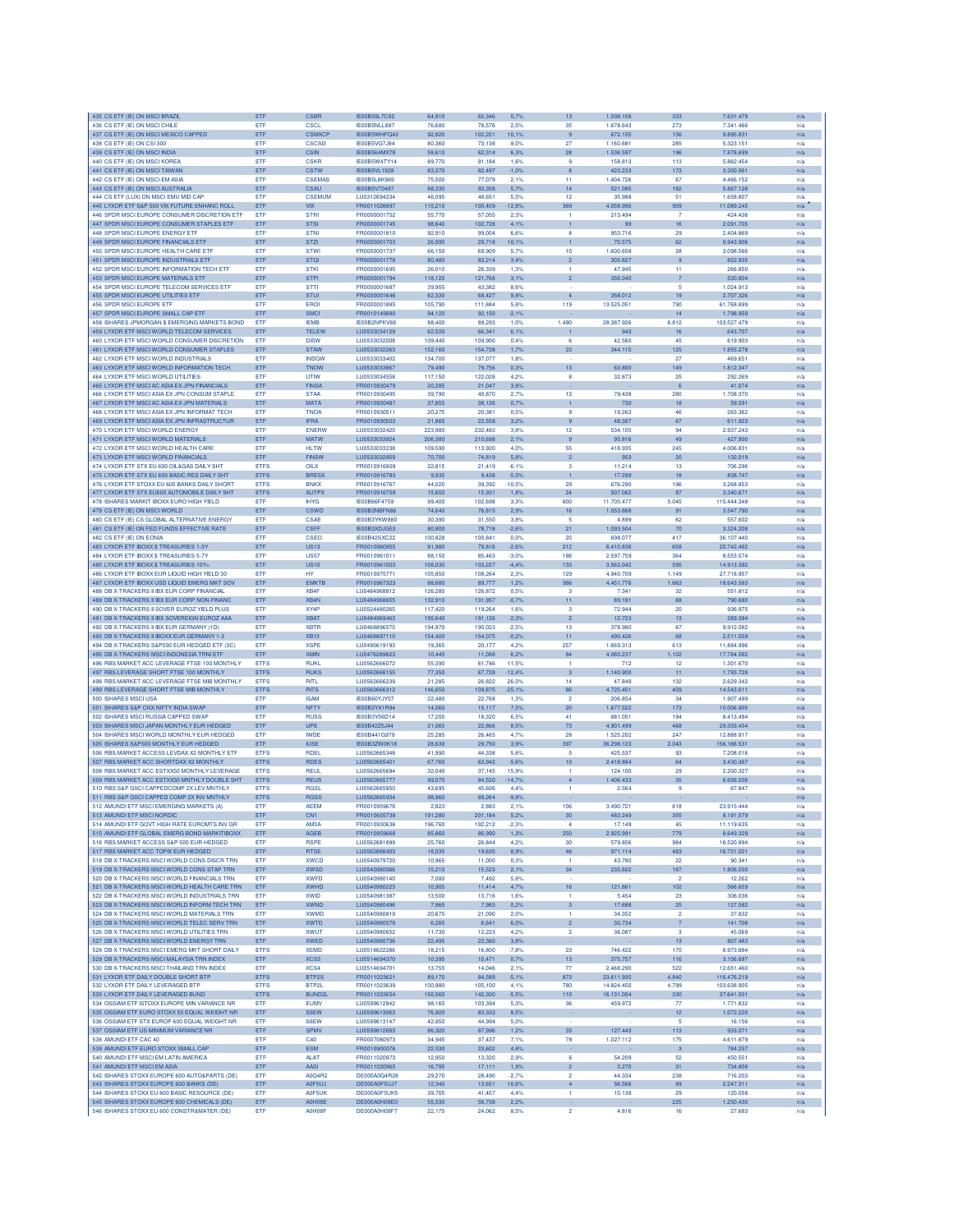| 435 CS ETF (IE) ON MSCI BRAZII                                                            | ETF                       | <b>CSBR</b>      | IE00B59L7C92                 | 64,910           | 65,346            | 0.7%             | 13                      | 1.008.158               | 333                       | 7.631.479           | n/a        |
|-------------------------------------------------------------------------------------------|---------------------------|------------------|------------------------------|------------------|-------------------|------------------|-------------------------|-------------------------|---------------------------|---------------------|------------|
| 436 CS ETF (IE) ON MSCI CHILE                                                             | ETF                       | CSCL             | IE00B5NLL897                 | 76,680           | 78,576            | 2.5%             | 35                      | 1.678.643               | 273                       | 7.341.466           | n/a        |
| 437 CS ETF (IE) ON MSCI MEXICO CAPPED                                                     | ETF                       | <b>CSMXCF</b>    | IE00B5WHFQ43                 | 92,820           | 102,221           | 10,1%            | 9                       | 672.105                 | 156                       | 9.895.831           | n/a        |
| 438 CS ETF (IE) ON CSI 300                                                                | ETF                       | <b>CSCSI3</b>    | IE00B5VG7J94                 | 80,360           | 73.138            | $-9.0%$          | 27                      | 1.160.681               | 285                       | 5.323.151           | n/a        |
| 439 CS ETF (IE) ON MSCI INDIA                                                             | ETF                       | <b>CSIN</b>      | IE00B564MX78                 | 58,610           | 62,314            | 6,3%             | 28                      | 1.536.597               | 196                       | 7.878.699           | n/a        |
| 440 CS ETF (IE) ON MSCI KOREA                                                             | ETF                       | <b>CSKR</b>      | IE00B5W4TY14                 | 89.770           | 91,184            | 1,6%             | $\overline{9}$          | 158.813                 | 113                       | 5.862.454           | n/a        |
| 441 CS ETF (IE) ON MSCI TAIWAN                                                            | ETF                       | <b>CSTW</b>      | IE00B5VL1928                 | 83,370           | 82,497            | $-1.0%$          |                         | 423.233                 | 173                       | 3.350.561           | n/a        |
| 442 CS ETF (IE) ON MSCI EM ASIA                                                           | ETF                       | CSEMAS           | <b>IE00B5L8K969</b>          | 75,500           | 77,079            | 2.1%             | 11                      | 1.404.726               | 67                        | 4.466.152           | n/a        |
| 443 CS ETF (IE) ON MSCI AUSTRALIA                                                         | ETF                       | CSAU             | IE00B5V70487                 | 88,330           | 93,358            | 5.7%             | 14                      | 521.085                 | 182                       | 5.867.128           | n/a        |
| 444 CS ETF (LUX) ON MSCI EMU MID CAP                                                      | ETF                       | <b>CSEMUM</b>    | LU0312694234                 | 46.095           | 48.651            | 5.5%             | 12                      | 35,988                  | 51                        | 1,658,807           | n/a        |
| 445 LYXOR ETF S&P 500 VIX FUTURE ENHANC ROLL                                              | ETF                       | <b>VIX</b>       | FR0011026897                 | 115,210          | 100,409           | 12,8%            | 369                     | 4.058.995               | 909                       | 11.089.245          | n/a        |
| 446 SPDR MSCI EUROPE CONSUMER DISCRETION ETF                                              | ETF                       | <b>STRI</b>      | FR0000001752                 | 55,770           | 57,055            | 2,3%             | $\mathbf{1}$            | 213.494                 | 7                         | 424.436             | n/a        |
| 447 SPDR MSCI EUROPE CONSUMER STAPLES ETF                                                 | ETF                       | <b>STSI</b>      | FR0000001745                 | 98,640           | 102,728           | 4.1%             |                         | 99                      | 16                        | 2.091.705           | n/a        |
| 448 SPDR MSCI EUROPE ENERGY ETF                                                           | ETF                       | <b>STNI</b>      | FR0000001810                 | 92,910           | 99,004            | 6.6%             | 8                       | 953.716                 | 29                        | 2.404.869           | n/a        |
| 449 SPDR MSCI EUROPE FINANCIALS ETF                                                       | ETF                       | <b>STZI</b>      | FR0000001703                 | 26,990           | 29,718            | 10,1%            | $\mathbf{1}$            | 70.575                  | 62                        | 9.943.906           | n/a        |
| 450 SPDR MSCI EUROPE HEALTH CARE ETF                                                      | ETF                       | <b>STWI</b>      | FR0000001737                 | 66,150           | 69,909            | 5.7%             | 10                      | 1.600.658               | 28                        | 3.098.566           | n/a        |
| 451 SPDR MSCI EUROPE INDUSTRIALS ETF                                                      | ETF                       | <b>STOI</b>      | FR0000001778                 | 80,480           | 83,214            | 3.4%             | $\overline{2}$          | 305.827                 | $\overline{9}$            | 822.935             | n/a        |
| 452 SPDR MSCI EUROPE INFORMATION TECH ETF                                                 | ETF                       | <b>STKI</b>      | FR0000001695                 | 26,010           | 26,339            | 1.3%             |                         | 47.945                  | 11                        | 266,850             | n/a        |
| 453 SPDR MSCI EUROPE MATERIALS ETF                                                        | ETF                       | <b>STPI</b>      | FR0000001794                 | 118,120          | 121,768           | 3.1%             | $\overline{2}$          | 356.040                 | $\overline{7}$            | 530.804             | n/a        |
| 454 SPDR MSCI EUROPE TELECOM SERVICES ETF                                                 | ETF                       | <b>STTI</b>      | FR000000168                  | 39.955           | 43,382            | 8.6%             |                         |                         | 5                         | 1.024.913           | n/a        |
| 455 SPDR MSCLEUROPE UTILITIES ETE                                                         | ETF                       | <b>STUI</b>      | FR0000001646                 | 62.330           | 68,427            | 9.8%             | $\overline{a}$          | 358,012                 | 19                        | 2.707.326           | n/a        |
| <b>456 SPDR MSCI EUROPE ETF</b>                                                           | ETF                       | EROI             | FR0000001885                 | 105,790          | 111,884           | 5.8%             | 119                     | 13,525.051              | 790                       | 61.768.899          | n/a        |
| 457 SPDR MSCI EUROPE SMALL CAP ETF                                                        | ETF                       | <b>SMCI</b>      | FR0010149880                 | 94.120           | 92.150            | $-2.1%$          |                         |                         | 14                        | 1.798.959           | n/a        |
| 458 ISHARES JPMORGAN \$ EMERGING MARKETS BOND                                             | ETF                       | <b>IEMB</b>      | IE00B2NPKV68                 | 88,400           | 89,293            | 1.0%             | 1,490                   | 28.387.926              | 6.812                     | 103.527.479         | n/a        |
| 459 LYXOR ETF MSCI WORLD TELECOM SERVICES                                                 | ETF                       | <b>TELEW</b>     | LU0533034129                 | 62,520           | 66,341            | 6,1%             | $\mathbf{1}$            | 943                     | 16                        | 643.707             | n/a        |
| 460 LYXOR ETF MSCI WORLD CONSUMER DISCRETION                                              | ETF                       | <b>DISW</b>      | LU0533032008                 | 109,440          | 109,900           | 0.4%             | 6                       | 42.560                  | 45                        | 619.903             | n/a        |
| 461 LYXOR ETF MSCI WORLD CONSUMER STAPLES                                                 | ETF                       | <b>STAW</b>      | LU0533032263                 | 152,160          | 154,738           | 1,7%             | 23                      | 344.115                 | 125                       | 1.855.278           | n/a        |
| 462 LYXOR ETF MSCI WORLD INDUSTRIALS                                                      | <b>FTF</b>                | <b>INDGW</b>     | LU0533033402                 | 134,700          | 137,077           | 1,8%             |                         |                         | 27                        | 469.651             | n/a        |
| 463 LYXOR ETF MSCI WORLD INFORMATION TECH                                                 | ETF                       | <b>TNOW</b>      | LU0533033667                 | 79,490           | 79,756            | 0.3%             | 13                      | 63,800                  | 149                       | 1.812.347           | n/a        |
| 464 LYXOR ETF MSCI WORLD UTILITIES                                                        | ETF                       | <b>UTIW</b>      | LU0533034558                 | 117,150          | 122,028           | 4.2%             | 8                       | 32.873                  | 25                        | 292,269             | n/a        |
| 465 LYXOR ETF MSCI AC ASIA EX JPN FINANCIALS                                              | ETF                       | <b>FINSA</b>     | FR0010930479                 | 20.285           | 21,047            | 3.8%             |                         |                         | 6                         | 41.074              | n/a        |
| 466 LYXOR ETF MSCI ASIA EX JPN CONSUM STAPLE                                              | ETF                       | <b>STAA</b>      | FR0010930495                 | 39.790           | 40,870            | 2,7%             | 13                      | 79.438                  | 280                       | 1.708.370           | n/a        |
| 467 LYXOR ETF MSCI AC ASIA EX JPN MATERIALS                                               | ETF                       | <b>MATA</b>      | FR0010930487                 | 37,855           | 38,126            | 0.7%             |                         | 730                     | 18                        | 59,291              | n/a        |
| 468 I YXOR FTE MSCLASIA EX JPN INFORMAT TECH                                              | ETF                       | <b>TNOA</b>      | FR0010930511                 | 20.275           | 20,381            | 0.5%             | $\mathbf{Q}$            | 19.263                  | 46                        | 263,362             | n/a        |
| 469 LYXOR ETF MSCI ASIA EX JPN INFRASTRUCTUR                                              | ETF                       | <b>IFRA</b>      | FR0010930503                 | 21,865           | 22,558            | 3.2%             | 9                       | 48.387                  | 67                        | 611.923             | n/a        |
| 470 LYXOR ETF MSCI WORLD ENERGY                                                           | ETF                       | ENERW            | LU0533032420                 | 223,980          | 232,483           | 3.8%             | 12                      | 534.105                 | 94                        | 2.937.243           |            |
|                                                                                           |                           |                  |                              |                  |                   |                  |                         |                         |                           |                     | n/a        |
| 471 LYXOR ETF MSCI WORLD MATERIALS                                                        | ETF                       | <b>MATW</b>      | LU0533033824                 | 206,380          | 210,698           | 2,1%             | 9                       | 95.816                  | 49                        | 427.900             | n/a        |
| 472 LYXOR ETF MSCI WORLD HEALTH CARE                                                      | ETF                       | <b>HLTW</b>      | LU0533033238                 | 109,590          | 113,920           | 4.0%             | 55                      | 418.935                 | 245                       | 4.006.831           | n/a        |
| 473 LYXOR ETF MSCI WORLD FINANCIALS                                                       | ETF                       | <b>FINSW</b>     | LU0533032859                 | 70,700           | 74,819            | 5.8%             | $\overline{2}$          | 953                     | 20                        | 132.019             | n/a        |
| 474 LYXOR ETF STX EU 600 OIL&GAS DAILY SHT                                                | <b>ETFS</b>               | <b>OILX</b>      | FR0010916809                 | 22,815           | 21,419            | $-6,1%$          | 3                       | 11.214                  | 13                        | 706.296             | n/a        |
| 475 LYXOR ETF STX EU 600 BASIC RES DAILY SHT                                              | <b>ETFS</b>               | <b>BRESX</b>     | FR0010916783                 | 9.935            | 9,438             | $-5.0%$          |                         | 17,299                  | 18                        | 838.747             | n/a        |
| 476 LYXOR ETF STOXX EU 600 BANKS DAILY SHORT                                              | <b>ETFS</b>               | <b>BNKX</b>      | FR0010916767                 | 44.025           | 39,392            | $-10.5%$         | 29                      | 676,290                 | 196                       | 3.268.853           | n/a        |
| 477 LYXOR ETF STX EU600 AUTOMOBILE DAILY SHT                                              | <b>ETFS</b>               | <b>AUTPX</b>     | FR0010916759                 | 15,650           | 15,931            | 1,8%             | 24                      | 507.062                 | 87                        | 3.340.671           | n/a        |
| 478 ISHARES MARKIT IBOXX EURO HIGH YIELD                                                  | ETF                       | <b>IHYG</b>      | IE00B66F4759                 | 99,400           | 102,691           | 3,39             | 600                     | 11.705.47               | 5.045                     | 115.444.348         | n/a        |
| 479 CS ETF (IE) ON MSCI WORLD                                                             | ETF                       | <b>CSWD</b>      | IE00B3NBFN86                 | 74,640           | 76,815            | 2,9%             | 16                      | 1.053.868               | 91                        | 3.547.790           | n/a        |
| 480 CS ETF (IE) CS GLOBAL ALTERNATIVE ENERGY                                              | <b>FTF</b>                | CSAF             | IE00B3YKW880                 | 30.390           | 31,550            | 3.8%             | 5                       | 4,899                   | 62                        | 557 602             | n/a        |
| 481 CS ETF (IE) ON FED FUNDS EFFECTIVE RATE                                               | ETF                       | CSFF             | IE00B3XDJG53                 | 80,800           | 78.718            | $-2.6%$          | 21                      | 1.093.504               | 70                        | 3.324.208           | n/a        |
| 482 CS ETF (IE) ON EONIA                                                                  | ETF                       | CSEO             | <b>IF00B42SXC22</b>          | 100.828          | 100.841           | 0.0%             | 20                      | 698.077                 | 417                       | 36.107.440          | n/a        |
| 483 LYXOR ETF IBOXX \$ TREASURIES 1-3Y                                                    | ETF                       | <b>US13</b>      | FR0010960955                 | 81,980           | 79,816            | $-2,6%$          | 212                     | 6.410.836               | 658                       | 20.742.482          | n/a        |
| 484 LYXOR ETF IBOXX \$ TREASURIES 5-7Y                                                    | ETF                       | <b>US57</b>      | FR0010961011                 | 88,150           | 85,463            | $-3.0%$          | 186                     | 2.597.759               | 364                       | 8.553.574           | n/a        |
| 485 LYXOR ETF IBOXX \$ TREASURIES 10Y+                                                    | ETF                       | <b>US10</b>      | FR0010961003                 | 108,030          | 103,227           | $-4.4%$          | 133                     | 3.562.042               | 595                       | 14.913.392          | n/a        |
| 486 LYXOR ETF IBOXX EUR LIQUID HIGH YIELD 30                                              | ETF                       | <b>HY</b>        | FR0010975771                 | 105,850          | 108,264           | 2.3%             | 129                     | 4.940.709               | 1.149                     | 27.718.957          | n/a        |
| 487 LYXOR ETF IBOXX USD LIQUID EMERG MKT SOV                                              | ETF                       | <b>EMKTE</b>     | FR0010967323                 | 88,680           | 89,777            | 1,2%             | 366                     | 4.451.776               | 1.663                     | 18.643.583          | n/a        |
| 488 DB X-TRACKERS II IBX EUR CORP FINANCIAL                                               | ETF                       | XB4F             | LU0484968812                 | 126,280          | 126,872           | 0.5%             | -3                      | 7.341                   | 32                        | 551.812             | n/a        |
| 489 DB X-TRACKERS II IBX EUR CORP NON-FINANC                                              | ETF                       | XB4N             | LU0484968655                 | 132,910          | 131,957           | $-0,7%$          | 11                      | 89.181                  | 68                        | 790.680             | n/a        |
| 490 DB X-TRACKERS II SOVER EUROZ YIELD PLUS                                               | ETF                       | XY4P             | LU0524480265                 | 117,420          | 119,264           | 1.6%             | 3                       | 72,944                  | 20                        | 936.975             | n/a        |
| 491 DB X-TRACKERS II IBX SOVEREIGN EUROZ AAA                                              | ETF                       | <b>XBAT</b>      | LU0484969463                 | 195,640          | 191,126           | $-2,3%$          | $\overline{2}$          | 12.723                  | 13                        | 289.394             | n/a        |
| 492 DB X-TRACKERS II IBX EUR GERMANY (1D)                                                 | ETF                       | <b>XBTR</b>      | LU0468896575                 | 194,970          | 190,023           | $-2.5%$          | 13                      | 378.980                 | 67                        | 9.912.082           | n/a        |
| 493 DB X-TRACKERS II IBOXX EUR GERMANY 1-3                                                | ETF                       | XB13             | LU0468897110                 | 154,400          | 154,075           | $-0.2%$          | 11                      | 490 426                 | 68                        | 2.511.559           | n/a        |
| 494 DB X-TRACKERS S&P500 EUR HEDGED ETF (3C)                                              | ETF                       | <b>XSPE</b>      | LU0490619193                 | 19,365           | 20.177            | 4.2%             | 257                     | 1.669.313               | 613                       | 11,884,996          | n/a        |
| 495 DB X-TRACKERS MSCI INDONESIA TRNI ETF                                                 | ETF                       | <b>XMIN</b>      | LU0476289623                 | 10,445           | 11,088            | 6.2%             | 84                      | 4.060.237               | 1.102                     | 17.784.582          | n/a        |
| 496 RBS MARKET ACC LEVERAGE FTSE 100 MONTHLY                                              | <b>ETFS</b>               | <b>RUKL</b>      | LU0562666072                 | 55,390           | 61,746            | 11,5%            | $\mathbf{1}$            | 712                     | $12 \,$                   | 1.301.670           | n/a        |
| 497 RBS LEVERAGE SHORT FTSE 100 MONTHLY                                                   | <b>ETFS</b>               | <b>RUKS</b>      | LU0562666155                 | 77,350           | 67,728            | $-12,4%$         | 3                       | 1.140.900               | 11                        | 1.793.728           | n/a        |
| 498 RBS MARKET ACC LEVERAGE FTSE MIB MONTHLY                                              | <b>ETFS</b>               | <b>RITI</b>      | LU0562666239                 | 21,285           | 26,822            | 26,0%            | 14                      | 47.849                  | 132                       | 2.629.342           | n/a        |
|                                                                                           | <b>ETFS</b>               | <b>RITS</b>      | LU0562666312                 | 146,650          |                   |                  | 86                      | 4.725.451               | 409                       | 14.543.611          |            |
| 499 RBS LEVERAGE SHORT FTSE MIB MONTHLY<br>500 ISHARES MSCI USA                           | ETF                       | <b>ISAM</b>      | IE00B60YJY07                 | 22,480           | 109,875<br>22,768 | $-25,1%$<br>1.3% | $\overline{2}$          | 206,854                 | 34                        | 1.907.499           | n/a<br>n/a |
|                                                                                           | ETF                       | <b>NFTY</b>      | IE00B3YX1R94                 | 14,060           | 15.117            |                  |                         | 1.677.522               | 173                       | 10.006.905          |            |
| 501 ISHARES S&P CNX NIFTY INDIA SWAP                                                      |                           |                  |                              |                  |                   | 7,5%             | 20                      |                         |                           |                     | n/a        |
| 502 ISHARES MSCI RUSSIA CAPPED SWAP                                                       | ETF                       | <b>RUSS</b>      | IE00B3Y06D14                 | 17,200           | 18,320            | 6.5%             | 41                      | 881.051                 | 194                       | 8.413.494           | n/a        |
| 503 ISHARES MSCI JAPAN MONTHLY EUR HEDGED                                                 | ETF                       | <b>IJPE</b>      | IE00B42Z5J44                 | 21,065           | 22,866            | 8.5%             | 73                      | 4.901.499               | 468                       | 29.333.434          | n/a        |
| 504 ISHARES MSCI WORLD MONTHLY EUR HEDGED                                                 | ETF                       | <b>IWDE</b>      | IE00B441G979                 | 25.285           | 26,465            | 4,7%             | 28                      | 1.525.202               | 247                       | 12.888.817          | n/a        |
| 505 ISHARES S&P500 MONTHLY EUR HEDGED                                                     | ETF                       | <b>IUSE</b>      | IE00B3ZW0K18                 | 28,630           | 29,750            | 3.9%             | 397                     | 36.298.123              | 2.043                     | 156.166.531         | n/a        |
| 506 RBS MARKET ACCESS LEVDAX X2 MONTHLY ETF                                               | <b>ETFS</b>               | <b>RDEL</b>      | 1110562665348                | 41,990           | 44,338            | 5.6%             | -5                      | 425.537                 | 93                        | 7,208,016           | n/a        |
| 507 RBS MARKET ACC SHORTDAX X2 MONTHLY                                                    | <b>ETFS</b>               | <b>RDES</b>      | LU0562665421                 | 67.760           | 63,942            | $-5.6%$          | 10 <sup>10</sup>        | 2.418.884               | 64                        | 3.430.367           | n/a        |
| 508 RBS MARKET ACC ESTXX50 MONTHLY LEVERAGE                                               | <b>ETFS</b>               | <b>REUL</b>      | LU0562665694                 | 32.040           | 37,145            | 15.9%            |                         | 124.100                 | 29                        | 2.200.327           | n/a        |
| 509 RBS MARKET ACC ESTXX50 MNTHLY DOUBLE SHT                                              | <b>ETFS</b>               | <b>REUS</b>      | LU0562665777                 | 99,070           | 84,520            | $-14,7%$         | $\overline{4}$          | 1.406.433               | 35                        | 6.656.506           | n/a        |
| 510 RBS S&P GSCI CAPPEDCOMP 2X LEV MNTHLY                                                 | <b>ETFS</b>               | <b>RGSL</b>      | LU0562665850                 | 43,695           | 45,606            | 4,4%             | 1                       | 2.564                   | 9                         | 67.847              | n/a        |
| 511 RBS S&P GSCI CAPPED COMP 2X INV MNTHLY                                                | <b>ETFS</b>               | <b>RGSS</b>      | LU0562665934                 | 98,960           | 89,264            | $-9,8%$          |                         |                         |                           |                     | n/a        |
| 512 AMUNDI ETF MSCI EMERGING MARKETS (A)                                                  | ETF                       | <b>AEEM</b>      | FR0010959676                 | 2,823            | 2,883             | 2,1%             | 106                     | 3.490.721               | 618                       | 23.915.444          | n/a        |
| 513 AMUNDLETE MSCLNOBDIC                                                                  | ETF                       | CN <sub>1</sub>  | FR0010655738                 | 191,280          | 201,184           | 5,2%             | 30                      | 483.249                 | 355                       | 8.191.579           | n/a        |
| 514 AMUNDI ETF GOVT HIGH RATE EUROMTS INV GR                                              | ETF                       | AM3A             | FR0010930636                 | 196,760          | 192,212           | $-2,3%$          | 4                       | 17.149                  | 45                        | 11.119.635          | n/a        |
| 515 AMUNDI ETF GLOBAL EMERG BOND MARKITIBOXX                                              | ETF                       | AGEB             | FR0010959668                 | 85,860           | 86,990            | 1,3%             | 250                     | 2.925.991               | 779                       | 8.649.329           | n/a        |
| 516 RBS MARKET ACCESS S&P 500 EUR HEDGED                                                  | ETF                       | <b>RSPE</b>      | LU0562681899                 | 25,760           | 26,844            | 4,2%             | 30                      | 579.856                 | 984                       | 16.520.894          | n/a        |
| 517 RBS MARKET ACC TOPIX EUR HEDGED                                                       | ETF                       | <b>RTSE</b>      | LU0562666403                 | 18,035           | 19,635            | 8,9%             | 46                      | 971.114                 | 483                       | 16.731.021          | n/a        |
| 518 DB X-TRACKERS MSCI WORLD CONS DISCR TRN                                               | ETF                       | <b>XWCD</b>      | LU0540979720                 | 10,965           | 11,000            | 0.3%             | $\mathbf{1}$            | 43,780                  | 22                        | 90.341              | n/a        |
| 519 DB X-TRACKERS MSCLWORLD CONS STAP TRN                                                 | ETF                       | <b>XWSD</b>      | LU0540980066                 | 15.210           | 15.523            | 2.1%             | 34                      | 235,602                 | 187                       | 1.806.550           | n/a        |
| 520 DB X-TRACKERS MSCI WORLD FINANCIALS TRN                                               | ETF                       | <b>XWFD</b>      | LU0540980140                 | 7,080            | 7,492             | 5,8%             |                         |                         | $\overline{2}$            | 12,262              | n/a        |
| 521 DB X-TRACKERS MSCI WORLD HEALTH CARE TRN                                              | ETF                       | XWHD             | LU0540980223                 | 10,905           | 11,414            | 4,7%             | 16 <sup>°</sup>         | 121.861                 | 102                       | 566.659             | n/a        |
| 522 DB X-TRACKERS MSCI WORLD INDUSTRIALS TRN                                              | ETF                       | <b>XWID</b>      | LU0540981387                 | 13,500           | 13,716            | 1.6%             | $\mathbf{1}$            | 5.454                   | 23                        | 306.036             | n/a        |
| 523 DB X-TRACKERS MSCI WORLD INFORM TECH TRN                                              | ETF                       | <b>XWND</b>      | LU0540980496                 | 7,965            | 7,983             | 0.2%             | $\overline{\mathbf{3}}$ | 17.688                  | 25                        | 127.582             | n/a        |
| 524 DB X-TRACKERS MSCI WORLD MATERIALS TRN                                                | ETF                       | <b>XWMD</b>      | LU0540980819                 | 20,675           | 21,090            | 2.0%             | $\mathbf{1}$            | 34.352                  | $\overline{2}$            | 37,832              | n/a        |
| 525 DB X-TRACKERS MSCI WORLD TELEC SERV TRN                                               | ETF                       | <b>XWTD</b>      | LU0540980579                 | 6.265            | 6.641             | 6.0%             | $\overline{2}$          | 30.734                  | $\overline{7}$            | 141,708             | n/a        |
| 526 DB X-TRACKERS MSCI WORLD UTILITIES TRN                                                | ETF                       | <b>XWUT</b>      | LU0540980652                 | 11.730           | 12.223            | 4.2%             | $\overline{2}$          | 36,087                  | з                         | 45,069              | n/a        |
| 527 DB X-TRACKERS MSCI WORLD ENERGY TRN                                                   | ETF                       | XWED             | LU0540980736                 | 22,495           | 23,360            | 3.8%             |                         |                         | 13 <sub>1</sub>           | 807.483             | n/a        |
| 528 DB X-TRACKERS MSCI EMERG MKT SHORT DAILY                                              | <b>ETFS</b>               | <b>XEMD</b>      | LU0518622286                 | 18,215           | 16,800            | $-7,8%$          | 23                      | 746.422                 | 170                       | 6.973.884           | n/a        |
| 529 DB X-TRACKERS MSCI MALAYSIA TRN INDEX                                                 | ETF                       | XCS3             | LU0514694370                 | 10,395           | 10,471            | 0.7%             | 13                      | 375.757                 | 116                       | 3.156.697           | n/a        |
|                                                                                           |                           |                  |                              |                  |                   |                  |                         |                         |                           | 12.651.460          |            |
| 530 DB X-TRACKERS MSCI THAILAND TRN INDEX<br>531 LYXOR FTE DAILY DOUBLE SHORT BTP         | <b>FTF</b><br><b>ETFS</b> | XCS4<br>BTP2S    | LU0514694701<br>EB0011023621 | 13.755           | 14,046<br>84,589  | 21%<br>$-5.1%$   | 77<br>873               | 2.468.290<br>23 611 935 | 522<br>4.840              | 116,476,219         | n/a        |
|                                                                                           |                           |                  |                              | 89,170           |                   |                  |                         |                         |                           |                     | n/a        |
| 532 LYXOR ETF DAILY LEVERAGED BTP                                                         | <b>ETFS</b>               | BTP2L            | FR0011023639                 | 100,980          | 105.100           | 4.1%             | 780                     | 14.824.450              | 4.799                     | 103.638.905         | n/a        |
| 533 LYXOR ETF DAILY LEVERAGED BUND                                                        | <b>ETFS</b>               | <b>BUND2L</b>    | FR0011023654                 | 150,560          | 142,300           | $-5,5%$          | 110                     | 16.131.004              | 330                       | 37.641.501          | n/a        |
| 534 OSSIAM ETF ISTOXX EUROPE MIN VARIANCE NR                                              | ETF                       | <b>EUMV</b>      | LU0599612842                 | 98,160           | 103,394           | 5,3%             | 36                      | 459.972                 | 77                        | 1.771.832           | n/a        |
| 535 OSSIAM ETF EURO STOXX 50 EQUAL WEIGHT NR                                              | ETF                       | S5EW             | LU0599613063                 | 76,820           | 83,333            | 8,5%             | ×                       |                         | 12                        | 1.072.220           | n/a        |
| 536 OSSIAM ETF STX EUROP 600 EQUAL WEIGHT NR                                              | ETF                       | S6EW             | LU0599613147                 | 42,850           | 44.994            | 5.0%             | ×                       |                         | 5.                        | 16.156              | n/a        |
| 537 OSSIAM ETF US MINIMUM VARIANCE NR                                                     | ETF                       | <b>SPMV</b>      | LU0599612685                 | 86,920           | 87,996            | 1,2%             | 35                      | 127.443                 | 113                       | 933.071             | n/a        |
| 538 AMUNDI ETF CAC 40                                                                     | ETF                       | C40              | FR0007080973                 | 34.945           | 37,437            | 7.1%             | 78                      | 1.027.112               | 175                       | 4.611.879           | n/a        |
| 539 AMUNDI ETF EURO STOXX SMALL CAP                                                       | ETF                       | ESM              | FR0010900076                 | 22,530           | 23,602            | 4,8%             |                         |                         | $\ensuremath{\mathsf{3}}$ | 784.257             | n/a        |
| 540 AMUNDI ETF MSCI EM LATIN AMERICA                                                      | ETF                       | <b>ALAT</b>      | FR0011020973                 | 12,950           | 13,320            | 2,9%             | 6                       | 54.209                  | 52                        | 450,551             | n/a        |
| 541 AMUNDI ETF MSCI EM ASIA                                                               | ETF                       | AASI             | FR0011020965                 | 16,795           | 17,111            | 1,9%             | $\overline{2}$          | 3.270                   | 31                        | 734.808             | n/a        |
| 542 ISHARES STOXX EUROPE 600 AUTO&PARTS (DE)                                              | ETF                       | A0Q4R2           | DE000A0Q4R28                 | 29,270           | 28,490            | $-2.7%$          | $\overline{2}$          | 44.334                  | 238                       | 716.203             | n/a        |
| 543 ISHARES STOXX EUROPE 600 BANKS (DE)                                                   | ETF                       | A0F5UJ           | DE000A0F5UJ7                 | 12,340           | 13,651            | 10.6%            | $\overline{4}$          | 56.566                  | 89                        | 2.247.311           | n/a        |
| 544 ISHARES STOXX EU 600 BASIC RESOURCE (DE)                                              | ETF                       | A0F5UK           | DE000A0F5UK5                 | 39.705           | 41,457            | 4.4%             | $\mathbf{1}$            | 10.138                  | 29                        | 120,058             | n/a        |
|                                                                                           |                           |                  |                              |                  |                   |                  |                         |                         |                           |                     |            |
| 545 ISHARES STOXX EUROPE 600 CHEMICALS (DE)<br>546 ISHARES STOXX EU 600 CONSTR&MATER (DE) | ETF<br>ETF                | A0H08E<br>A0H08F | DE000A0H08E0<br>DE000A0H08F7 | 55,530<br>22,175 | 56,738<br>24,062  | 2,2%             | $\overline{2}$          | 4.816                   | 225<br>16                 | 1.250.430<br>27.683 | n/a        |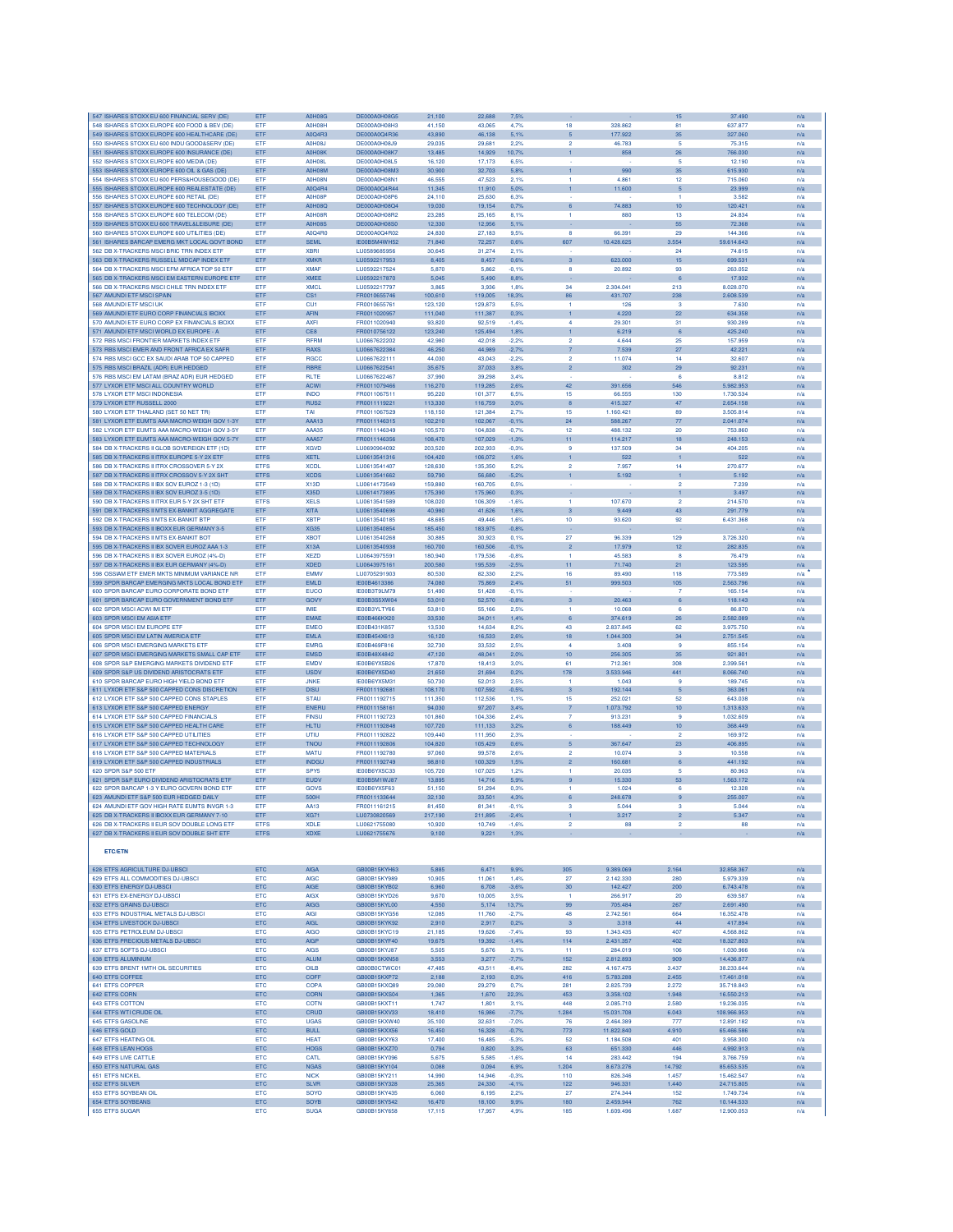| 547 ISHARES STOXX ELL600 FINANCIAL SERV (DE                                                 | ETF                        | <b>A0H08G</b>                  | DE000A0H08G5                  | 21,100             | 22.688             | 7,5%               |                                  |                        | 15                   | 37,490                   | n/a        |
|---------------------------------------------------------------------------------------------|----------------------------|--------------------------------|-------------------------------|--------------------|--------------------|--------------------|----------------------------------|------------------------|----------------------|--------------------------|------------|
| 548 ISHARES STOXX EUROPE 600 FOOD & BEV (DE)                                                | ETF                        | A0H08H                         | DE000A0H08H3                  | 41,150             | 43,065             | 4.7%               | 18                               | 328,862                | 81                   | 637.877                  | n/a        |
| 549 ISHARES STOXX EUROPE 600 HEALTHCARE (DE)                                                | ETF                        | A0Q4R3                         | DE000A0Q4R36                  | 43,890             | 46,138             | 5,1%               | $\sqrt{5}$                       | 177.922                | 35                   | 327.060                  | n/a        |
| 550 ISHARES STOXX EU 600 INDU GOOD&SERV (DE)<br>551 ISHARES STOXX EUROPE 600 INSURANCE (DE) | ETF<br>ETF                 | <b>A0H08J</b><br><b>A0H08K</b> | DE000A0H08J9<br>DE000A0H08K7  | 29,035<br>13,485   | 29,681<br>14.929   | 2,2%<br>10,7%      | $\overline{\mathbf{2}}$          | 46.783<br>858          | 5<br>26              | 75.315<br>766,030        | n/a        |
| 552 ISHARES STOXX EUROPE 600 MEDIA (DE                                                      | ETF                        | <b>A0H08L</b>                  | DE000A0H08L5                  | 16,120             | 17,173             | 6.5%               |                                  |                        | 5                    | 12.190                   | n/a<br>n/a |
| 553 ISHARES STOXX EUROPE 600 OIL & GAS (DE)                                                 | ETF                        | A0H08M                         | DE000A0H08M3                  | 30,900             | 32.703             | 5.8%               | $\mathbf{1}$                     | 990                    | 35                   | 615,930                  | n/a        |
| 554 ISHARES STOXX EU 600 PERS&HOUSEGOOD (DE)                                                | ETF                        | <b>A0H08N</b>                  | DE000A0H08N1                  | 46,555             | 47,523             | 2.1%               | 1                                | 4.861                  | $12 \,$              | 715.060                  | n/a        |
| 555 ISHARES STOXX EUROPE 600 REALESTATE (DE)                                                | ETF                        | A0Q4R4                         | DE000A0Q4R44                  | 11,345             | 11,910             | 5,0%               | $\mathbf{1}$                     | 11.600                 | $\sqrt{5}$           | 23.999                   | n/a        |
| 556 ISHARES STOXX EUROPE 600 RETAIL (DE                                                     | ETF                        | A0H08F                         | DE000A0H08P6                  | 24,110             | 25,630             | 6,3%               |                                  |                        | 1                    | 3.582                    | n/a        |
| 557 ISHARES STOXX EUROPE 600 TECHNOLOGY (DE)                                                | ETF                        | <b>A0H08Q</b>                  | DE000A0H08Q4                  | 19,030             | 19,154             | 0,7%               | 6                                | 74.883                 | 10                   | 120.42                   | n/a        |
| 558 ISHARES STOXX EUROPE 600 TELECOM (DE)                                                   | ETF                        | A0H08F                         | DE000A0H08R2                  | 23,285             | 25.165             | 8,1%               | -1.                              | 880                    | 13                   | 24.834                   | n/a        |
| 559 ISHARES STOXX EU 600 TRAVEL&LEISURE (DE                                                 | ETF                        | <b>A0H08S</b>                  | DE000A0H08S0                  | 12,330             | 12.956             | 5.1%               |                                  |                        | 55                   | 72,368                   | n/a        |
| 560 ISHARES STOXX EUROPE 600 UTILITIES (DE)                                                 | ETF                        | A0Q4R0<br><b>SEML</b>          | DE000A0Q4R02                  | 24,830             | 27.183             | 9.5%               | 8                                | 66.391<br>10.428.625   | 29                   | 144,366                  | n/a        |
| 561 ISHARES BARCAP EMERG MKT LOCAL GOVT BOND<br>562 DB X-TRACKERS MSCI BRIC TRN INDEX ETF   | ETF<br>ETF                 | <b>XBRI</b>                    | IE00B5M4WH52<br>LU0589685956  | 71,840<br>30,645   | 72,257<br>31,274   | 0.6%<br>2,1%       | 607                              |                        | 3.554<br>24          | 59.614.643<br>74.615     | n/a<br>n/a |
| 563 DB X-TRACKERS RUSSELL MIDCAP INDEX ETP                                                  | ETF                        | <b>XMKF</b>                    | LU0592217953                  | 8,405              | 8,457              | 0.6%               | 3                                | 623,000                | 15                   | 699.531                  | n/a        |
| 564 DR X-TRACKERS MSCLEEM AFRICA TOP 50 ETR                                                 | ETF                        | <b>XMAF</b>                    | LU0592217524                  | 5.870              | 5,862              | $-0.1%$            | s.                               | 20.892                 | 93                   | 263.052                  | n/a        |
| 565 DB X-TRACKERS MSCI EM EASTERN EUROPE ETF                                                | ETF                        | <b>XMEE</b>                    | LU0592217870                  | 5.045              | 5.490              | 8.8%               |                                  |                        | 6                    | 17,932                   | n/a        |
| 566 DB X-TRACKERS MSCLCHILE TRN INDEX ETP                                                   | ETF                        | <b>XMCL</b>                    | 1110592217797                 | 3,865              | 3.936              | 1.8%               | 34                               | 2.304.041              | 213                  | 8.028.070                | n/a        |
| 567 AMUNDI ETF MSCI SPAIN                                                                   | ETF                        | CS1                            | FR0010655746                  | 100,610            | 119,005            | 18,3%              | 86                               | 431.707                | 238                  | 2.608.539                | n/a        |
| 568 AMUNDI ETF MSCI UK                                                                      | ETF                        | CU <sub>1</sub>                | FR0010655761                  | 123,120            | 129,873            | 5.5%               | 1                                | 126                    | 3                    | 7.630                    | n/a        |
| 569 AMUNDI ETF EURO CORP FINANCIALS IBOXX                                                   | ETF                        | AFIN                           | FR0011020957                  | 111,040            | 111,387            | 0.3%               | $\mathbf{1}$                     | 4.220                  | 22                   | 634.358                  | n/a        |
| 570 AMUNDI ETF EURO CORP EX FINANCIALS IBOXX                                                | ETF                        | <b>AXFI</b>                    | FR0011020940                  | 93,820             | 92.519             | $-1.4%$            | $\overline{a}$                   | 29.301                 | 31                   | 930,289                  | n/a        |
| 571 AMUNDI ETF MSCI WORLD EX EUROPE - A                                                     | ETF                        | CE8                            | FR0010756122                  | 123,240            | 125,494            | 1,8%               | $\mathbf{1}$                     | 6.219                  | 6                    | 425,240                  | n/a        |
| 572 RBS MSCI FRONTIER MARKETS INDEX ETP                                                     | ETF                        | <b>RFRM</b>                    | LU0667622202                  | 42,980             | 42.018             | $-2.2%$            | $\overline{2}$<br>$\overline{7}$ | 4.644                  | 25                   | 157,959                  | n/a        |
| 573 RBS MSCI EMER AND FRONT AFRICA EX SAFR<br>574 RBS MSCI GCC EX SAUDI ARAB TOP 50 CAPPED  | ETF<br>ETF                 | <b>RAXS</b><br><b>RGCC</b>     | LU0667622384<br>LU0667622111  | 46,250<br>44.030   | 44,989<br>43,043   | $-2,7%$<br>$-2.2%$ | $\overline{2}$                   | 7.539<br>11.074        | $27\,$<br>14         | 42.221<br>32,607         | n/a        |
| 575 RBS MSCI BRAZIL (ADR) EUR HEDGED                                                        | ETF                        | RBRE                           | LU0667622541                  | 35,675             | 37,033             | 3,8%               | $\overline{c}$                   | 302                    | 29                   | 92.23                    | n/a<br>n/a |
| 576 RBS MSCI EM LATAM (BRAZ ADR) EUR HEDGED                                                 | ETF                        | <b>RLTE</b>                    | LU0667622467                  | 37,990             | 39,298             | 3.4%               |                                  |                        | 6                    | 8.812                    | n/a        |
| 577 LYXOR ETF MSCI ALL COUNTRY WORLD                                                        | ETF                        | <b>ACWI</b>                    | FR0011079466                  | 116,270            | 119,285            | 2.6%               | 42                               | 391.656                | 546                  | 5.982.953                | n/a        |
| 578 LYXOR ETF MSCI INDONESIA                                                                | ETF                        | <b>INDO</b>                    | FR0011067511                  | 95.220             | 101.377            | 6.5%               | 15                               | 66,555                 | 130                  | 1.730.534                | n/a        |
| 579 LYXOR ETF RUSSELL 2000                                                                  | ETF                        | RUS <sub>2</sub>               | FR0011119221                  | 113,330            | 116,759            | 3,0%               | 8                                | 415.327                | 47                   | 2.654.158                | n/a        |
| 580 LYXOR ETF THAILAND (SET 50 NET TR)                                                      | ETF                        | TAI                            | FR0011067529                  | 118,150            | 121,384            | 2.7%               | 15                               | 1.160.421              | 89                   | 3.505.814                | n/a        |
| 581 LYXOR ETF EUMTS AAA MACRO-WEIGH GOV 1-3Y                                                | ETF                        | AAA13                          | FR0011146315                  | 102,210            | 102,067            | $-0.1%$            | 24                               | 588.267                | 77                   | 2.041.074                | n/a        |
| 582 LYXOR ETF EUMTS AAA MACRO-WEIGH GOV 3-5Y                                                | ETF                        | AAA35                          | FR0011146349                  | 105,570            | 104,838            | $-0.7%$            | 12                               | 488.132                | 20                   | 753.860                  | n/a        |
| 583 LYXOR ETF EUMTS AAA MACRO-WEIGH GOV 5-7Y                                                | ETF                        | AAA57                          | FR0011146356                  | 108,470            | 107,029            | $-1,3%$            | 11                               | 114.217                | 18                   | 248.153                  | n/a        |
| 584 DB X-TRACKERS II GLOB SOVEREIGN ETF (1D)<br>585 DB X-TRACKERS II ITRX EUROPE 5-Y 2X ETF | ETF                        | <b>XGVD</b>                    | LU0690964092<br>1110613541316 | 203,520            | 202.933            | $-0.3%$            | 9                                | 137,509                | 34                   | 404,205                  | n/a        |
| 586 DB X-TRACKERS II ITRX CROSSOVER 5-Y 2X                                                  | <b>ETFS</b><br><b>ETFS</b> | <b>XETL</b><br><b>XCDL</b>     | LU0613541407                  | 104.420<br>128,630 | 106.072<br>135,350 | 1.6%<br>5.2%       | $\mathbf{1}$<br>$\overline{2}$   | 522<br>7.957           | $\mathbf{1}$<br>14   | 522<br>270.677           | n/a<br>n/a |
| 587 DB X-TRACKERS II ITRX CROSSOV 5-Y 2X SHT                                                | ETFS                       | <b>XCDS</b>                    | LU0613541662                  | 59,790             | 56,680             | $-5.2%$            | $\mathbf{1}$                     | 5.192                  | $\mathbf{1}$         | 5.192                    | n/a        |
| 588 DB X-TRACKERS II IBX SOV EUROZ 1-3 (1D)                                                 | ETI                        | <b>X13D</b>                    | LU0614173549                  | 159,880            | 160,705            | 0.5%               |                                  |                        | $\overline{2}$       | 7.239                    | n/a        |
| 589 DB X-TRACKERS II IBX SOV EUROZ 3-5 (1D)                                                 | ETF                        | <b>X35D</b>                    | LU0614173895                  | 175,390            | 175,960            | 0.3%               |                                  |                        | 1                    | 3.497                    | n/a        |
| 590 DB X-TRACKERS II ITRX EUR 5-Y 2X SHT ETF                                                | <b>ETFS</b>                | <b>XELS</b>                    | LU0613541589                  | 108,020            | 106,309            | $-1.6%$            | 1.                               | 107.670                | $\overline{2}$       | 214,570                  | n/a        |
| 591 DB X-TRACKERS II MTS EX-BANKIT AGGREGATE                                                | ETF                        | <b>XITA</b>                    | LU0613540698                  | 40.980             | 41.626             | 1.6%               | 3                                | 9.449                  | 43                   | 291.779                  | n/a        |
| 592 DB X-TRACKERS II MTS EX-BANKIT BTP                                                      | ETF                        | <b>XBTF</b>                    | LU0613540185                  | 48,685             | 49,446             | 1.6%               | 10                               | 93.620                 | 92                   | 6.431.368                | n/a        |
| 593 DB X-TRACKERS II IBOXX EUR GERMANY 3-5                                                  | ETF                        | <b>XG35</b>                    | LU0613540854                  | 185,450            | 183,975            | $-0.8%$            |                                  |                        |                      |                          | n/a        |
| 594 DB X-TRACKERS II MTS EX-BANKIT BOT                                                      | ETF                        | <b>XBOT</b>                    | LU0613540268                  | 30,885             | 30,923             | 0.1%               | 27                               | 96.339                 | 129                  | 3.726.320                | n/a        |
| 595 DB X-TRACKERS II IBX SOVER EUROZ AAA 1-3<br>596 DB X-TRACKERS II IBX SOVER EUROZ (4%-D) | ETF<br>ETF                 | <b>X13A</b><br><b>XEZD</b>     | LU0613540938<br>LU0643975591  | 160,700<br>180,940 | 160,506<br>179,536 | $-0,1%$<br>$-0.8%$ | $\overline{a}$                   | 17.979<br>45.583       | 12 <sub>2</sub><br>8 | 282.835<br>76,479        | n/a        |
| 597 DB X-TRACKERS II IBX EUR GERMANY (4%-D)                                                 | ETF                        | <b>XDED</b>                    | LU0643975161                  | 200,580            | 195.539            | $-2.5%$            | -1<br>11                         | 71.740                 | 21                   | 123,595                  | n/a        |
| 598 OSSIAM ETF EMER MKTS MINIMUM VARIANCE NR                                                | ETF                        | <b>EMMV</b>                    | LU0705291903                  | 80,530             | 82,330             | 2.2%               | 16                               | 89.490                 | 118                  | 773.589                  | n/a<br>n/a |
| 599 SPDR BARCAP EMERGING MKTS LOCAL BOND ETF                                                | ETF                        | <b>EMLD</b>                    | IE00B4613386                  | 74,080             | 75,869             | 2,4%               | 51                               | 999.503                | 105                  | 2.563.796                | n/a        |
| 600 SPDR BARCAP EURO CORPORATE BOND ETF                                                     | ETF                        | <b>EUCO</b>                    | IE00B3T9LM79                  | 51,490             | 51,428             | $-0.1%$            |                                  |                        | $\overline{7}$       | 165.154                  | n/a        |
| 601 SPDR BARCAP EURO GOVERNMENT BOND ETF                                                    | ETF                        | GOVY                           | IE00B3S5XW04                  | 53,010             | 52,570             | $-0.8%$            | 3                                | 20.463                 | 6                    | 118.143                  | n/a        |
| 602 SPDR MSCI ACWI IMI ETR                                                                  | ETF                        | <b>IMF</b>                     | IE00B3YLTY66                  | 53,810             | 55.166             | 2.5%               | 1.                               | 10.068                 | 6                    | 86.870                   | n/a        |
| 603 SPDR MSCI EM ASIA ETF                                                                   | ETF                        | <b>EMAE</b>                    | IE00B466KX20                  | 33,530             | 34.011             | 1.4%               | 6                                | 374.619                | 26                   | 2.582.089                | n/a        |
| 604 SPDR MSCI EM EUROPE ETF                                                                 | ETF                        | <b>EMEO</b>                    | IE00B431K857                  | 13,530             | 14,634             | 8.2%               | 43                               | 2.837.845              | 62                   | 3.975.750                | n/a        |
| 605 SPDR MSCI EM LATIN AMERICA ETF                                                          | ETF                        | <b>EMLA</b>                    | IE00B454X613                  | 16,120             | 16,533             | 2,6%               | 18                               | 1.044.300              | 34                   | 2.751.545                | n/a        |
| 606 SPDR MSCI EMERGING MARKETS ETF                                                          | ETF                        | <b>EMRG</b>                    | IE00B469F816                  | 32,730             | 33,532             | 2,5%               | 4                                | 3.408                  | 9                    | 855.154                  | n/a        |
| 607 SPDR MSCI EMERGING MARKETS SMALL CAP ETF                                                | ETF<br><b>FTF</b>          | <b>EMSD</b><br><b>FMDV</b>     | IE00B48X4842                  | 47,120             | 48,041             | 2,0%               | 10 <sub>10</sub>                 | 256.305                | 35<br>308            | 921.801                  | n/a        |
| 608 SPDR S&P EMERGING MARKETS DIVIDEND ETF<br>609 SPDR S&P US DIVIDEND ARISTOCRATS ETF      | ETF                        | <b>USDV</b>                    | IE00B6YX5B26<br>IE00B6YX5D40  | 17,870<br>21,650   | 18,413<br>21,694   | 3.0%<br>0.2%       | 61<br>178                        | 712.361<br>3.533.946   | 441                  | 2.399.561<br>8.066.740   | n/a<br>n/a |
| 610 SPDR BARCAP EURO HIGH YIELD BOND ETF                                                    | ETF                        | <b>JNKE</b>                    | IE00B6YX5M31                  | 50,730             | 52.013             | 2.5%               | 1                                | 1.043                  | -9                   | 189,745                  | n/a        |
| 611 LYXOR ETF S&P 500 CAPPED CONS DISCRETION                                                | ETF                        | <b>DISU</b>                    | FR0011192681                  | 108,170            | 107,592            | $-0.5%$            | 3                                | 192.144                | 5                    | 363,061                  | n/a        |
| 612 LYXOR ETF S&P 500 CAPPED CONS STAPLES                                                   | ETF                        | <b>STAU</b>                    | FR0011192715                  | 111,350            | 112,536            | 1,1%               | 15                               | 252.02                 | 52                   | 643.038                  | n/a        |
| 613 LYXOR ETF S&P 500 CAPPED ENERGY                                                         | ETF                        | <b>ENERL</b>                   | FR0011158161                  | 94.030             | 97,207             | 3.4%               | $\overline{7}$                   | .073.792               | 10 <sub>1</sub>      | 1.313.633                | n/a        |
| 614 LYXOR ETF S&P 500 CAPPED FINANCIALS                                                     | ETF                        | <b>FINSLI</b>                  | FR0011192723                  | 101,860            | 104.336            | 2.4%               | 7                                | 913.23                 | $\mathbf{a}$         | 1.032.609                | n/a        |
| 615 LYXOR ETF S&P 500 CAPPED HEALTH CARE                                                    | ETF                        | <b>HLTU</b>                    | FR0011192848                  | 107.720            | 111.133            | 3.2%               | 6                                | 188,449                | 10 <sub>1</sub>      | 368,449                  | n/a        |
| 616 LYXOR ETF S&P 500 CAPPED UTILITIES                                                      | ETF                        | UTIU                           | FR0011192822                  | 109,440            | 111.950            | 2.3%               |                                  |                        | $\overline{2}$       | 169,972                  | n/a        |
| 617 LYXOR ETF S&P 500 CAPPED TECHNOLOGY                                                     | ETF                        | TNOU                           | FR0011192806<br>FR0011192780  | 104,820            | 105,429            | 0.6%               | 5 <sub>5</sub>                   | 367.647                | 23                   | 406.895                  | n/a        |
| 618 LYXOR ETF S&P 500 CAPPED MATERIALS                                                      | ETF                        | <b>MATU</b>                    |                               | 97,060             | 99,578             | 2,6%               | $\overline{\mathbf{2}}$          | 10.074                 | 3                    | 10.558                   | n/a        |
| 619 LYXOR ETF S&P 500 CAPPED INDUSTRIALS<br>620 SPDR S&P 500 ETF                            | ETF<br>ETF                 | <b>INDGL</b><br>SPY5           | FR0011192749<br>IE00B6YX5C33  | 98,810<br>105,720  | 100,329<br>107,025 | 1,5%<br>1,2%       | $\overline{2}$<br>-1.            | 160.681<br>20.035      | 6<br>-5              | 441.192<br>80.963        | n/a        |
| 621 SPDR S&P EURO DIVIDEND ARISTOCRATS ETF                                                  | ETF                        | EUDV                           | IE00B5M1WJ87                  | 13,895             | 14,716             | 5.9%               | 9                                | 15.330                 | 53                   | 1.563.172                | n/a<br>n/a |
| 622 SPDR BARCAP 1-3 Y EURO GOVERN BOND ETF                                                  | ETF                        | GOVS                           | IE00B6YX5F63                  | 51.150             | 51.294             | 0.3%               | -1                               | 1.024                  | 6                    | 12,328                   | n/a        |
| 623 AMUNDI ETF S&P 500 EUR HEDGED DAILY                                                     | ETF                        | 500H                           | FR0011133644                  | 32,130             | 33,501             | 4,3%               | 6                                | 248.678                | $\overline{9}$       | 255,007                  | n/a        |
| 624 AMUNDI ETF GOV HIGH RATE EUMTS INVGR 1-3                                                | ETF                        | AA13                           | FR0011161215                  | 81,450             | 81,341             | $-0,1%$            | з                                | 5.044                  | 3                    | 5.044                    | n/a        |
| 625 DB X-TRACKERS II IBOXX EUR GERMANY 7-10                                                 | ETF                        | <b>XG71</b>                    | LU0730820569                  | 217,190            | 211,895            | $-2.4%$            |                                  | 3.217                  |                      | 5.347                    | n/a        |
| 626 DB X-TRACKERS II EUR SOV DOUBLE LONG ETF                                                | <b>ETFS</b>                | <b>XDLE</b>                    | LU0621755080                  | 10,920             | 10,749             | $-1,6%$            | $\overline{2}$                   | 88                     | $\overline{2}$       | 88                       | n/a        |
| 627 DB X-TRACKERS II EUR SOV DOUBLE SHT ETF                                                 | <b>ETFS</b>                | <b>XDXE</b>                    | LU0621755676                  | 9,100              | 9,221              | 1,3%               |                                  |                        |                      |                          | n/a        |
|                                                                                             |                            |                                |                               |                    |                    |                    |                                  |                        |                      |                          |            |
| <b>ETC/ETN</b>                                                                              |                            |                                |                               |                    |                    |                    |                                  |                        |                      |                          |            |
| 628 ETFS AGRICULTURE DJ-UBSCI                                                               |                            |                                |                               |                    |                    |                    |                                  |                        |                      |                          |            |
| 629 ETFS ALL COMMODITIES DJ-UBSCI                                                           | ETC<br>ETC                 | <b>AIGA</b><br><b>AIGC</b>     | GB00B15KYH63<br>GB00B15KY989  | 5,885<br>10,905    | 6,471<br>11,061    | 9,9%<br>1,4%       | 305<br>27                        | 9.389.069<br>2.142.330 | 2.164<br>280         | 32.858.367<br>5.979.339  | n/a<br>n/a |
| 630 ETFS ENERGY DJ-UBSCI                                                                    | ETC                        | <b>AIGE</b>                    | GB00B15KYB02                  | 6,960              | 6,708              | $-3,6%$            | 30                               | 142.427                | 200                  | 6.743.478                | n/a        |
| 631 ETFS EX-ENERGY DJ-UBSCI                                                                 | <b>ETC</b>                 | <b>AIGX</b>                    | GB00B15KYD26                  | 9.670              | 10,005             | 3.5%               | -1.                              | 266,917                | 20                   | 639,587                  | n/a        |
| 632 ETES GRAINS DU-URSCL                                                                    | ETC                        | <b>AIGG</b>                    | GB00B15KYL00                  | 4.550              | 5.174              | 13.7%              | 99                               | 705.484                | 267                  | 2.691.490                | n/a        |
| 633 ETFS INDUSTRIAL METALS DJ-UBSCI                                                         | ETC                        | <b>AIGI</b>                    | GB00B15KYG56                  | 12,085             | 11,760             | $-2,7%$            | 48                               | 2.742.561              | 664                  | 16.352.478               | n/a        |
| 634 ETFS LIVESTOCK DJ-UBSCI                                                                 | ETC                        | <b>AIGL</b>                    | GB00B15KYK92                  | 2,910              | 2,917              | 0.2%               | $\overline{3}$                   | 3.318                  | 44                   | 417.894                  | n/a        |
| 635 ETFS PETROLEUM DJ-UBSCI                                                                 | ETC                        | <b>AIGO</b>                    | GB00B15KYC19                  | 21,185             | 19,626             | $-7,49$            | 93                               | 1.343.435              | 407                  | 4.568.862                | n/a        |
| 636 ETFS PRECIOUS METALS DJ-UBSCI                                                           | ETC                        | <b>AIGP</b>                    | GB00B15KYF40                  | 19,675             | 19,392             | $-1.4%$            | 114                              | 2.431.357              | 402                  | 18.327.803               | n/a        |
| 637 ETFS SOFTS DJ-UBSCI<br>638 ETES ALUMINIUM                                               |                            | <b>AIGS</b>                    | GB00B15KYJ87                  | 5.505              | 5.676              | 3.1%               | 11                               | 284.019                | 106                  | 1.030.966                | n/a        |
|                                                                                             | <b>ETC</b>                 |                                |                               | 3.553              | 3.277              | $-7,7%$            | 152                              | 2.812.893              | 909                  | 14,436,877               | n/a        |
|                                                                                             | <b>ETC</b>                 | <b>ALUM</b>                    | GB00B15KXN58                  |                    |                    |                    |                                  |                        |                      |                          |            |
| 639 ETFS BRENT 1MTH OIL SECURITIES                                                          | ETC                        | OILB                           | GB00B0CTWC01                  | 47,485             | 43,511             | $-8.4%$            | 282                              | 4.167.475              | 3.437                | 38.233.644               | n/a        |
| 640 ETFS COFFEE                                                                             | ETC                        | COFF                           | GB00B15KXP72                  | 2,188              | 2,193              | 0,3%               | 416                              | 5.783.288              | 2.455                | 17.461.018               | n/a        |
| 641 ETFS COPPER                                                                             | ETC                        | <b>COPA</b>                    | GB00B15KXQ89                  | 29,080             | 29,279             | 0.7%               | 281                              | 2.825.739              | 2.272                | 35.718.843               | n/a        |
| 642 ETFS CORN<br>643 ETFS COTTON                                                            | ETC<br>ETC                 | CORN<br><b>COTN</b>            | GB00B15KXS04<br>GB00B15KXT11  | 1,365<br>1.747     | 1,670<br>1,801     | 22,3%<br>3.1%      | 453<br>448                       | 3.358.102<br>2.085.710 | 1.948<br>2,580       | 16.550.213<br>19,236,035 | n/a<br>n/a |
| 644 ETFS WTI CRUDE OIL                                                                      | ETC                        | CRUD                           | GB00B15KXV33                  | 18,410             | 16,986             | $-7,7%$            | 1.284                            | 15.031.708             | 6.043                | 108.966.953              | n/a        |
| 645 ETFS GASOLINE                                                                           | ETC                        | <b>UGAS</b>                    | GB00B15KXW40                  | 35,100             | 32,631             | $-7,0%$            | 76                               | 2.464.389              | 777                  | 12.891.182               | n/a        |
| 646 ETFS GOLD                                                                               | ETC                        | <b>BULL</b>                    | GB00B15KXX56                  | 16,450             | 16,328             | $-0,7%$            | 773                              | 11.822.840             | 4.910                | 65.466.586               | n/a        |
| 647 ETFS HEATING OIL                                                                        | ETC                        | <b>HEAT</b>                    | GB00B15KXY63                  | 17,400             | 16,485             | $-5.3%$            | 52                               | 1.184.508              | 401                  | 3.958.300                | n/a        |
| 648 ETFS LEAN HOGS                                                                          | ETC                        | <b>HOGS</b>                    | GB00B15KXZ70                  | 0,794              | 0,820              | 3,3%               | 63                               | 651.330                | 446                  | 4.992.913                | n/a        |
| 649 ETFS LIVE CATTLE                                                                        | ETC                        | CATL                           | GB00B15KY096                  | 5,675              | 5.585              | $-1.6%$            | 14                               | 283.442                | 194                  | 3.766.759                | n/a        |
| 650 ETFS NATURAL GAS                                                                        | <b>ETC</b>                 | <b>NGAS</b>                    | GB00B15KY104                  | 0.088              | 0.094              | 6.9%               | 1.204                            | 8.673.276              | 14.792               | 85,653,535               | n/a        |
| 651 ETFS NICKEL                                                                             | ETC                        | <b>NICK</b>                    | GB00B15KY211                  | 14,990             | 14,946             | $-0.3%$            | 110                              | 826.346                | 1.457                | 15.462.547               | n/a        |
| 652 ETFS SILVER                                                                             | ETC                        | <b>SLVR</b>                    | GB00B15KY328                  | 25,365             | 24,330             | $-4,1%$            | 122                              | 946.331                | 1.440                | 24.715.805               | n/a        |
| 653 ETFS SOYBEAN OIL<br>654 ETFS SOYBEANS                                                   | ETC<br>ETC                 | SOYO<br>SOYB                   | GB00B15KY435<br>GB00B15KY542  | 6,060<br>16,470    | 6,195<br>18,100    | 2.2%<br>9,9%       | 27<br>180                        | 274.344<br>2.459.944   | 152<br>762           | 1.749.734<br>10.144.533  | n/a<br>n/a |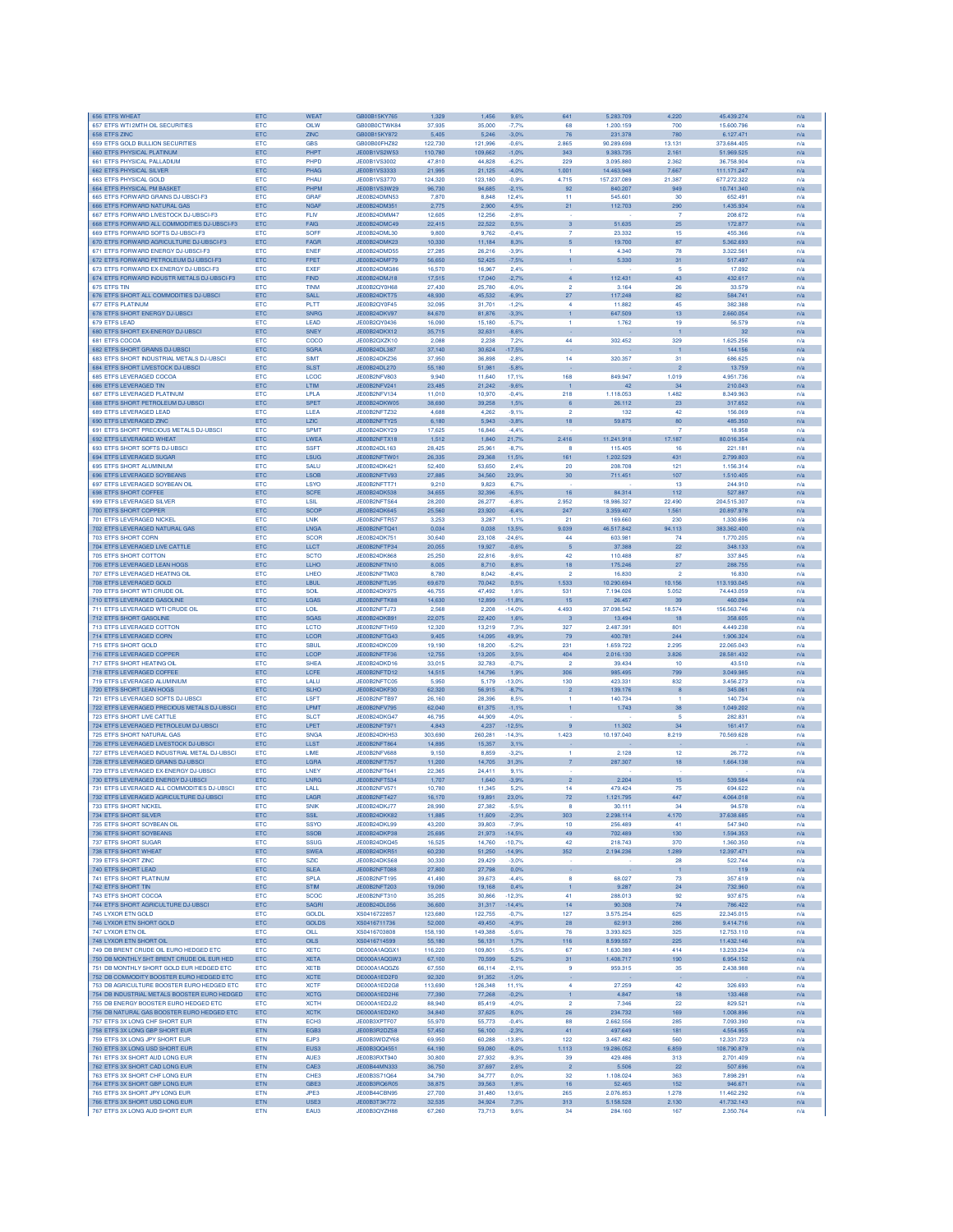| 656 ETFS WHEAT                                                                         | ETC                      | <b>WEAT</b>                  | GB00B15KY765                 | 1,329             | 1,456             | 9.6%                | 641                   | 5.283.709               | 4.220                  | 45.439.274                | n/a        |
|----------------------------------------------------------------------------------------|--------------------------|------------------------------|------------------------------|-------------------|-------------------|---------------------|-----------------------|-------------------------|------------------------|---------------------------|------------|
| 657 ETFS WTI 2MTH OIL SECURITIES                                                       | <b>ETC</b>               | OILW                         | GB00B0CTWK84                 | 37,935            | 35,000            | $-7,7%$             | 68                    | 1.200.159               | 700                    | 15,600,796                | n/a        |
| 658 ETFS ZINC<br>659 ETFS GOLD BULLION SECURITIES                                      | ETC<br>ETC               | ZINC<br><b>GBS</b>           | GB00B15KY872<br>GB00B00FHZ82 | 5,405<br>122,730  | 5,246<br>121.996  | $-3,0%$<br>$-0.6%$  | 76<br>2.865           | 231.378<br>90.289.698   | 780<br>13.131          | 6.127.471<br>373,684,405  | n/a<br>n/a |
| 660 ETFS PHYSICAL PLATINUM                                                             | ETC                      | PHPT                         | JE00B1VS2W53                 | 110,780           | 109,662           | $-1,0%$             | 343                   | 9.383.735               | 2.161                  | 51.969.525                | n/a        |
| 661 ETFS PHYSICAL PALLADIUM                                                            | ETC                      | PHPD                         | JE00B1VS3002                 | 47,810            | 44,828            | $-6,2%$             | 229                   | 3.095.880               | 2.362                  | 36.758.904                | n/a        |
| 662 ETFS PHYSICAL SILVEF                                                               | ETC                      | PHAG                         | JE00B1VS3333                 | 21,995            | 21,125            | 4.0%                | 1.001                 | 14.463.948              | 7.667                  | 111.171.247               | n/a        |
| 663 ETFS PHYSICAL GOLD                                                                 | ETC                      | PHAU                         | JE00B1VS3770                 | 124,320           | 123,180           | $-0.9%$             | 4.715                 | 157.237.089             | 21.387                 | 677.272.322               | n/a        |
| 664 ETFS PHYSICAL PM BASKET<br>665 ETFS FORWARD GRAINS DJ-UBSCI-F3                     | ETC<br><b>ETC</b>        | PHPM<br><b>GRAF</b>          | JE00B1VS3W29<br>JE00B24DMN53 | 96,730<br>7,870   | 94.685<br>8,848   | $-2.1%$<br>12.4%    | 92<br>11              | 840.207<br>545.601      | 949<br>30              | 10.741.340<br>652.491     | n/a<br>n/a |
| 666 ETFS FORWARD NATURAL GAS                                                           | ETC                      | <b>NGAF</b>                  | JE00B24DM351                 | 2,775             | 2,900             | 4,5%                | 21                    | 112.703                 | 290                    | 1.435.934                 | n/a        |
| 667 ETFS FORWARD LIVESTOCK DJ-UBSCI-F3                                                 | ETC                      | <b>FLM</b>                   | JE00B24DMM47                 | 12,605            | 12,256            | $-2,8%$             |                       |                         | $\overline{7}$         | 208.672                   | n/a        |
| 668 ETFS FORWARD ALL COMMODITIES DJ-UBSCI-F3                                           | ETC                      | <b>FAIG</b>                  | JE00B24DMC49                 | 22,415            | 22,522            | 0.5%                | $\mathsf 3$           | 51.635                  | 25                     | 172.877                   | n/a        |
| 669 ETFS FORWARD SOFTS DJ-UBSCI-F3                                                     | ETC                      | <b>SOFF</b>                  | JE00B24DML30                 | 9,800             | 9,762             | $-0.4%$             | $\overline{7}$        | 23.332                  | 15                     | 455.366                   | n/a        |
| 670 ETFS FORWARD AGRICULTURE DJ-UBSCI-F3<br>671 ETFS FORWARD ENERGY DJ-UBSCI-F3        | ETC<br><b>ETC</b>        | FAGR<br><b>ENEF</b>          | JE00B24DMK23<br>JE00B24DMD55 | 10,330<br>27,285  | 11,184<br>26.216  | 8,3%<br>$-3.9%$     | 5<br>1                | 19.700<br>4.340         | 87<br>78               | 5.362.693<br>3.322.561    | n/a<br>n/a |
| 672 ETFS FORWARD PETROLEUM DJ-UBSCI-F3                                                 | ETC                      | <b>FPET</b>                  | JE00B24DMF79                 | 56,650            | 52.425            | $-7,5%$             | 1                     | 5,330                   | 31                     | 517.497                   | n/a        |
| 673 ETFS FORWARD EX-ENERGY DJ-UBSCI-F3                                                 | ETC                      | <b>EXEF</b>                  | JE00B24DMG86                 | 16,570            | 16.967            | 2.4%                |                       |                         | 5                      | 17.092                    | n/a        |
| 674 ETFS FORWARD INDUSTR METALS DJ-UBSCI-F3                                            | ETC                      | <b>FIND</b>                  | JE00B24DMJ18                 | 17,515            | 17,040            | $-2.7%$             | $\overline{4}$        | 112.431                 | 43                     | 432.617                   | n/a        |
| 675 ETFS TIM<br>676 ETFS SHORT ALL COMMODITIES DJ-UBSCI                                | ETC<br>ETC               | <b>TINM</b><br>SALL.         | JE00B2QY0H68<br>JE00B24DKT75 | 27,430<br>48,930  | 25,780<br>45 532  | $-6.0%$<br>$-6.9%$  | $\overline{2}$<br>27  | 3.164<br>117.248        | 26<br>82               | 33.579<br>584.741         | n/a<br>n/a |
| <b>677 ETFS PLATINUM</b>                                                               | <b>ETC</b>               | PLTT                         | JE00B2QY0F45                 | 32.095            | 31.701            | $-1.2%$             | 4                     | 11,882                  | 45                     | 382,388                   | n/a        |
| 678 ETFS SHORT ENERGY DJ-UBSCI                                                         | <b>ETC</b>               | <b>SNRG</b>                  | JE00B24DKV97                 | 84,670            | 81,876            | $-3.3%$             | 1                     | 647,509                 | 13                     | 2.660.054                 | n/a        |
| 679 ETFS LEAD                                                                          | ETC                      | LEAD                         | JE00B2QY0436                 | 16,090            | 15,180            | $-5.7%$             | 1                     | 1.762                   | 19                     | 56.579                    | n/a        |
| 680 ETFS SHORT EX-ENERGY DJ-UBSCI                                                      | ETC                      | <b>SNEY</b>                  | JE00B24DKX12                 | 35,715            | 32,631            | $-8,6%$             |                       |                         | $\mathbf{1}$           | 32                        | n/a        |
| 681 ETFS COCOA<br>682 ETFS SHORT GRAINS DJ-UBSC                                        | ETC                      | COCO<br><b>SGRA</b>          | JE00B2QXZK10<br>JE00B24DL387 | 2,088             | 2,238             | 7,2%                | 44                    | 302.452                 | 329                    | 1.625.256                 | n/a        |
| 683 ETFS SHORT INDUSTRIAL METALS DJ-UBSC                                               | ETC<br><b>ETC</b>        | SIMT                         | JE00B24DKZ36                 | 37,140<br>37,950  | 30,624<br>36,898  | $-17,5%$<br>$-2.8%$ | 14                    | 320.357                 | 31                     | 144.156<br>686,625        | n/a<br>n/a |
| 684 ETFS SHORT LIVESTOCK DJ-UBSCI                                                      | ETC                      | <b>SLST</b>                  | JE00B24DL270                 | 55,180            | 51,981            | $-5.8%$             |                       |                         | $\overline{2}$         | 13,759                    | n/a        |
| 685 ETFS LEVERAGED COCOA                                                               | ETC                      | LCOC                         | JE00B2NFV803                 | 9,940             | 11,640            | 17,1%               | 168                   | 849.947                 | 1.019                  | 4.951.736                 | n/a        |
| 686 ETFS LEVERAGED TIN                                                                 | ETC                      | <b>LTIM</b>                  | JE00B2NFV241                 | 23,485            | 21,242            | $-9.6%$             |                       | 42                      | 34                     | 210.043                   | n/a        |
| 687 ETFS LEVERAGED PLATINUM<br>688 ETFS SHORT PETROLEUM DJ-UBSCI                       | ETC<br>ETC               | LPLA<br><b>SPET</b>          | JE00B2NFV134<br>JE00B24DKW05 | 11,010<br>38,690  | 10,970<br>39.258  | $-0.4%$<br>1,5%     | 218<br>6              | 1.118.053<br>26.112     | 1,482<br>23            | 8.349.963<br>317,652      | n/a<br>n/a |
| 689 ETFS LEVERAGED LEAD                                                                | ETC                      | LLEA                         | JE00B2NFTZ32                 | 4.688             | 4.262             | $-9.1%$             | $\mathfrak{p}$        | 132                     | 42                     | 156,069                   | n/a        |
| 690 ETFS LEVERAGED ZINC                                                                | <b>ETC</b>               | <b>LZIC</b>                  | JE00B2NFTY25                 | 6.180             | 5.943             | $-3.8%$             | 18                    | 59.875                  | 80                     | 485,350                   | n/a        |
| 691 ETFS SHORT PRECIOUS METALS DJ-UBSCI                                                | ETC                      | <b>SPMT</b>                  | JE00B24DKY29                 | 17,625            | 16,846            | $-4,4%$             |                       |                         | $\overline{7}$         | 18.958                    | n/a        |
| 692 ETFS LEVERAGED WHEAT                                                               | ETC                      | LWEA                         | JE00B2NFTX18                 | 1,512             | 1,840             | 21,7%               | 2.416                 | 11.241.918              | 17.187                 | 80.016.354                | n/a        |
| 693 ETFS SHORT SOFTS DJ-UBSCI                                                          | ETC                      | <b>SSFT</b>                  | JE00B24DL163                 | 28,425            | 25,961            | $-8,7%$             | 8                     | 115.405                 | 16                     | 221.181                   | n/a        |
| 694 ETFS LEVERAGED SUGAR<br>695 ETFS SHORT ALUMINIUM                                   | ETC<br>ETC               | LSUG<br><b>SALU</b>          | JE00B2NFTW0<br>JE00B24DK421  | 26,335<br>52,400  | 29,368<br>53,650  | 11,5%<br>2,4%       | 161<br>20             | 1.202.529<br>208.708    | 431<br>121             | 2.799.803<br>1.156.314    | n/a<br>n/a |
| 696 ETFS LEVERAGED SOYBEANS                                                            | <b>ETC</b>               | <b>LSOB</b>                  | JE00B2NFTV93                 | 27,885            | 34,560            | 23.9%               | 30                    | 711.451                 | 107                    | 1.510.405                 | n/a        |
| 697 ETFS LEVERAGED SOYBEAN OIL                                                         | ETC                      | LSYO                         | JE00B2NFTT71                 | 9.210             | 9.823             | 6.7%                |                       |                         | 13                     | 244,910                   | n/a        |
| 698 ETFS SHORT COFFEE                                                                  | ETC                      | <b>SCFE</b>                  | JE00B24DK538                 | 34,655            | 32,396            | $-6.5%$             | 16                    | 84.314                  | 112                    | 527.887                   | n/a        |
| 699 ETFS LEVERAGED SILVER<br>700 ETFS SHORT COPPER                                     | ETC<br>ETC               | LSIL<br><b>SCOP</b>          | JE00B2NFTS64<br>JE00B24DK645 | 28,200<br>25,560  | 26,277<br>23,920  | $-6.8%$<br>$-6.4%$  | 2.952<br>247          | 18.986.327<br>3.359.407 | 22.490<br>1.561        | 204.515.307<br>20.897.978 | n/a<br>n/a |
| 701 ETFS LEVERAGED NICKEL                                                              | <b>ETC</b>               | <b>INK</b>                   | JE00B2NFTR57                 | 3.253             | 3.287             | 1.1%                | 21                    | 169,660                 | 230                    | 1.330.696                 | n/a        |
| 702 ETFS LEVERAGED NATURAL GAS                                                         | ETC                      | LNGA                         | JE00B2NFTQ41                 | 0.034             | 0.038             | 13.5%               | 9.039                 | 46.517.842              | 94.113                 | 383,362,400               | n/a        |
| <b>703 ETES SHORT CORN</b>                                                             | <b>ETC</b>               | <b>SCOR</b>                  | JE00B24DK751                 | 30,640            | 23.108            | $-24.6%$            | 44                    | 603.981                 | 74                     | 1,770,205                 | n/a        |
| 704 ETFS LEVERAGED LIVE CATTLE                                                         | ETC                      | <b>LLCT</b>                  | JE00B2NFTP34                 | 20,055            | 19,927            | $-0.6%$             | 5                     | 37.388                  | 22                     | 348.133                   | n/a        |
| 705 ETFS SHORT COTTON<br>706 ETFS LEVERAGED LEAN HOGS                                  | ETC<br>ETC               | <b>SCTO</b><br>LLHO          | JE00B24DK868<br>JE00B2NFTN10 | 25,250<br>8,005   | 22,816<br>8,710   | $-9.6%$<br>8.8%     | 42<br>18              | 110.488<br>175.246      | 87<br>27               | 337.845<br>288.755        | n/a<br>n/a |
| 707 ETFS LEVERAGED HEATING OIL                                                         | <b>ETC</b>               | LHEO                         | JE00B2NFTM03                 | 8,780             | 8.042             | $-8.4%$             | $\overline{2}$        | 16.830                  | $\overline{2}$         | 16.830                    | n/a        |
| 708 ETFS LEVERAGED GOLD                                                                | ETC                      | LBUL                         | JE00B2NFTL95                 | 69,670            | 70,042            | 0,5%                | 1.533                 | 10.290.694              | 10.156                 | 113.193.045               | n/a        |
| 709 ETFS SHORT WTI CRUDE OIL                                                           | ETC                      | SOIL                         | JE00B24DK975                 | 46.755            | 47.492            | 1.6%                | 531                   | 7.194.026               | 5.052                  | 74,443,059                | n/a        |
| 710 ETFS LEVERAGED GASOLINE                                                            | ETC                      | LGAS                         | JE00B2NFTK88                 | 14,630            | 12,899            | 11,8%               | 15                    | 26.457                  | 39                     | 460.094                   | n/a        |
| 711 ETFS LEVERAGED WTI CRUDE OIL<br>712 ETFS SHORT GASOLINE                            | ETC<br>ETC               | LOIL<br><b>SGAS</b>          | JE00B2NFTJ73<br>JE00B24DKB91 | 2,568<br>22,075   | 2.208<br>22,420   | $-14,0%$<br>1.6%    | 4,493                 | 37.098.542<br>13.494    | 18.574                 | 156.563.746<br>358.605    | n/a<br>n/a |
| 713 ETFS LEVERAGED COTTON                                                              | ETC                      | <b>LCTO</b>                  | JE00B2NFTH59                 | 12,320            | 13,219            | 7,3%                | 327                   | 2.487.39                | 801                    | 4.449.238                 | n/a        |
| 714 ETFS LEVERAGED CORN                                                                | ETC                      | <b>LCOR</b>                  | JE00B2NFTG43                 | 9.405             | 14.095            | 49.9%               | 79                    | 400.781                 | 244                    | 1.906.324                 | n/a        |
| 715 ETFS SHORT GOLD                                                                    | <b>ETC</b>               | <b>SBUL</b>                  | JE00B24DKC09                 | 19,190            | 18,200            | $-5.2%$             | 231                   | 1.659.722               | 2.295                  | 22.065.043                | n/a        |
| 716 ETFS LEVERAGED COPPER<br>717 ETFS SHORT HEATING OL                                 | ETC<br>ETC               | LCOP<br><b>SHEA</b>          | JE00B2NFTF36<br>JE00B24DKD16 | 12,755<br>33,015  | 13,205<br>32,783  | 3,5%<br>$-0,7%$     | 404<br>$\overline{2}$ | 2.016.130<br>39.434     | 3.826<br>10            | 28.581.432<br>43.510      | n/a        |
| 718 ETFS LEVERAGED COFFEE                                                              | ETC                      | LCFE                         | JE00B2NFTD12                 | 14,515            | 14,796            | 1,9%                | 306                   | 985.495                 | 799                    | 3.049.985                 | n/a<br>n/a |
| 719 ETFS LEVERAGED ALUMINIUM                                                           | ETC                      | LALU                         | JE00B2NFTC05                 | 5,950             | 5,179             | $-13,0%$            | 130                   | 423.331                 | 832                    | 3.456.273                 | n/a        |
| 720 ETFS SHORT LEAN HOGS                                                               | ETC                      | <b>SLHO</b>                  | JE00B24DKF30                 | 62,320            | 56,915            | $-8,7%$             | $\overline{2}$        | 139.176                 | 8                      | 345.061                   | n/a        |
| 721 ETFS LEVERAGED SOFTS DJ-UBSCI                                                      | <b>ETC</b>               | LSFT                         | JE00B2NFTB97                 | 26,160            | 28,396            | 8.5%                | 1                     | 140.734                 | -1                     | 140.734                   | n/a        |
| 722 ETFS LEVERAGED PRECIOUS METALS DJ-UBSCI<br>723 ETFS SHORT LIVE CATTLE              | <b>ETC</b><br>ETC        | LPMT<br><b>SLCT</b>          | JE00B2NFV795<br>JE00B24DKG47 | 62,040<br>46,795  | 61,375<br>44,909  | $-1,1%$<br>$-4,0%$  | 1                     | 1.743                   | 38<br>5                | 049,202<br>282.831        | n/a<br>n/a |
| 724 ETFS LEVERAGED PETROLEUM DJ-UBSCI                                                  | ETC                      | LPET                         | JE00B2NFT971                 | 4,843             | 4,237             | 12,5%               | 9                     | 11.302                  | 34                     | 161.417                   | n/a        |
| <b>725 ETFS SHORT NATURAL GAS</b>                                                      | ETC                      | SNG/                         | JE00B24DKH53                 | 303,690           | 260,281           | $-14,3%$            | 1.423                 | 10.197.040              | 8.219                  | 70.569.628                | n/a        |
| 726 ETFS LEVERAGED LIVESTOCK DJ-UBSCI                                                  | ETC                      | <b>LLST</b>                  | JE00B2NFT864                 | 14,895            | 15,357            | 3.1%                |                       |                         |                        |                           | n/a        |
| 727 ETFS LEVERAGED INDUSTRIAL METAL DJ-UBSCI                                           | <b>ETC</b>               | LIME                         | JE00B2NFV688                 | 9.150             | 8.859             | $-3.2%$             | 1                     | 2.128                   | 12                     | 26,772                    | n/a        |
| 728 ETES LEVERAGED GRAINS DJ-URSCL<br>729 ETFS LEVERAGED EX-ENERGY DJ-UBSCI            | <b>ETC</b><br><b>ETC</b> | LGRA<br>LNEY                 | JE00B2NFT757<br>JE00B2NFT641 | 11,200<br>22,365  | 14.705<br>24,411  | 31.3%<br>9.1%       | $\overline{7}$        | 287.307                 | 18                     | 1.664.138                 | n/a<br>n/a |
| 730 ETFS LEVERAGED ENERGY DJ-UBSCI                                                     | ETC                      | LNRG                         | JE00B2NFT534                 | 1,707             | 1,640             | $-3.9%$             | $\overline{2}$        | 2.204                   | 15                     | 539.584                   | n/a        |
| 731 ETFS LEVERAGED ALL COMMODITIES DJ-UBSCI                                            | ETC                      | LALL                         | JE00B2NFV57                  | 10,780            | 11,345            | 5.2%                | 14                    | 479.424                 | 75                     | 694.622                   | n/a        |
| 732 ETFS LEVERAGED AGRICULTURE DJ-UBSCI                                                | ETC                      | LAGR                         | JE00B2NFT427                 | 16,170            | 19,891            | 23,0%               | 72                    | 1.121.795               | 447                    | 4.064.018                 | n/a        |
| 733 ETFS SHORT NICKEL                                                                  | ETC                      | <b>SNIK</b>                  | JE00B24DKJ77                 | 28,990            | 27,382            | $-5,5%$             | 8                     | 30.111                  | 34                     | 94.578                    | n/a        |
| 734 ETFS SHORT SILVER<br>735 ETFS SHORT SOYBEAN OIL                                    | ETC<br>ETC               | <b>SSIL</b><br><b>SSYO</b>   | JE00B24DKK82<br>JE00B24DKL99 | 11,885<br>43,200  | 11,609<br>39,803  | $-2,3%$<br>$-7,9%$  | 303<br>10             | 2.298.114<br>256.489    | 4.170<br>41            | 37,638,685<br>547.940     | n/a<br>n/a |
| 736 ETFS SHORT SOYBEANS                                                                | ETC                      | <b>SSOB</b>                  | JE00B24DKP38                 | 25,695            | 21,973            | $-14,5%$            | 49                    | 702.489                 | 130                    | 1.594.353                 | n/a        |
| 737 ETFS SHORT SUGAR                                                                   | ETC                      | <b>SSUG</b>                  | JE00B24DKQ45                 | 16,525            | 14,760            | $-10,7%$            | 42                    | 218.743                 | 370                    | 1.360.350                 | n/a        |
| 738 ETFS SHORT WHEAT                                                                   | ETC                      | <b>SWEA</b>                  | JE00B24DKR51                 | 60,230            | 51,250            | 14,9%               | 352                   | 2.194.236               | 1.289                  | 12.397.471                | n/a        |
| 739 ETFS SHORT ZINC                                                                    | ETC                      | <b>SZIC</b>                  | JE00B24DKS68                 | 30,330            | 29,429            | $-3.0%$             |                       |                         | 28                     | 522.744                   | n/a        |
| 740 ETFS SHORT LEAD<br>741 ETFS SHORT PLATINUM                                         | ETC<br>ETC               | <b>SLEA</b><br>SPLA          | JE00B2NET088<br>JE00B2NFT195 | 27,800<br>41,490  | 27,798<br>39,673  | 0.0%<br>$-4.4%$     | 8                     | 68.027                  | $\mathbf{1}$<br>$73\,$ | 119<br>357.619            | n/a<br>n/a |
| 742 ETFS SHORT TIN                                                                     | ETC                      | <b>STIM</b>                  | JE00B2NFT203                 | 19,090            | 19,168            | 0,4%                | $\mathbf{1}$          | 9.287                   | 24                     | 732.960                   | n/a        |
| 743 ETFS SHORT COCOA                                                                   | ETC                      | <b>SCOC</b>                  | JE00B2NFT310                 | 35,205            | 30,866            | $-12,3%$            | 41                    | 288.013                 | 92                     | 937.675                   | n/a        |
| 744 ETFS SHORT AGRICULTURE DJ-UBSCI                                                    | ETC                      | <b>SAGRI</b>                 | JE00B24DL056                 | 36,600            | 31,317            | $-14.4%$            | 14                    | 90.308                  | 74                     | 786.422                   | n/a        |
| 745 LYXOR ETN GOLD<br>746 I YXOR FTN SHORT GOLD                                        | ETC                      | <b>GOLDL</b><br><b>GOLDS</b> | XS0416722857                 | 123,680           | 122,755           | $-0.7%$             | 127                   | 3.575.254               | 625<br>286             | 22.345.015                | n/a        |
| 747 LYXOR ETN OIL                                                                      | <b>ETC</b><br>ETC        | OILL                         | XS0416711736<br>XS0416703808 | 52,000<br>158,190 | 49,450<br>149,388 | $-4.9%$<br>$-5.6%$  | 28<br>76              | 62.913<br>3.393.825     | 325                    | 9.414.716<br>12.753.110   | n/a<br>n/a |
| 748 LYXOR ETN SHORT OIL                                                                | ETC                      | <b>OILS</b>                  | XS0416714599                 | 55,180            | 56,131            | 1,7%                | 116                   | 8.599.557               | 225                    | 11.432.146                | n/a        |
| 749 DB BRENT CRUDE OIL EURO HEDGED ETC                                                 | ETC                      | <b>XETC</b>                  | DE000A1AQGX1                 | 116,220           | 109,801           | $-5.5%$             | 67                    | 1.630.389               | 414                    | 13.233.234                | n/a        |
| 750 DB MONTHLY SHT BRENT CRUDE OIL EUR HED                                             | ETC                      | <b>XETA</b>                  | DE000A1AQGW3                 | 67,100            | 70,599            | 5,2%                | 31                    | 1.408.717               | 190                    | 6.954.152                 | n/a        |
| 751 DB MONTHLY SHORT GOLD FUR HEDGED FTC                                               | <b>ETC</b>               | <b>XETB</b>                  | DE000A1AQGZ6                 | 67.550<br>92.320  | 66,114            | $-2,1%$             | $\mathbf{Q}$          | 959.315                 | 35                     | 2.438.988                 | n/a        |
| 752 DB COMMODITY BOOSTER EURO HEDGED ETC<br>753 DB AGRICULTURE BOOSTER EURO HEDGED ETC | <b>ETC</b><br><b>ETC</b> | <b>XCTE</b><br><b>XCTF</b>   | DE000A1ED2F0<br>DE000A1ED2G8 | 113,690           | 91.352<br>126,348 | $-1.0%$<br>11.1%    | $\overline{a}$        | 27.259                  | 42                     | 326,693                   | n/a<br>n/a |
| 754 DB INDUSTRIAL METALS BOOSTER EURO HEDGED                                           | <b>ETC</b>               | <b>XCTG</b>                  | DE000A1ED2H6                 | 77,390            | 77,268            | $-0,2%$             | $\mathbf{1}$          | 4.847                   | 18                     | 133.468                   | n/a        |
| 755 DB ENERGY BOOSTER EURO HEDGED ETC                                                  | ETC                      | <b>XCTH</b>                  | DE000A1ED2J2                 | 88,940            | 85,419            | $-4.0%$             | $\overline{2}$        | 7.346                   | 22                     | 829.521                   | n/a        |
| 756 DB NATURAL GAS BOOSTER EURO HEDGED ETC                                             | <b>ETC</b>               | <b>XCTK</b>                  | DE000A1ED2K0                 | 34,840            | 37,625            | 8,0%                | 26                    | 234.732                 | 169                    | 1.008.896                 | n/a        |
| 757 ETFS 3X LONG CHF SHORT EUR                                                         | ETN                      | ECH <sub>3</sub>             | JE00B3XPTF07                 | 55,970            | 55,773            | $-0.4%$             | 88                    | 2.662.556               | 285                    | 7.093.390                 | n/a        |
| 758 ETFS 3X LONG GBP SHORT EUR<br>759 ETFS 3X LONG JPY SHORT EUR                       | ETN<br><b>ETN</b>        | EGB3<br>EJP3                 | JE00B3R2DZ58<br>JE00B3WDZY68 | 57,450<br>69,950  | 56,100<br>60,288  | $-2,3%$<br>$-13.8%$ | 41<br>122             | 497.649<br>3.467.482    | 181<br>560             | 4.554.955<br>12.331.723   | n/a<br>n/a |
| 760 ETFS 3X LONG USD SHORT EUR                                                         | ETN                      | EUS3                         | JE00B3QQ4551                 | 64,190            | 59,080            | $-8,0%$             | 1.113                 | 19.286.052              | 6.859                  | 108.790.879               | n/a        |
| 761 ETFS 3X SHORT AUD LONG EUR                                                         | ETN                      | AUE3                         | JE00B3RXT940                 | 30,800            | 27,932            | $-9,3%$             | 39                    | 429,486                 | 313                    | 2.701.409                 | n/a        |
| 762 ETFS 3X SHORT CAD LONG EUR                                                         | ETN                      | CAE3                         | JE00B44MN333                 | 36,750            | 37,697            | 2,6%                | $\overline{2}$        | 5.506                   | 22                     | 507.696                   | n/a        |
| 763 ETFS 3X SHORT CHF LONG EUR                                                         | <b>ETN</b>               | CHE <sub>3</sub><br>GBE3     | JE00B3S71Q64<br>JE00B3RQ6R05 | 34,790            | 34,777            | 0.0%                | 32                    | 1.108.024<br>52.465     | 363<br>152             | 7.898.291                 | n/a        |
| 764 ETFS 3X SHORT GBP LONG EUR<br>765 ETFS 3X SHORT JPY LONG EUR                       | ETN<br><b>ETN</b>        | JPE3                         | JE00B44CBN95                 | 38,875<br>27,700  | 39,563<br>31,480  | 1,8%<br>13.6%       | 16<br>265             | 2.076.853               | 1,278                  | 946.671<br>11.462.292     | n/a<br>n/a |
| 766 ETFS 3X SHORT USD LONG EUR                                                         | ETN                      | USE3                         | JE00B3T3K772                 | 32,535            | 34,924            | 7,3%                | 313                   | 5.158.528               | 2.130                  | 41.732.143                | n/a        |
| 767 ETFS 3X LONG AUD SHORT EUR                                                         | ETN                      | EAU3                         | JE00B3QYZH88                 | 67,260            | 73,713            | 9.6%                | 34                    | 284.160                 | 167                    | 2.350.764                 | n/a        |